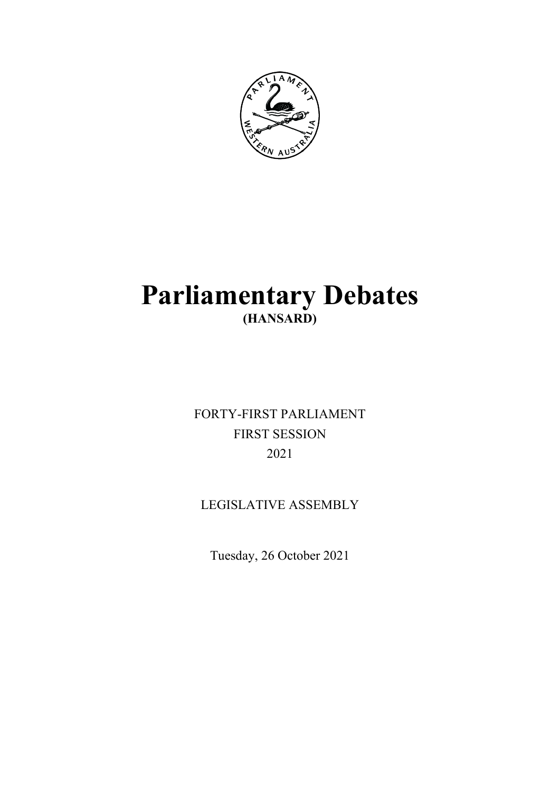

# **Parliamentary Debates (HANSARD)**

FORTY-FIRST PARLIAMENT FIRST SESSION 2021

LEGISLATIVE ASSEMBLY

Tuesday, 26 October 2021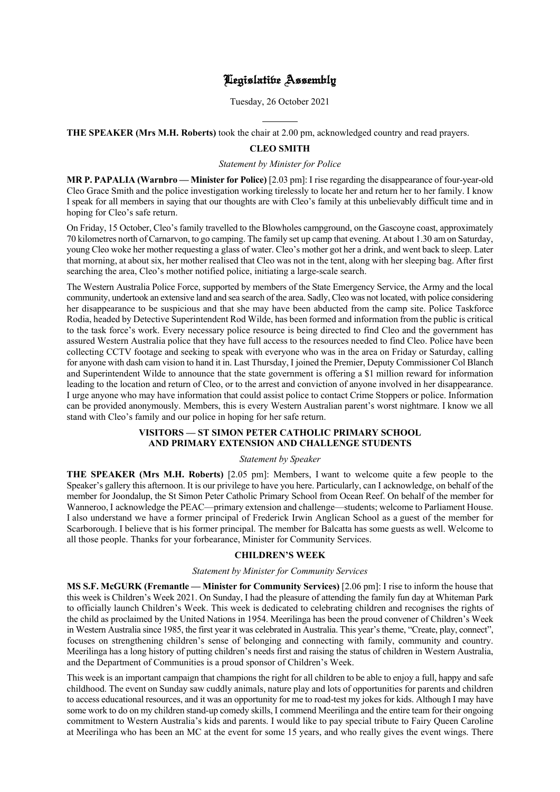## Legislative Assembly

Tuesday, 26 October 2021

l **THE SPEAKER (Mrs M.H. Roberts)** took the chair at 2.00 pm, acknowledged country and read prayers.

## **CLEO SMITH**

#### *Statement by Minister for Police*

**MR P. PAPALIA (Warnbro — Minister for Police)** [2.03 pm]: I rise regarding the disappearance of four-year-old Cleo Grace Smith and the police investigation working tirelessly to locate her and return her to her family. I know I speak for all members in saying that our thoughts are with Cleo's family at this unbelievably difficult time and in hoping for Cleo's safe return.

On Friday, 15 October, Cleo's family travelled to the Blowholes campground, on the Gascoyne coast, approximately 70 kilometres north of Carnarvon, to go camping. The family set up camp that evening. At about 1.30 am on Saturday, young Cleo woke her mother requesting a glass of water. Cleo's mother got her a drink, and went back to sleep. Later that morning, at about six, her mother realised that Cleo was not in the tent, along with her sleeping bag. After first searching the area, Cleo's mother notified police, initiating a large-scale search.

The Western Australia Police Force, supported by members of the State Emergency Service, the Army and the local community, undertook an extensive land and sea search of the area. Sadly, Cleo was not located, with police considering her disappearance to be suspicious and that she may have been abducted from the camp site. Police Taskforce Rodia, headed by Detective Superintendent Rod Wilde, has been formed and information from the public is critical to the task force's work. Every necessary police resource is being directed to find Cleo and the government has assured Western Australia police that they have full access to the resources needed to find Cleo. Police have been collecting CCTV footage and seeking to speak with everyone who was in the area on Friday or Saturday, calling for anyone with dash cam vision to hand it in. Last Thursday, I joined the Premier, Deputy Commissioner Col Blanch and Superintendent Wilde to announce that the state government is offering a \$1 million reward for information leading to the location and return of Cleo, or to the arrest and conviction of anyone involved in her disappearance. I urge anyone who may have information that could assist police to contact Crime Stoppers or police. Information can be provided anonymously. Members, this is every Western Australian parent's worst nightmare. I know we all stand with Cleo's family and our police in hoping for her safe return.

## **VISITORS — ST SIMON PETER CATHOLIC PRIMARY SCHOOL AND PRIMARY EXTENSION AND CHALLENGE STUDENTS**

#### *Statement by Speaker*

**THE SPEAKER (Mrs M.H. Roberts)** [2.05 pm]: Members, I want to welcome quite a few people to the Speaker's gallery this afternoon. It is our privilege to have you here. Particularly, can I acknowledge, on behalf of the member for Joondalup, the St Simon Peter Catholic Primary School from Ocean Reef. On behalf of the member for Wanneroo, I acknowledge the PEAC—primary extension and challenge—students; welcome to Parliament House. I also understand we have a former principal of Frederick Irwin Anglican School as a guest of the member for Scarborough. I believe that is his former principal. The member for Balcatta has some guests as well. Welcome to all those people. Thanks for your forbearance, Minister for Community Services.

## **CHILDREN'S WEEK**

## *Statement by Minister for Community Services*

**MS S.F. McGURK (Fremantle — Minister for Community Services)** [2.06 pm]: I rise to inform the house that this week is Children's Week 2021. On Sunday, I had the pleasure of attending the family fun day at Whiteman Park to officially launch Children's Week. This week is dedicated to celebrating children and recognises the rights of the child as proclaimed by the United Nations in 1954. Meerilinga has been the proud convener of Children's Week in Western Australia since 1985, the first year it was celebrated in Australia. This year's theme, "Create, play, connect", focuses on strengthening children's sense of belonging and connecting with family, community and country. Meerilinga has a long history of putting children's needs first and raising the status of children in Western Australia, and the Department of Communities is a proud sponsor of Children's Week.

This week is an important campaign that champions the right for all children to be able to enjoy a full, happy and safe childhood. The event on Sunday saw cuddly animals, nature play and lots of opportunities for parents and children to access educational resources, and it was an opportunity for me to road-test my jokes for kids. Although I may have some work to do on my children stand-up comedy skills, I commend Meerilinga and the entire team for their ongoing commitment to Western Australia's kids and parents. I would like to pay special tribute to Fairy Queen Caroline at Meerilinga who has been an MC at the event for some 15 years, and who really gives the event wings. There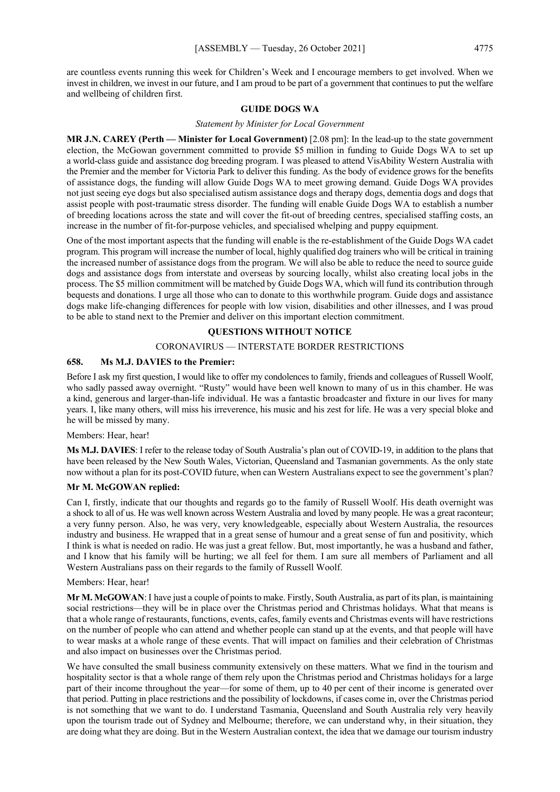are countless events running this week for Children's Week and I encourage members to get involved. When we invest in children, we invest in our future, and I am proud to be part of a government that continues to put the welfare and wellbeing of children first.

## **GUIDE DOGS WA**

## *Statement by Minister for Local Government*

**MR J.N. CAREY (Perth — Minister for Local Government)** [2.08 pm]: In the lead-up to the state government election, the McGowan government committed to provide \$5 million in funding to Guide Dogs WA to set up a world-class guide and assistance dog breeding program. I was pleased to attend VisAbility Western Australia with the Premier and the member for Victoria Park to deliver this funding. As the body of evidence grows for the benefits of assistance dogs, the funding will allow Guide Dogs WA to meet growing demand. Guide Dogs WA provides not just seeing eye dogs but also specialised autism assistance dogs and therapy dogs, dementia dogs and dogs that assist people with post-traumatic stress disorder. The funding will enable Guide Dogs WA to establish a number of breeding locations across the state and will cover the fit-out of breeding centres, specialised staffing costs, an increase in the number of fit-for-purpose vehicles, and specialised whelping and puppy equipment.

One of the most important aspects that the funding will enable is the re-establishment of the Guide Dogs WA cadet program. This program will increase the number of local, highly qualified dog trainers who will be critical in training the increased number of assistance dogs from the program. We will also be able to reduce the need to source guide dogs and assistance dogs from interstate and overseas by sourcing locally, whilst also creating local jobs in the process. The \$5 million commitment will be matched by Guide Dogs WA, which will fund its contribution through bequests and donations. I urge all those who can to donate to this worthwhile program. Guide dogs and assistance dogs make life-changing differences for people with low vision, disabilities and other illnesses, and I was proud to be able to stand next to the Premier and deliver on this important election commitment.

## **QUESTIONS WITHOUT NOTICE**

## CORONAVIRUS — INTERSTATE BORDER RESTRICTIONS

## **658. Ms M.J. DAVIES to the Premier:**

Before I ask my first question, I would like to offer my condolences to family, friends and colleagues of Russell Woolf, who sadly passed away overnight. "Rusty" would have been well known to many of us in this chamber. He was a kind, generous and larger-than-life individual. He was a fantastic broadcaster and fixture in our lives for many years. I, like many others, will miss his irreverence, his music and his zest for life. He was a very special bloke and he will be missed by many.

## Members: Hear, hear!

**Ms M.J. DAVIES**: I refer to the release today of South Australia's plan out of COVID-19, in addition to the plans that have been released by the New South Wales, Victorian, Queensland and Tasmanian governments. As the only state now without a plan for its post-COVID future, when can Western Australians expect to see the government's plan?

## **Mr M. McGOWAN replied:**

Can I, firstly, indicate that our thoughts and regards go to the family of Russell Woolf. His death overnight was a shock to all of us. He was well known across Western Australia and loved by many people. He was a great raconteur; a very funny person. Also, he was very, very knowledgeable, especially about Western Australia, the resources industry and business. He wrapped that in a great sense of humour and a great sense of fun and positivity, which I think is what is needed on radio. He was just a great fellow. But, most importantly, he was a husband and father, and I know that his family will be hurting; we all feel for them. I am sure all members of Parliament and all Western Australians pass on their regards to the family of Russell Woolf.

## Members: Hear, hear!

**Mr M. McGOWAN**: I have just a couple of points to make. Firstly, South Australia, as part of its plan, is maintaining social restrictions—they will be in place over the Christmas period and Christmas holidays. What that means is that a whole range of restaurants, functions, events, cafes, family events and Christmas events will have restrictions on the number of people who can attend and whether people can stand up at the events, and that people will have to wear masks at a whole range of these events. That will impact on families and their celebration of Christmas and also impact on businesses over the Christmas period.

We have consulted the small business community extensively on these matters. What we find in the tourism and hospitality sector is that a whole range of them rely upon the Christmas period and Christmas holidays for a large part of their income throughout the year—for some of them, up to 40 per cent of their income is generated over that period. Putting in place restrictions and the possibility of lockdowns, if cases come in, over the Christmas period is not something that we want to do. I understand Tasmania, Queensland and South Australia rely very heavily upon the tourism trade out of Sydney and Melbourne; therefore, we can understand why, in their situation, they are doing what they are doing. But in the Western Australian context, the idea that we damage our tourism industry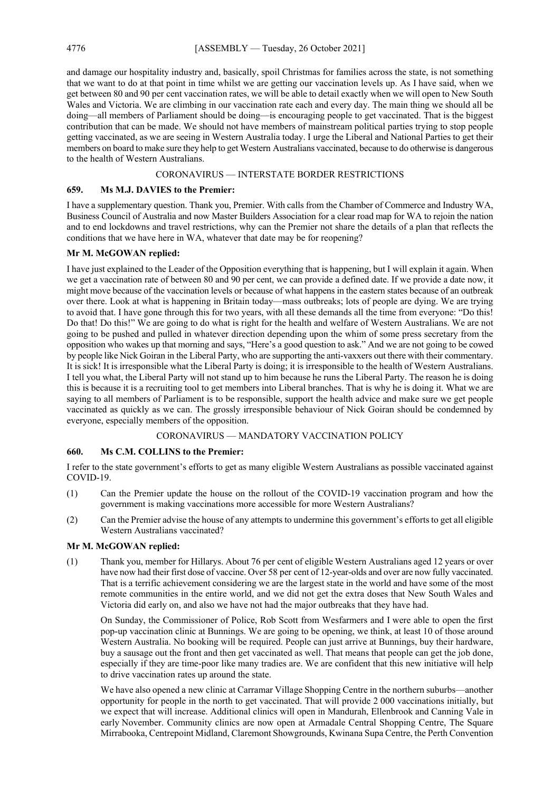and damage our hospitality industry and, basically, spoil Christmas for families across the state, is not something that we want to do at that point in time whilst we are getting our vaccination levels up. As I have said, when we get between 80 and 90 per cent vaccination rates, we will be able to detail exactly when we will open to New South Wales and Victoria. We are climbing in our vaccination rate each and every day. The main thing we should all be doing—all members of Parliament should be doing—is encouraging people to get vaccinated. That is the biggest contribution that can be made. We should not have members of mainstream political parties trying to stop people getting vaccinated, as we are seeing in Western Australia today. I urge the Liberal and National Parties to get their members on board to make sure they help to get Western Australians vaccinated, because to do otherwise is dangerous to the health of Western Australians.

#### CORONAVIRUS — INTERSTATE BORDER RESTRICTIONS

## **659. Ms M.J. DAVIES to the Premier:**

I have a supplementary question. Thank you, Premier. With calls from the Chamber of Commerce and Industry WA, Business Council of Australia and now Master Builders Association for a clear road map for WA to rejoin the nation and to end lockdowns and travel restrictions, why can the Premier not share the details of a plan that reflects the conditions that we have here in WA, whatever that date may be for reopening?

## **Mr M. McGOWAN replied:**

I have just explained to the Leader of the Opposition everything that is happening, but I will explain it again. When we get a vaccination rate of between 80 and 90 per cent, we can provide a defined date. If we provide a date now, it might move because of the vaccination levels or because of what happens in the eastern states because of an outbreak over there. Look at what is happening in Britain today—mass outbreaks; lots of people are dying. We are trying to avoid that. I have gone through this for two years, with all these demands all the time from everyone: "Do this! Do that! Do this!" We are going to do what is right for the health and welfare of Western Australians. We are not going to be pushed and pulled in whatever direction depending upon the whim of some press secretary from the opposition who wakes up that morning and says, "Here's a good question to ask." And we are not going to be cowed by people like Nick Goiran in the Liberal Party, who are supporting the anti-vaxxers out there with their commentary. It is sick! It is irresponsible what the Liberal Party is doing; it is irresponsible to the health of Western Australians. I tell you what, the Liberal Party will not stand up to him because he runs the Liberal Party. The reason he is doing this is because it is a recruiting tool to get members into Liberal branches. That is why he is doing it. What we are saying to all members of Parliament is to be responsible, support the health advice and make sure we get people vaccinated as quickly as we can. The grossly irresponsible behaviour of Nick Goiran should be condemned by everyone, especially members of the opposition.

## CORONAVIRUS — MANDATORY VACCINATION POLICY

## **660. Ms C.M. COLLINS to the Premier:**

I refer to the state government's efforts to get as many eligible Western Australians as possible vaccinated against COVID-19.

- (1) Can the Premier update the house on the rollout of the COVID-19 vaccination program and how the government is making vaccinations more accessible for more Western Australians?
- (2) Can the Premier advise the house of any attempts to undermine this government's efforts to get all eligible Western Australians vaccinated?

#### **Mr M. McGOWAN replied:**

(1) Thank you, member for Hillarys. About 76 per cent of eligible Western Australians aged 12 years or over have now had their first dose of vaccine. Over 58 per cent of 12-year-olds and over are now fully vaccinated. That is a terrific achievement considering we are the largest state in the world and have some of the most remote communities in the entire world, and we did not get the extra doses that New South Wales and Victoria did early on, and also we have not had the major outbreaks that they have had.

On Sunday, the Commissioner of Police, Rob Scott from Wesfarmers and I were able to open the first pop-up vaccination clinic at Bunnings. We are going to be opening, we think, at least 10 of those around Western Australia. No booking will be required. People can just arrive at Bunnings, buy their hardware, buy a sausage out the front and then get vaccinated as well. That means that people can get the job done, especially if they are time-poor like many tradies are. We are confident that this new initiative will help to drive vaccination rates up around the state.

We have also opened a new clinic at Carramar Village Shopping Centre in the northern suburbs—another opportunity for people in the north to get vaccinated. That will provide 2 000 vaccinations initially, but we expect that will increase. Additional clinics will open in Mandurah, Ellenbrook and Canning Vale in early November. Community clinics are now open at Armadale Central Shopping Centre, The Square Mirrabooka, Centrepoint Midland, Claremont Showgrounds, Kwinana Supa Centre, the Perth Convention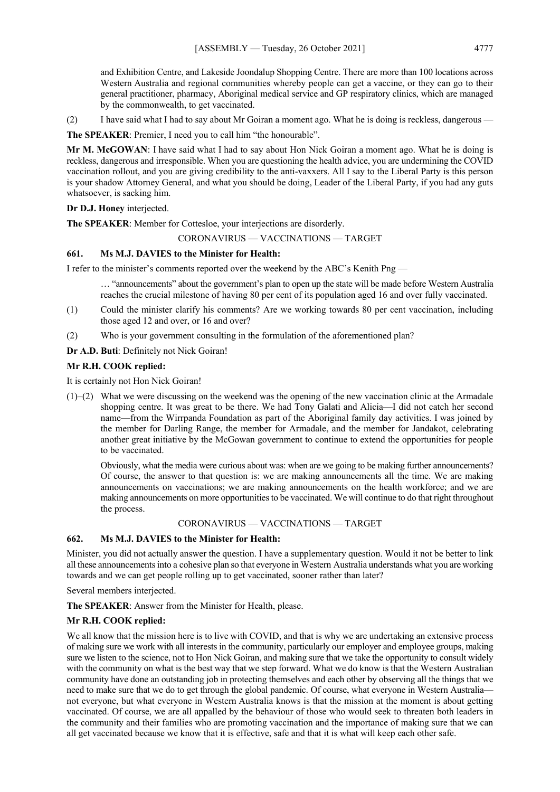and Exhibition Centre, and Lakeside Joondalup Shopping Centre. There are more than 100 locations across Western Australia and regional communities whereby people can get a vaccine, or they can go to their general practitioner, pharmacy, Aboriginal medical service and GP respiratory clinics, which are managed by the commonwealth, to get vaccinated.

(2) I have said what I had to say about Mr Goiran a moment ago. What he is doing is reckless, dangerous —

**The SPEAKER**: Premier, I need you to call him "the honourable".

**Mr M. McGOWAN**: I have said what I had to say about Hon Nick Goiran a moment ago. What he is doing is reckless, dangerous and irresponsible. When you are questioning the health advice, you are undermining the COVID vaccination rollout, and you are giving credibility to the anti-vaxxers. All I say to the Liberal Party is this person is your shadow Attorney General, and what you should be doing, Leader of the Liberal Party, if you had any guts whatsoever, is sacking him.

## **Dr D.J. Honey** interjected.

**The SPEAKER**: Member for Cottesloe, your interjections are disorderly.

## CORONAVIRUS — VACCINATIONS — TARGET

## **661. Ms M.J. DAVIES to the Minister for Health:**

I refer to the minister's comments reported over the weekend by the ABC's Kenith Png —

… "announcements" about the government's plan to open up the state will be made before Western Australia reaches the crucial milestone of having 80 per cent of its population aged 16 and over fully vaccinated.

- (1) Could the minister clarify his comments? Are we working towards 80 per cent vaccination, including those aged 12 and over, or 16 and over?
- (2) Who is your government consulting in the formulation of the aforementioned plan?

**Dr A.D. Buti**: Definitely not Nick Goiran!

## **Mr R.H. COOK replied:**

It is certainly not Hon Nick Goiran!

(1)–(2) What we were discussing on the weekend was the opening of the new vaccination clinic at the Armadale shopping centre. It was great to be there. We had Tony Galati and Alicia—I did not catch her second name—from the Wirrpanda Foundation as part of the Aboriginal family day activities. I was joined by the member for Darling Range, the member for Armadale, and the member for Jandakot, celebrating another great initiative by the McGowan government to continue to extend the opportunities for people to be vaccinated.

Obviously, what the media were curious about was: when are we going to be making further announcements? Of course, the answer to that question is: we are making announcements all the time. We are making announcements on vaccinations; we are making announcements on the health workforce; and we are making announcements on more opportunities to be vaccinated. We will continue to do that right throughout the process.

## CORONAVIRUS — VACCINATIONS — TARGET

## **662. Ms M.J. DAVIES to the Minister for Health:**

Minister, you did not actually answer the question. I have a supplementary question. Would it not be better to link all these announcements into a cohesive plan so that everyone in Western Australia understands what you are working towards and we can get people rolling up to get vaccinated, sooner rather than later?

Several members interjected.

**The SPEAKER**: Answer from the Minister for Health, please.

## **Mr R.H. COOK replied:**

We all know that the mission here is to live with COVID, and that is why we are undertaking an extensive process of making sure we work with all interests in the community, particularly our employer and employee groups, making sure we listen to the science, not to Hon Nick Goiran, and making sure that we take the opportunity to consult widely with the community on what is the best way that we step forward. What we do know is that the Western Australian community have done an outstanding job in protecting themselves and each other by observing all the things that we need to make sure that we do to get through the global pandemic. Of course, what everyone in Western Australia not everyone, but what everyone in Western Australia knows is that the mission at the moment is about getting vaccinated. Of course, we are all appalled by the behaviour of those who would seek to threaten both leaders in the community and their families who are promoting vaccination and the importance of making sure that we can all get vaccinated because we know that it is effective, safe and that it is what will keep each other safe.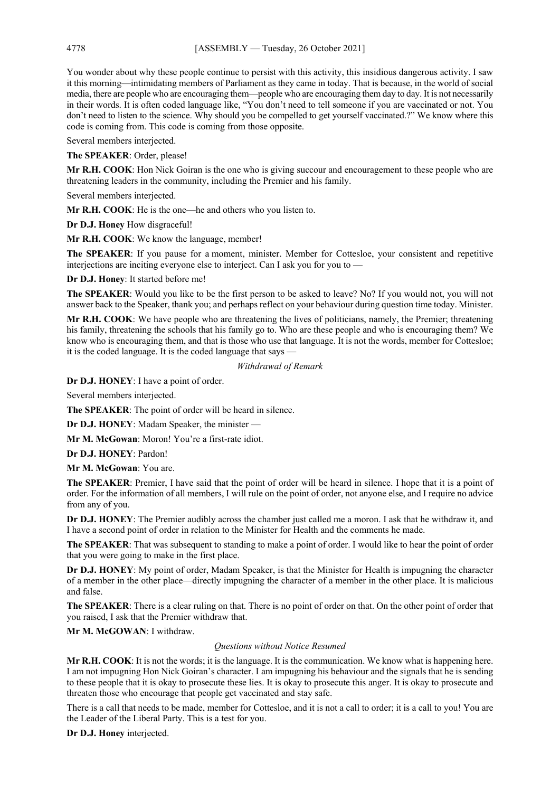You wonder about why these people continue to persist with this activity, this insidious dangerous activity. I saw it this morning—intimidating members of Parliament as they came in today. That is because, in the world of social media, there are people who are encouraging them—people who are encouraging them day to day. It is not necessarily in their words. It is often coded language like, "You don't need to tell someone if you are vaccinated or not. You don't need to listen to the science. Why should you be compelled to get yourself vaccinated.?" We know where this code is coming from. This code is coming from those opposite.

Several members interjected.

**The SPEAKER**: Order, please!

**Mr R.H. COOK**: Hon Nick Goiran is the one who is giving succour and encouragement to these people who are threatening leaders in the community, including the Premier and his family.

Several members interjected.

**Mr R.H. COOK**: He is the one—he and others who you listen to.

**Dr D.J. Honey** How disgraceful!

**Mr R.H. COOK**: We know the language, member!

**The SPEAKER**: If you pause for a moment, minister. Member for Cottesloe, your consistent and repetitive interjections are inciting everyone else to interject. Can I ask you for you to —

**Dr D.J. Honey**: It started before me!

**The SPEAKER**: Would you like to be the first person to be asked to leave? No? If you would not, you will not answer back to the Speaker, thank you; and perhaps reflect on your behaviour during question time today. Minister.

**Mr R.H. COOK**: We have people who are threatening the lives of politicians, namely, the Premier; threatening his family, threatening the schools that his family go to. Who are these people and who is encouraging them? We know who is encouraging them, and that is those who use that language. It is not the words, member for Cottesloe; it is the coded language. It is the coded language that says  $\cdot$ 

*Withdrawal of Remark*

**Dr D.J. HONEY**: I have a point of order.

Several members interjected.

**The SPEAKER**: The point of order will be heard in silence.

**Dr D.J. HONEY**: Madam Speaker, the minister —

**Mr M. McGowan**: Moron! You're a first-rate idiot.

**Dr D.J. HONEY**: Pardon!

**Mr M. McGowan**: You are.

**The SPEAKER**: Premier, I have said that the point of order will be heard in silence. I hope that it is a point of order. For the information of all members, I will rule on the point of order, not anyone else, and I require no advice from any of you.

**Dr D.J. HONEY**: The Premier audibly across the chamber just called me a moron. I ask that he withdraw it, and I have a second point of order in relation to the Minister for Health and the comments he made.

**The SPEAKER**: That was subsequent to standing to make a point of order. I would like to hear the point of order that you were going to make in the first place.

**Dr D.J. HONEY**: My point of order, Madam Speaker, is that the Minister for Health is impugning the character of a member in the other place—directly impugning the character of a member in the other place. It is malicious and false.

**The SPEAKER**: There is a clear ruling on that. There is no point of order on that. On the other point of order that you raised, I ask that the Premier withdraw that.

**Mr M. McGOWAN**: I withdraw.

## *Questions without Notice Resumed*

**Mr R.H. COOK**: It is not the words; it is the language. It is the communication. We know what is happening here. I am not impugning Hon Nick Goiran's character. I am impugning his behaviour and the signals that he is sending to these people that it is okay to prosecute these lies. It is okay to prosecute this anger. It is okay to prosecute and threaten those who encourage that people get vaccinated and stay safe.

There is a call that needs to be made, member for Cottesloe, and it is not a call to order; it is a call to you! You are the Leader of the Liberal Party. This is a test for you.

**Dr D.J. Honey** interjected.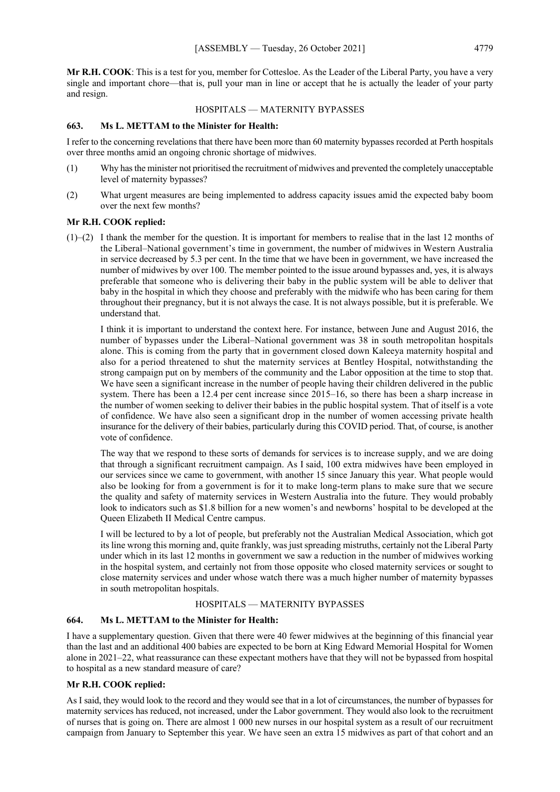**Mr R.H. COOK**: This is a test for you, member for Cottesloe. As the Leader of the Liberal Party, you have a very single and important chore—that is, pull your man in line or accept that he is actually the leader of your party and resign.

## HOSPITALS — MATERNITY BYPASSES

#### **663. Ms L. METTAM to the Minister for Health:**

I refer to the concerning revelations that there have been more than 60 maternity bypasses recorded at Perth hospitals over three months amid an ongoing chronic shortage of midwives.

- (1) Why has the minister not prioritised the recruitment of midwives and prevented the completely unacceptable level of maternity bypasses?
- (2) What urgent measures are being implemented to address capacity issues amid the expected baby boom over the next few months?

## **Mr R.H. COOK replied:**

 $(1)$ –(2) I thank the member for the question. It is important for members to realise that in the last 12 months of the Liberal–National government's time in government, the number of midwives in Western Australia in service decreased by 5.3 per cent. In the time that we have been in government, we have increased the number of midwives by over 100. The member pointed to the issue around bypasses and, yes, it is always preferable that someone who is delivering their baby in the public system will be able to deliver that baby in the hospital in which they choose and preferably with the midwife who has been caring for them throughout their pregnancy, but it is not always the case. It is not always possible, but it is preferable. We understand that.

I think it is important to understand the context here. For instance, between June and August 2016, the number of bypasses under the Liberal–National government was 38 in south metropolitan hospitals alone. This is coming from the party that in government closed down Kaleeya maternity hospital and also for a period threatened to shut the maternity services at Bentley Hospital, notwithstanding the strong campaign put on by members of the community and the Labor opposition at the time to stop that. We have seen a significant increase in the number of people having their children delivered in the public system. There has been a 12.4 per cent increase since 2015–16, so there has been a sharp increase in the number of women seeking to deliver their babies in the public hospital system. That of itself is a vote of confidence. We have also seen a significant drop in the number of women accessing private health insurance for the delivery of their babies, particularly during this COVID period. That, of course, is another vote of confidence.

The way that we respond to these sorts of demands for services is to increase supply, and we are doing that through a significant recruitment campaign. As I said, 100 extra midwives have been employed in our services since we came to government, with another 15 since January this year. What people would also be looking for from a government is for it to make long-term plans to make sure that we secure the quality and safety of maternity services in Western Australia into the future. They would probably look to indicators such as \$1.8 billion for a new women's and newborns' hospital to be developed at the Queen Elizabeth II Medical Centre campus.

I will be lectured to by a lot of people, but preferably not the Australian Medical Association, which got its line wrong this morning and, quite frankly, was just spreading mistruths, certainly not the Liberal Party under which in its last 12 months in government we saw a reduction in the number of midwives working in the hospital system, and certainly not from those opposite who closed maternity services or sought to close maternity services and under whose watch there was a much higher number of maternity bypasses in south metropolitan hospitals.

#### HOSPITALS — MATERNITY BYPASSES

#### **664. Ms L. METTAM to the Minister for Health:**

I have a supplementary question. Given that there were 40 fewer midwives at the beginning of this financial year than the last and an additional 400 babies are expected to be born at King Edward Memorial Hospital for Women alone in 2021–22, what reassurance can these expectant mothers have that they will not be bypassed from hospital to hospital as a new standard measure of care?

## **Mr R.H. COOK replied:**

As I said, they would look to the record and they would see that in a lot of circumstances, the number of bypasses for maternity services has reduced, not increased, under the Labor government. They would also look to the recruitment of nurses that is going on. There are almost 1 000 new nurses in our hospital system as a result of our recruitment campaign from January to September this year. We have seen an extra 15 midwives as part of that cohort and an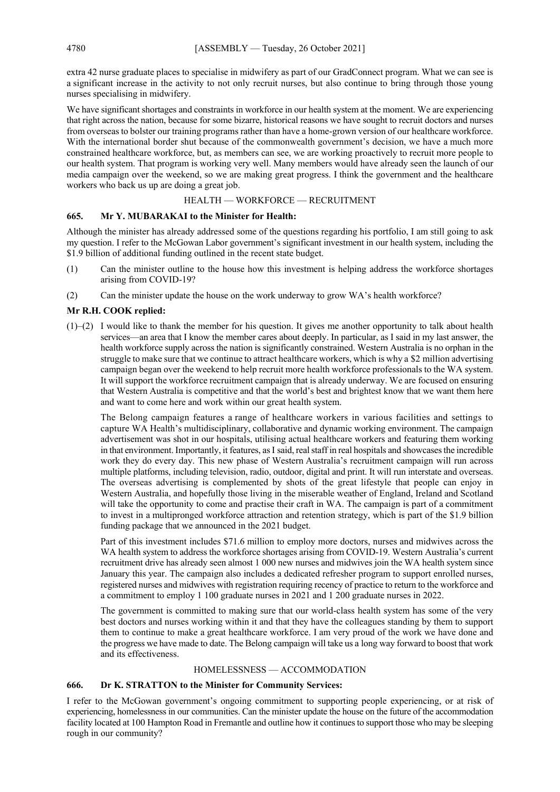extra 42 nurse graduate places to specialise in midwifery as part of our GradConnect program. What we can see is a significant increase in the activity to not only recruit nurses, but also continue to bring through those young nurses specialising in midwifery.

We have significant shortages and constraints in workforce in our health system at the moment. We are experiencing that right across the nation, because for some bizarre, historical reasons we have sought to recruit doctors and nurses from overseas to bolster our training programs rather than have a home-grown version of our healthcare workforce. With the international border shut because of the commonwealth government's decision, we have a much more constrained healthcare workforce, but, as members can see, we are working proactively to recruit more people to our health system. That program is working very well. Many members would have already seen the launch of our media campaign over the weekend, so we are making great progress. I think the government and the healthcare workers who back us up are doing a great job.

## HEALTH — WORKFORCE — RECRUITMENT

## **665. Mr Y. MUBARAKAI to the Minister for Health:**

Although the minister has already addressed some of the questions regarding his portfolio, I am still going to ask my question. I refer to the McGowan Labor government's significant investment in our health system, including the \$1.9 billion of additional funding outlined in the recent state budget.

- (1) Can the minister outline to the house how this investment is helping address the workforce shortages arising from COVID-19?
- (2) Can the minister update the house on the work underway to grow WA's health workforce?

## **Mr R.H. COOK replied:**

(1)–(2) I would like to thank the member for his question. It gives me another opportunity to talk about health services—an area that I know the member cares about deeply. In particular, as I said in my last answer, the health workforce supply across the nation is significantly constrained. Western Australia is no orphan in the struggle to make sure that we continue to attract healthcare workers, which is why a \$2 million advertising campaign began over the weekend to help recruit more health workforce professionals to the WA system. It will support the workforce recruitment campaign that is already underway. We are focused on ensuring that Western Australia is competitive and that the world's best and brightest know that we want them here and want to come here and work within our great health system.

The Belong campaign features a range of healthcare workers in various facilities and settings to capture WA Health's multidisciplinary, collaborative and dynamic working environment. The campaign advertisement was shot in our hospitals, utilising actual healthcare workers and featuring them working in that environment. Importantly, it features, asI said, real staff in real hospitals and showcases the incredible work they do every day. This new phase of Western Australia's recruitment campaign will run across multiple platforms, including television, radio, outdoor, digital and print. It will run interstate and overseas. The overseas advertising is complemented by shots of the great lifestyle that people can enjoy in Western Australia, and hopefully those living in the miserable weather of England, Ireland and Scotland will take the opportunity to come and practise their craft in WA. The campaign is part of a commitment to invest in a multipronged workforce attraction and retention strategy, which is part of the \$1.9 billion funding package that we announced in the 2021 budget.

Part of this investment includes \$71.6 million to employ more doctors, nurses and midwives across the WA health system to address the workforce shortages arising from COVID-19. Western Australia's current recruitment drive has already seen almost 1 000 new nurses and midwives join the WA health system since January this year. The campaign also includes a dedicated refresher program to support enrolled nurses, registered nurses and midwives with registration requiring recency of practice to return to the workforce and a commitment to employ 1 100 graduate nurses in 2021 and 1 200 graduate nurses in 2022.

The government is committed to making sure that our world-class health system has some of the very best doctors and nurses working within it and that they have the colleagues standing by them to support them to continue to make a great healthcare workforce. I am very proud of the work we have done and the progress we have made to date. The Belong campaign will take us a long way forward to boost that work and its effectiveness.

## HOMELESSNESS — ACCOMMODATION

## **666. Dr K. STRATTON to the Minister for Community Services:**

I refer to the McGowan government's ongoing commitment to supporting people experiencing, or at risk of experiencing, homelessness in our communities. Can the minister update the house on the future of the accommodation facility located at 100 Hampton Road in Fremantle and outline how it continues to support those who may be sleeping rough in our community?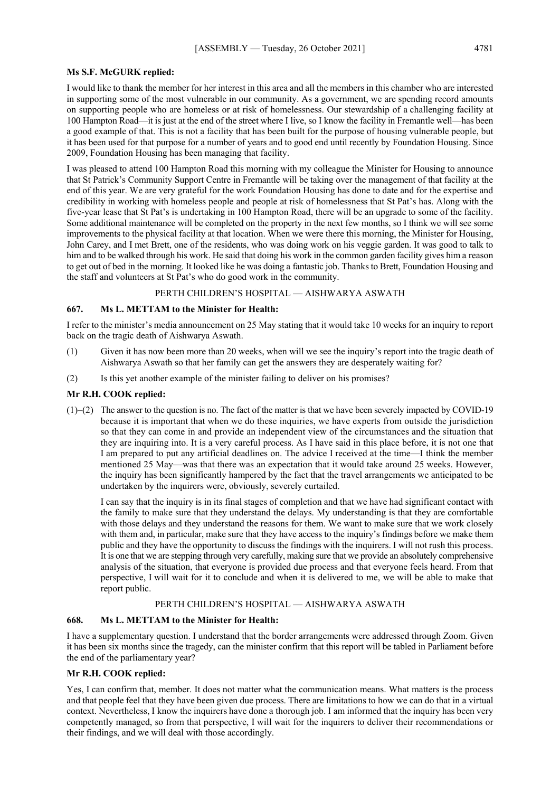#### **Ms S.F. McGURK replied:**

I would like to thank the member for her interest in this area and all the members in this chamber who are interested in supporting some of the most vulnerable in our community. As a government, we are spending record amounts on supporting people who are homeless or at risk of homelessness. Our stewardship of a challenging facility at 100 Hampton Road—it is just at the end of the street where I live, so I know the facility in Fremantle well—has been a good example of that. This is not a facility that has been built for the purpose of housing vulnerable people, but it has been used for that purpose for a number of years and to good end until recently by Foundation Housing. Since 2009, Foundation Housing has been managing that facility.

I was pleased to attend 100 Hampton Road this morning with my colleague the Minister for Housing to announce that St Patrick's Community Support Centre in Fremantle will be taking over the management of that facility at the end of this year. We are very grateful for the work Foundation Housing has done to date and for the expertise and credibility in working with homeless people and people at risk of homelessness that St Pat's has. Along with the five-year lease that St Pat's is undertaking in 100 Hampton Road, there will be an upgrade to some of the facility. Some additional maintenance will be completed on the property in the next few months, so I think we will see some improvements to the physical facility at that location. When we were there this morning, the Minister for Housing, John Carey, and I met Brett, one of the residents, who was doing work on his veggie garden. It was good to talk to him and to be walked through his work. He said that doing his work in the common garden facility gives him a reason to get out of bed in the morning. It looked like he was doing a fantastic job. Thanks to Brett, Foundation Housing and the staff and volunteers at St Pat's who do good work in the community.

## PERTH CHILDREN'S HOSPITAL — AISHWARYA ASWATH

#### **667. Ms L. METTAM to the Minister for Health:**

I refer to the minister's media announcement on 25 May stating that it would take 10 weeks for an inquiry to report back on the tragic death of Aishwarya Aswath.

- (1) Given it has now been more than 20 weeks, when will we see the inquiry's report into the tragic death of Aishwarya Aswath so that her family can get the answers they are desperately waiting for?
- (2) Is this yet another example of the minister failing to deliver on his promises?

#### **Mr R.H. COOK replied:**

(1)–(2) The answer to the question is no. The fact of the matter is that we have been severely impacted by COVID-19 because it is important that when we do these inquiries, we have experts from outside the jurisdiction so that they can come in and provide an independent view of the circumstances and the situation that they are inquiring into. It is a very careful process. As I have said in this place before, it is not one that I am prepared to put any artificial deadlines on. The advice I received at the time—I think the member mentioned 25 May—was that there was an expectation that it would take around 25 weeks. However, the inquiry has been significantly hampered by the fact that the travel arrangements we anticipated to be undertaken by the inquirers were, obviously, severely curtailed.

I can say that the inquiry is in its final stages of completion and that we have had significant contact with the family to make sure that they understand the delays. My understanding is that they are comfortable with those delays and they understand the reasons for them. We want to make sure that we work closely with them and, in particular, make sure that they have access to the inquiry's findings before we make them public and they have the opportunity to discuss the findings with the inquirers. I will not rush this process. It is one that we are stepping through very carefully, making sure that we provide an absolutely comprehensive analysis of the situation, that everyone is provided due process and that everyone feels heard. From that perspective, I will wait for it to conclude and when it is delivered to me, we will be able to make that report public.

#### PERTH CHILDREN'S HOSPITAL — AISHWARYA ASWATH

## **668. Ms L. METTAM to the Minister for Health:**

I have a supplementary question. I understand that the border arrangements were addressed through Zoom. Given it has been six months since the tragedy, can the minister confirm that this report will be tabled in Parliament before the end of the parliamentary year?

## **Mr R.H. COOK replied:**

Yes, I can confirm that, member. It does not matter what the communication means. What matters is the process and that people feel that they have been given due process. There are limitations to how we can do that in a virtual context. Nevertheless, I know the inquirers have done a thorough job. I am informed that the inquiry has been very competently managed, so from that perspective, I will wait for the inquirers to deliver their recommendations or their findings, and we will deal with those accordingly.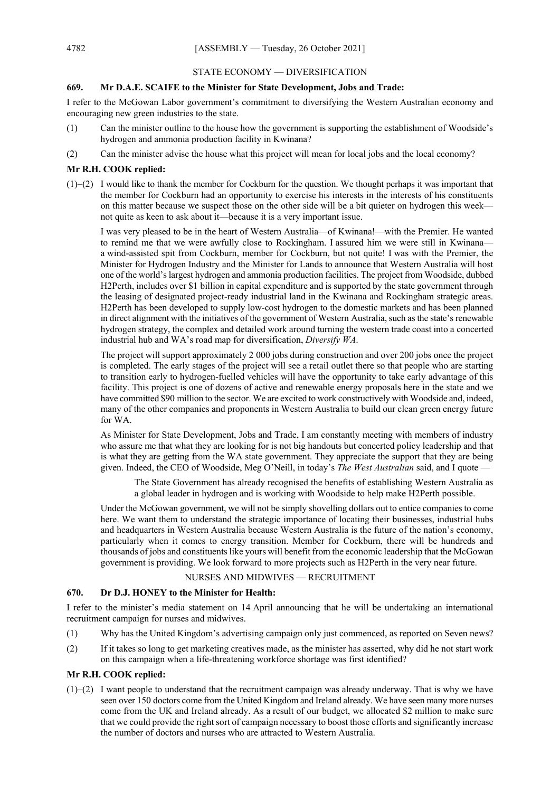## STATE ECONOMY — DIVERSIFICATION

## **669. Mr D.A.E. SCAIFE to the Minister for State Development, Jobs and Trade:**

I refer to the McGowan Labor government's commitment to diversifying the Western Australian economy and encouraging new green industries to the state.

- (1) Can the minister outline to the house how the government is supporting the establishment of Woodside's hydrogen and ammonia production facility in Kwinana?
- (2) Can the minister advise the house what this project will mean for local jobs and the local economy?

## **Mr R.H. COOK replied:**

(1)–(2) I would like to thank the member for Cockburn for the question. We thought perhaps it was important that the member for Cockburn had an opportunity to exercise his interests in the interests of his constituents on this matter because we suspect those on the other side will be a bit quieter on hydrogen this week not quite as keen to ask about it—because it is a very important issue.

I was very pleased to be in the heart of Western Australia—of Kwinana!—with the Premier. He wanted to remind me that we were awfully close to Rockingham. I assured him we were still in Kwinana a wind-assisted spit from Cockburn, member for Cockburn, but not quite! I was with the Premier, the Minister for Hydrogen Industry and the Minister for Lands to announce that Western Australia will host one of the world's largest hydrogen and ammonia production facilities. The project from Woodside, dubbed H2Perth, includes over \$1 billion in capital expenditure and is supported by the state government through the leasing of designated project-ready industrial land in the Kwinana and Rockingham strategic areas. H2Perth has been developed to supply low-cost hydrogen to the domestic markets and has been planned in direct alignment with the initiatives of the government of Western Australia, such as the state's renewable hydrogen strategy, the complex and detailed work around turning the western trade coast into a concerted industrial hub and WA's road map for diversification, *Diversify WA*.

The project will support approximately 2 000 jobs during construction and over 200 jobs once the project is completed. The early stages of the project will see a retail outlet there so that people who are starting to transition early to hydrogen-fuelled vehicles will have the opportunity to take early advantage of this facility. This project is one of dozens of active and renewable energy proposals here in the state and we have committed \$90 million to the sector. We are excited to work constructively with Woodside and, indeed, many of the other companies and proponents in Western Australia to build our clean green energy future for WA.

As Minister for State Development, Jobs and Trade, I am constantly meeting with members of industry who assure me that what they are looking for is not big handouts but concerted policy leadership and that is what they are getting from the WA state government. They appreciate the support that they are being given. Indeed, the CEO of Woodside, Meg O'Neill, in today's *The West Australian* said, and I quote —

The State Government has already recognised the benefits of establishing Western Australia as a global leader in hydrogen and is working with Woodside to help make H2Perth possible.

Under the McGowan government, we will not be simply shovelling dollars out to entice companies to come here. We want them to understand the strategic importance of locating their businesses, industrial hubs and headquarters in Western Australia because Western Australia is the future of the nation's economy, particularly when it comes to energy transition. Member for Cockburn, there will be hundreds and thousands of jobs and constituents like yours will benefit from the economic leadership that the McGowan government is providing. We look forward to more projects such as H2Perth in the very near future.

## NURSES AND MIDWIVES — RECRUITMENT

## **670. Dr D.J. HONEY to the Minister for Health:**

I refer to the minister's media statement on 14 April announcing that he will be undertaking an international recruitment campaign for nurses and midwives.

- (1) Why has the United Kingdom's advertising campaign only just commenced, as reported on Seven news?
- (2) If it takes so long to get marketing creatives made, as the minister has asserted, why did he not start work on this campaign when a life-threatening workforce shortage was first identified?

## **Mr R.H. COOK replied:**

(1)–(2) I want people to understand that the recruitment campaign was already underway. That is why we have seen over 150 doctors come from the United Kingdom and Ireland already. We have seen many more nurses come from the UK and Ireland already. As a result of our budget, we allocated \$2 million to make sure that we could provide the right sort of campaign necessary to boost those efforts and significantly increase the number of doctors and nurses who are attracted to Western Australia.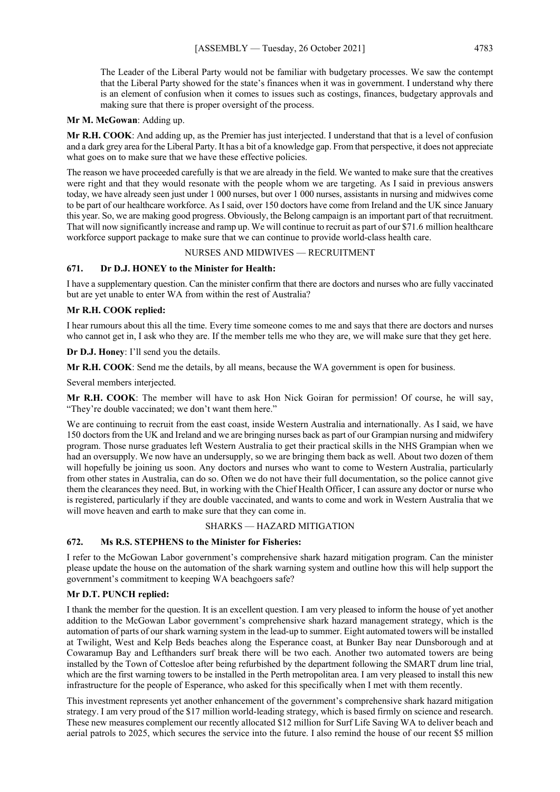The Leader of the Liberal Party would not be familiar with budgetary processes. We saw the contempt that the Liberal Party showed for the state's finances when it was in government. I understand why there is an element of confusion when it comes to issues such as costings, finances, budgetary approvals and making sure that there is proper oversight of the process.

## **Mr M. McGowan**: Adding up.

**Mr R.H. COOK**: And adding up, as the Premier has just interjected. I understand that that is a level of confusion and a dark grey area for the Liberal Party. It has a bit of a knowledge gap. From that perspective, it does not appreciate what goes on to make sure that we have these effective policies.

The reason we have proceeded carefully is that we are already in the field. We wanted to make sure that the creatives were right and that they would resonate with the people whom we are targeting. As I said in previous answers today, we have already seen just under 1 000 nurses, but over 1 000 nurses, assistants in nursing and midwives come to be part of our healthcare workforce. As I said, over 150 doctors have come from Ireland and the UK since January this year. So, we are making good progress. Obviously, the Belong campaign is an important part of that recruitment. That will now significantly increase and ramp up. We will continue to recruit as part of our \$71.6 million healthcare workforce support package to make sure that we can continue to provide world-class health care.

## NURSES AND MIDWIVES — RECRUITMENT

## **671. Dr D.J. HONEY to the Minister for Health:**

I have a supplementary question. Can the minister confirm that there are doctors and nurses who are fully vaccinated but are yet unable to enter WA from within the rest of Australia?

## **Mr R.H. COOK replied:**

I hear rumours about this all the time. Every time someone comes to me and says that there are doctors and nurses who cannot get in, I ask who they are. If the member tells me who they are, we will make sure that they get here.

**Dr D.J. Honey**: I'll send you the details.

**Mr R.H. COOK**: Send me the details, by all means, because the WA government is open for business.

Several members interjected.

**Mr R.H. COOK**: The member will have to ask Hon Nick Goiran for permission! Of course, he will say, "They're double vaccinated; we don't want them here."

We are continuing to recruit from the east coast, inside Western Australia and internationally. As I said, we have 150 doctors from the UK and Ireland and we are bringing nurses back as part of our Grampian nursing and midwifery program. Those nurse graduates left Western Australia to get their practical skills in the NHS Grampian when we had an oversupply. We now have an undersupply, so we are bringing them back as well. About two dozen of them will hopefully be joining us soon. Any doctors and nurses who want to come to Western Australia, particularly from other states in Australia, can do so. Often we do not have their full documentation, so the police cannot give them the clearances they need. But, in working with the Chief Health Officer, I can assure any doctor or nurse who is registered, particularly if they are double vaccinated, and wants to come and work in Western Australia that we will move heaven and earth to make sure that they can come in.

## SHARKS — HAZARD MITIGATION

## **672. Ms R.S. STEPHENS to the Minister for Fisheries:**

I refer to the McGowan Labor government's comprehensive shark hazard mitigation program. Can the minister please update the house on the automation of the shark warning system and outline how this will help support the government's commitment to keeping WA beachgoers safe?

## **Mr D.T. PUNCH replied:**

I thank the member for the question. It is an excellent question. I am very pleased to inform the house of yet another addition to the McGowan Labor government's comprehensive shark hazard management strategy, which is the automation of parts of our shark warning system in the lead-up to summer. Eight automated towers will be installed at Twilight, West and Kelp Beds beaches along the Esperance coast, at Bunker Bay near Dunsborough and at Cowaramup Bay and Lefthanders surf break there will be two each. Another two automated towers are being installed by the Town of Cottesloe after being refurbished by the department following the SMART drum line trial, which are the first warning towers to be installed in the Perth metropolitan area. I am very pleased to install this new infrastructure for the people of Esperance, who asked for this specifically when I met with them recently.

This investment represents yet another enhancement of the government's comprehensive shark hazard mitigation strategy. I am very proud of the \$17 million world-leading strategy, which is based firmly on science and research. These new measures complement our recently allocated \$12 million for Surf Life Saving WA to deliver beach and aerial patrols to 2025, which secures the service into the future. I also remind the house of our recent \$5 million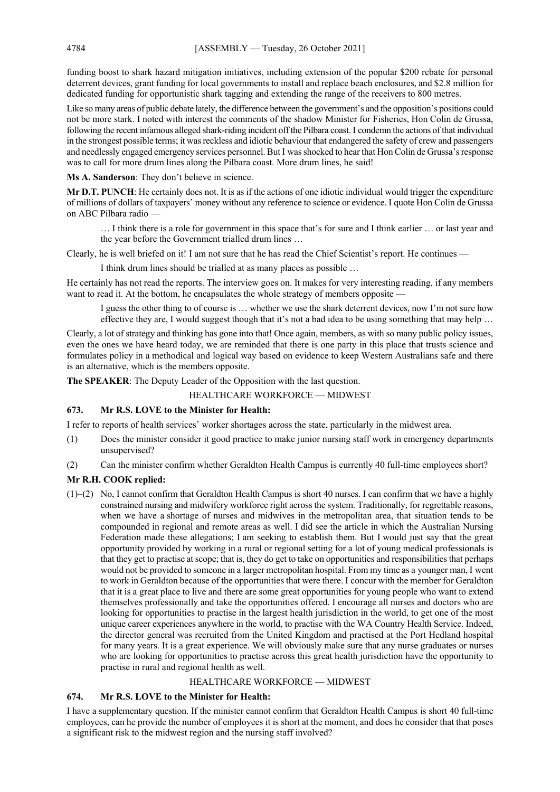funding boost to shark hazard mitigation initiatives, including extension of the popular \$200 rebate for personal deterrent devices, grant funding for local governments to install and replace beach enclosures, and \$2.8 million for dedicated funding for opportunistic shark tagging and extending the range of the receivers to 800 metres.

Like so many areas of public debate lately, the difference between the government's and the opposition's positions could not be more stark. I noted with interest the comments of the shadow Minister for Fisheries, Hon Colin de Grussa, following the recent infamous alleged shark-riding incident off the Pilbara coast. I condemn the actions of that individual in the strongest possible terms; it was reckless and idiotic behaviour that endangered the safety of crew and passengers and needlessly engaged emergency services personnel. But I was shocked to hear that Hon Colin de Grussa's response was to call for more drum lines along the Pilbara coast. More drum lines, he said!

**Ms A. Sanderson**: They don't believe in science.

**Mr D.T. PUNCH**: He certainly does not. It is as if the actions of one idiotic individual would trigger the expenditure of millions of dollars of taxpayers' money without any reference to science or evidence. I quote Hon Colin de Grussa on ABC Pilbara radio —

… I think there is a role for government in this space that's for sure and I think earlier … or last year and the year before the Government trialled drum lines …

Clearly, he is well briefed on it! I am not sure that he has read the Chief Scientist's report. He continues —

I think drum lines should be trialled at as many places as possible …

He certainly has not read the reports. The interview goes on. It makes for very interesting reading, if any members want to read it. At the bottom, he encapsulates the whole strategy of members opposite

I guess the other thing to of course is … whether we use the shark deterrent devices, now I'm not sure how effective they are, I would suggest though that it's not a bad idea to be using something that may help …

Clearly, a lot of strategy and thinking has gone into that! Once again, members, as with so many public policy issues, even the ones we have heard today, we are reminded that there is one party in this place that trusts science and formulates policy in a methodical and logical way based on evidence to keep Western Australians safe and there is an alternative, which is the members opposite.

**The SPEAKER**: The Deputy Leader of the Opposition with the last question.

HEALTHCARE WORKFORCE — MIDWEST

## **673. Mr R.S. LOVE to the Minister for Health:**

I refer to reports of health services' worker shortages across the state, particularly in the midwest area.

- (1) Does the minister consider it good practice to make junior nursing staff work in emergency departments unsupervised?
- (2) Can the minister confirm whether Geraldton Health Campus is currently 40 full-time employees short?

## **Mr R.H. COOK replied:**

(1)–(2) No, I cannot confirm that Geraldton Health Campus is short 40 nurses. I can confirm that we have a highly constrained nursing and midwifery workforce right across the system. Traditionally, for regrettable reasons, when we have a shortage of nurses and midwives in the metropolitan area, that situation tends to be compounded in regional and remote areas as well. I did see the article in which the Australian Nursing Federation made these allegations; I am seeking to establish them. But I would just say that the great opportunity provided by working in a rural or regional setting for a lot of young medical professionals is that they get to practise at scope; that is, they do get to take on opportunities and responsibilities that perhaps would not be provided to someone in a larger metropolitan hospital. From my time as a younger man, I went to work in Geraldton because of the opportunities that were there. I concur with the member for Geraldton that it is a great place to live and there are some great opportunities for young people who want to extend themselves professionally and take the opportunities offered. I encourage all nurses and doctors who are looking for opportunities to practise in the largest health jurisdiction in the world, to get one of the most unique career experiences anywhere in the world, to practise with the WA Country Health Service. Indeed, the director general was recruited from the United Kingdom and practised at the Port Hedland hospital for many years. It is a great experience. We will obviously make sure that any nurse graduates or nurses who are looking for opportunities to practise across this great health jurisdiction have the opportunity to practise in rural and regional health as well.

## HEALTHCARE WORKFORCE — MIDWEST

## **674. Mr R.S. LOVE to the Minister for Health:**

I have a supplementary question. If the minister cannot confirm that Geraldton Health Campus is short 40 full-time employees, can he provide the number of employees it is short at the moment, and does he consider that that poses a significant risk to the midwest region and the nursing staff involved?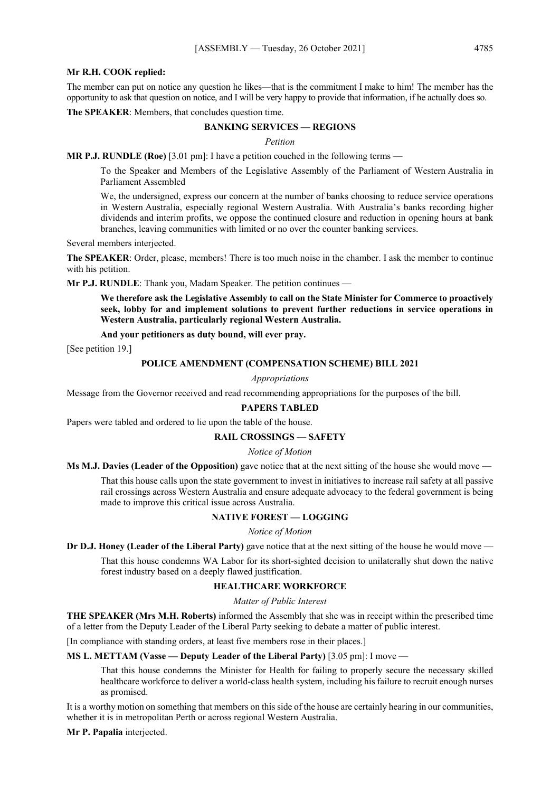#### **Mr R.H. COOK replied:**

The member can put on notice any question he likes—that is the commitment I make to him! The member has the opportunity to ask that question on notice, and I will be very happy to provide that information, if he actually does so.

**The SPEAKER**: Members, that concludes question time.

## **BANKING SERVICES — REGIONS**

*Petition*

**MR P.J. RUNDLE (Roe)** [3.01 pm]: I have a petition couched in the following terms —

To the Speaker and Members of the Legislative Assembly of the Parliament of Western Australia in Parliament Assembled

We, the undersigned, express our concern at the number of banks choosing to reduce service operations in Western Australia, especially regional Western Australia. With Australia's banks recording higher dividends and interim profits, we oppose the continued closure and reduction in opening hours at bank branches, leaving communities with limited or no over the counter banking services.

Several members interjected.

**The SPEAKER**: Order, please, members! There is too much noise in the chamber. I ask the member to continue with his petition.

**Mr P.J. RUNDLE**: Thank you, Madam Speaker. The petition continues —

**We therefore ask the Legislative Assembly to call on the State Minister for Commerce to proactively seek, lobby for and implement solutions to prevent further reductions in service operations in Western Australia, particularly regional Western Australia.**

**And your petitioners as duty bound, will ever pray.**

[See petition 19.]

#### **POLICE AMENDMENT (COMPENSATION SCHEME) BILL 2021**

*Appropriations*

Message from the Governor received and read recommending appropriations for the purposes of the bill.

#### **PAPERS TABLED**

Papers were tabled and ordered to lie upon the table of the house.

## **RAIL CROSSINGS — SAFETY**

## *Notice of Motion*

**Ms M.J. Davies (Leader of the Opposition)** gave notice that at the next sitting of the house she would move —

That this house calls upon the state government to invest in initiatives to increase rail safety at all passive rail crossings across Western Australia and ensure adequate advocacy to the federal government is being made to improve this critical issue across Australia.

## **NATIVE FOREST — LOGGING**

*Notice of Motion*

**Dr D.J. Honey** (Leader of the Liberal Party) gave notice that at the next sitting of the house he would move —

That this house condemns WA Labor for its short-sighted decision to unilaterally shut down the native forest industry based on a deeply flawed justification.

## **HEALTHCARE WORKFORCE**

## *Matter of Public Interest*

**THE SPEAKER (Mrs M.H. Roberts)** informed the Assembly that she was in receipt within the prescribed time of a letter from the Deputy Leader of the Liberal Party seeking to debate a matter of public interest.

[In compliance with standing orders, at least five members rose in their places.]

## **MS L. METTAM (Vasse — Deputy Leader of the Liberal Party)** [3.05 pm]: I move —

That this house condemns the Minister for Health for failing to properly secure the necessary skilled healthcare workforce to deliver a world-class health system, including his failure to recruit enough nurses as promised.

It is a worthy motion on something that members on this side of the house are certainly hearing in our communities, whether it is in metropolitan Perth or across regional Western Australia.

**Mr P. Papalia** interjected.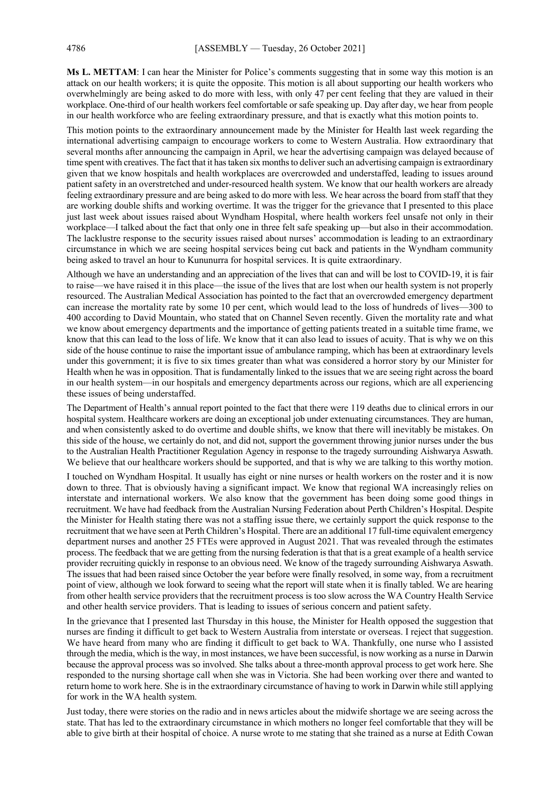**Ms L. METTAM**: I can hear the Minister for Police's comments suggesting that in some way this motion is an attack on our health workers; it is quite the opposite. This motion is all about supporting our health workers who overwhelmingly are being asked to do more with less, with only 47 per cent feeling that they are valued in their workplace. One-third of our health workers feel comfortable or safe speaking up. Day after day, we hear from people in our health workforce who are feeling extraordinary pressure, and that is exactly what this motion points to.

This motion points to the extraordinary announcement made by the Minister for Health last week regarding the international advertising campaign to encourage workers to come to Western Australia. How extraordinary that several months after announcing the campaign in April, we hear the advertising campaign was delayed because of time spent with creatives. The fact that it has taken six months to deliver such an advertising campaign is extraordinary given that we know hospitals and health workplaces are overcrowded and understaffed, leading to issues around patient safety in an overstretched and under-resourced health system. We know that our health workers are already feeling extraordinary pressure and are being asked to do more with less. We hear across the board from staff that they are working double shifts and working overtime. It was the trigger for the grievance that I presented to this place just last week about issues raised about Wyndham Hospital, where health workers feel unsafe not only in their workplace—I talked about the fact that only one in three felt safe speaking up—but also in their accommodation. The lacklustre response to the security issues raised about nurses' accommodation is leading to an extraordinary circumstance in which we are seeing hospital services being cut back and patients in the Wyndham community being asked to travel an hour to Kununurra for hospital services. It is quite extraordinary.

Although we have an understanding and an appreciation of the lives that can and will be lost to COVID-19, it is fair to raise—we have raised it in this place—the issue of the lives that are lost when our health system is not properly resourced. The Australian Medical Association has pointed to the fact that an overcrowded emergency department can increase the mortality rate by some 10 per cent, which would lead to the loss of hundreds of lives—300 to 400 according to David Mountain, who stated that on Channel Seven recently. Given the mortality rate and what we know about emergency departments and the importance of getting patients treated in a suitable time frame, we know that this can lead to the loss of life. We know that it can also lead to issues of acuity. That is why we on this side of the house continue to raise the important issue of ambulance ramping, which has been at extraordinary levels under this government; it is five to six times greater than what was considered a horror story by our Minister for Health when he was in opposition. That is fundamentally linked to the issues that we are seeing right across the board in our health system—in our hospitals and emergency departments across our regions, which are all experiencing these issues of being understaffed.

The Department of Health's annual report pointed to the fact that there were 119 deaths due to clinical errors in our hospital system. Healthcare workers are doing an exceptional job under extenuating circumstances. They are human, and when consistently asked to do overtime and double shifts, we know that there will inevitably be mistakes. On this side of the house, we certainly do not, and did not, support the government throwing junior nurses under the bus to the Australian Health Practitioner Regulation Agency in response to the tragedy surrounding Aishwarya Aswath. We believe that our healthcare workers should be supported, and that is why we are talking to this worthy motion.

I touched on Wyndham Hospital. It usually has eight or nine nurses or health workers on the roster and it is now down to three. That is obviously having a significant impact. We know that regional WA increasingly relies on interstate and international workers. We also know that the government has been doing some good things in recruitment. We have had feedback from the Australian Nursing Federation about Perth Children's Hospital. Despite the Minister for Health stating there was not a staffing issue there, we certainly support the quick response to the recruitment that we have seen at Perth Children's Hospital. There are an additional 17 full-time equivalent emergency department nurses and another 25 FTEs were approved in August 2021. That was revealed through the estimates process. The feedback that we are getting from the nursing federation is that that is a great example of a health service provider recruiting quickly in response to an obvious need. We know of the tragedy surrounding Aishwarya Aswath. The issues that had been raised since October the year before were finally resolved, in some way, from a recruitment point of view, although we look forward to seeing what the report will state when it is finally tabled. We are hearing from other health service providers that the recruitment process is too slow across the WA Country Health Service and other health service providers. That is leading to issues of serious concern and patient safety.

In the grievance that I presented last Thursday in this house, the Minister for Health opposed the suggestion that nurses are finding it difficult to get back to Western Australia from interstate or overseas. I reject that suggestion. We have heard from many who are finding it difficult to get back to WA. Thankfully, one nurse who I assisted through the media, which is the way, in most instances, we have been successful, is now working as a nurse in Darwin because the approval process was so involved. She talks about a three-month approval process to get work here. She responded to the nursing shortage call when she was in Victoria. She had been working over there and wanted to return home to work here. She is in the extraordinary circumstance of having to work in Darwin while still applying for work in the WA health system.

Just today, there were stories on the radio and in news articles about the midwife shortage we are seeing across the state. That has led to the extraordinary circumstance in which mothers no longer feel comfortable that they will be able to give birth at their hospital of choice. A nurse wrote to me stating that she trained as a nurse at Edith Cowan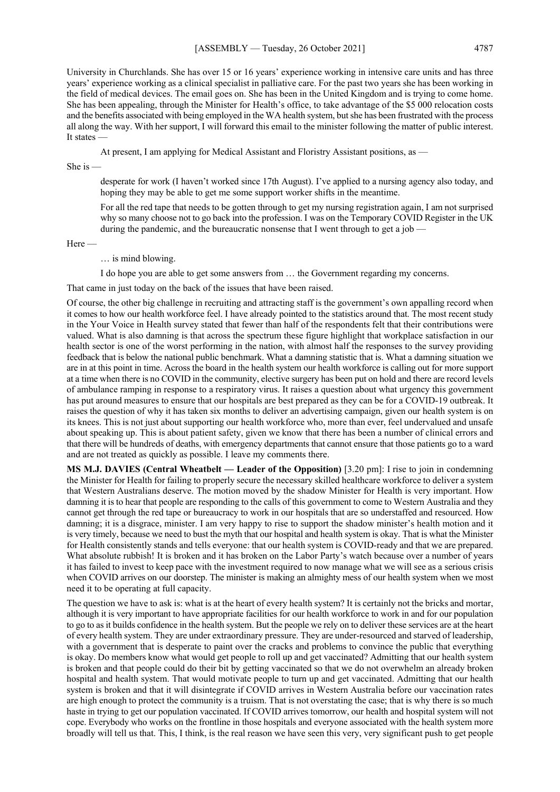University in Churchlands. She has over 15 or 16 years' experience working in intensive care units and has three years' experience working as a clinical specialist in palliative care. For the past two years she has been working in the field of medical devices. The email goes on. She has been in the United Kingdom and is trying to come home. She has been appealing, through the Minister for Health's office, to take advantage of the \$5 000 relocation costs and the benefits associated with being employed in the WA health system, but she has been frustrated with the process all along the way. With her support, I will forward this email to the minister following the matter of public interest. It states

At present, I am applying for Medical Assistant and Floristry Assistant positions, as —

She is —

desperate for work (I haven't worked since 17th August). I've applied to a nursing agency also today, and hoping they may be able to get me some support worker shifts in the meantime.

For all the red tape that needs to be gotten through to get my nursing registration again, I am not surprised why so many choose not to go back into the profession. I was on the Temporary COVID Register in the UK during the pandemic, and the bureaucratic nonsense that I went through to get a job —

Here —

… is mind blowing.

I do hope you are able to get some answers from … the Government regarding my concerns.

That came in just today on the back of the issues that have been raised.

Of course, the other big challenge in recruiting and attracting staff is the government's own appalling record when it comes to how our health workforce feel. I have already pointed to the statistics around that. The most recent study in the Your Voice in Health survey stated that fewer than half of the respondents felt that their contributions were valued. What is also damning is that across the spectrum these figure highlight that workplace satisfaction in our health sector is one of the worst performing in the nation, with almost half the responses to the survey providing feedback that is below the national public benchmark. What a damning statistic that is. What a damning situation we are in at this point in time. Across the board in the health system our health workforce is calling out for more support at a time when there is no COVID in the community, elective surgery has been put on hold and there are record levels of ambulance ramping in response to a respiratory virus. It raises a question about what urgency this government has put around measures to ensure that our hospitals are best prepared as they can be for a COVID-19 outbreak. It raises the question of why it has taken six months to deliver an advertising campaign, given our health system is on its knees. This is not just about supporting our health workforce who, more than ever, feel undervalued and unsafe about speaking up. This is about patient safety, given we know that there has been a number of clinical errors and that there will be hundreds of deaths, with emergency departments that cannot ensure that those patients go to a ward and are not treated as quickly as possible. I leave my comments there.

**MS M.J. DAVIES (Central Wheatbelt — Leader of the Opposition)** [3.20 pm]: I rise to join in condemning the Minister for Health for failing to properly secure the necessary skilled healthcare workforce to deliver a system that Western Australians deserve. The motion moved by the shadow Minister for Health is very important. How damning it is to hear that people are responding to the calls of this government to come to Western Australia and they cannot get through the red tape or bureaucracy to work in our hospitals that are so understaffed and resourced. How damning; it is a disgrace, minister. I am very happy to rise to support the shadow minister's health motion and it is very timely, because we need to bust the myth that our hospital and health system is okay. That is what the Minister for Health consistently stands and tells everyone: that our health system is COVID-ready and that we are prepared. What absolute rubbish! It is broken and it has broken on the Labor Party's watch because over a number of years it has failed to invest to keep pace with the investment required to now manage what we will see as a serious crisis when COVID arrives on our doorstep. The minister is making an almighty mess of our health system when we most need it to be operating at full capacity.

The question we have to ask is: what is at the heart of every health system? It is certainly not the bricks and mortar, although it is very important to have appropriate facilities for our health workforce to work in and for our population to go to as it builds confidence in the health system. But the people we rely on to deliver these services are at the heart of every health system. They are under extraordinary pressure. They are under-resourced and starved of leadership, with a government that is desperate to paint over the cracks and problems to convince the public that everything is okay. Do members know what would get people to roll up and get vaccinated? Admitting that our health system is broken and that people could do their bit by getting vaccinated so that we do not overwhelm an already broken hospital and health system. That would motivate people to turn up and get vaccinated. Admitting that our health system is broken and that it will disintegrate if COVID arrives in Western Australia before our vaccination rates are high enough to protect the community is a truism. That is not overstating the case; that is why there is so much haste in trying to get our population vaccinated. If COVID arrives tomorrow, our health and hospital system will not cope. Everybody who works on the frontline in those hospitals and everyone associated with the health system more broadly will tell us that. This, I think, is the real reason we have seen this very, very significant push to get people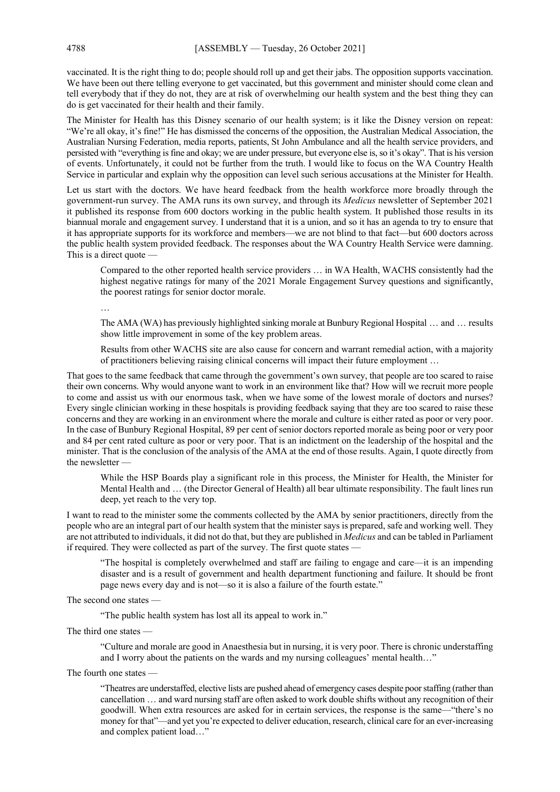vaccinated. It is the right thing to do; people should roll up and get their jabs. The opposition supports vaccination. We have been out there telling everyone to get vaccinated, but this government and minister should come clean and tell everybody that if they do not, they are at risk of overwhelming our health system and the best thing they can do is get vaccinated for their health and their family.

The Minister for Health has this Disney scenario of our health system; is it like the Disney version on repeat: "We're all okay, it's fine!" He has dismissed the concerns of the opposition, the Australian Medical Association, the Australian Nursing Federation, media reports, patients, St John Ambulance and all the health service providers, and persisted with "everything is fine and okay; we are under pressure, but everyone else is, so it's okay". That is his version of events. Unfortunately, it could not be further from the truth. I would like to focus on the WA Country Health Service in particular and explain why the opposition can level such serious accusations at the Minister for Health.

Let us start with the doctors. We have heard feedback from the health workforce more broadly through the government-run survey. The AMA runs its own survey, and through its *Medicus* newsletter of September 2021 it published its response from 600 doctors working in the public health system. It published those results in its biannual morale and engagement survey. I understand that it is a union, and so it has an agenda to try to ensure that it has appropriate supports for its workforce and members—we are not blind to that fact—but 600 doctors across the public health system provided feedback. The responses about the WA Country Health Service were damning. This is a direct quote —

Compared to the other reported health service providers … in WA Health, WACHS consistently had the highest negative ratings for many of the 2021 Morale Engagement Survey questions and significantly, the poorest ratings for senior doctor morale.

…

The AMA (WA) has previously highlighted sinking morale at Bunbury Regional Hospital … and … results show little improvement in some of the key problem areas.

Results from other WACHS site are also cause for concern and warrant remedial action, with a majority of practitioners believing raising clinical concerns will impact their future employment …

That goes to the same feedback that came through the government's own survey, that people are too scared to raise their own concerns. Why would anyone want to work in an environment like that? How will we recruit more people to come and assist us with our enormous task, when we have some of the lowest morale of doctors and nurses? Every single clinician working in these hospitals is providing feedback saying that they are too scared to raise these concerns and they are working in an environment where the morale and culture is either rated as poor or very poor. In the case of Bunbury Regional Hospital, 89 per cent of senior doctors reported morale as being poor or very poor and 84 per cent rated culture as poor or very poor. That is an indictment on the leadership of the hospital and the minister. That is the conclusion of the analysis of the AMA at the end of those results. Again, I quote directly from the newsletter —

While the HSP Boards play a significant role in this process, the Minister for Health, the Minister for Mental Health and … (the Director General of Health) all bear ultimate responsibility. The fault lines run deep, yet reach to the very top.

I want to read to the minister some the comments collected by the AMA by senior practitioners, directly from the people who are an integral part of our health system that the minister says is prepared, safe and working well. They are not attributed to individuals, it did not do that, but they are published in *Medicus* and can be tabled in Parliament if required. They were collected as part of the survey. The first quote states -

"The hospital is completely overwhelmed and staff are failing to engage and care—it is an impending disaster and is a result of government and health department functioning and failure. It should be front page news every day and is not—so it is also a failure of the fourth estate."

The second one states —

"The public health system has lost all its appeal to work in."

The third one states —

"Culture and morale are good in Anaesthesia but in nursing, it is very poor. There is chronic understaffing and I worry about the patients on the wards and my nursing colleagues' mental health…"

The fourth one states —

"Theatres are understaffed, elective lists are pushed ahead of emergency cases despite poor staffing (rather than cancellation … and ward nursing staff are often asked to work double shifts without any recognition of their goodwill. When extra resources are asked for in certain services, the response is the same—"there's no money for that"—and yet you're expected to deliver education, research, clinical care for an ever-increasing and complex patient load…"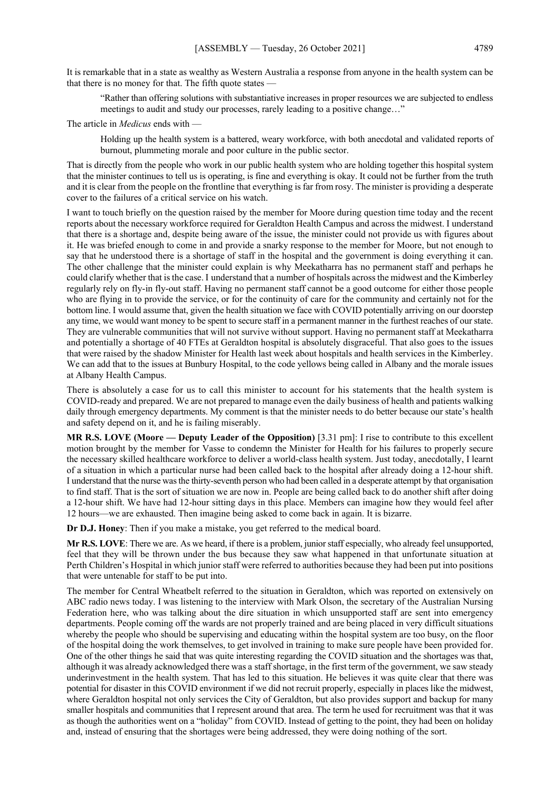It is remarkable that in a state as wealthy as Western Australia a response from anyone in the health system can be that there is no money for that. The fifth quote states  $\cdot$ 

"Rather than offering solutions with substantiative increases in proper resources we are subjected to endless meetings to audit and study our processes, rarely leading to a positive change…"

The article in *Medicus* ends with -

Holding up the health system is a battered, weary workforce, with both anecdotal and validated reports of burnout, plummeting morale and poor culture in the public sector.

That is directly from the people who work in our public health system who are holding together this hospital system that the minister continues to tell us is operating, is fine and everything is okay. It could not be further from the truth and it is clear from the people on the frontline that everything is far from rosy. The minister is providing a desperate cover to the failures of a critical service on his watch.

I want to touch briefly on the question raised by the member for Moore during question time today and the recent reports about the necessary workforce required for Geraldton Health Campus and across the midwest. I understand that there is a shortage and, despite being aware of the issue, the minister could not provide us with figures about it. He was briefed enough to come in and provide a snarky response to the member for Moore, but not enough to say that he understood there is a shortage of staff in the hospital and the government is doing everything it can. The other challenge that the minister could explain is why Meekatharra has no permanent staff and perhaps he could clarify whether that is the case. I understand that a number of hospitals across the midwest and the Kimberley regularly rely on fly-in fly-out staff. Having no permanent staff cannot be a good outcome for either those people who are flying in to provide the service, or for the continuity of care for the community and certainly not for the bottom line. I would assume that, given the health situation we face with COVID potentially arriving on our doorstep any time, we would want money to be spent to secure staff in a permanent manner in the furthest reaches of our state. They are vulnerable communities that will not survive without support. Having no permanent staff at Meekatharra and potentially a shortage of 40 FTEs at Geraldton hospital is absolutely disgraceful. That also goes to the issues that were raised by the shadow Minister for Health last week about hospitals and health services in the Kimberley. We can add that to the issues at Bunbury Hospital, to the code yellows being called in Albany and the morale issues at Albany Health Campus.

There is absolutely a case for us to call this minister to account for his statements that the health system is COVID-ready and prepared. We are not prepared to manage even the daily business of health and patients walking daily through emergency departments. My comment is that the minister needs to do better because our state's health and safety depend on it, and he is failing miserably.

**MR R.S. LOVE (Moore — Deputy Leader of the Opposition)** [3.31 pm]: I rise to contribute to this excellent motion brought by the member for Vasse to condemn the Minister for Health for his failures to properly secure the necessary skilled healthcare workforce to deliver a world-class health system. Just today, anecdotally, I learnt of a situation in which a particular nurse had been called back to the hospital after already doing a 12-hour shift. I understand that the nurse was the thirty-seventh person who had been called in a desperate attempt by that organisation to find staff. That is the sort of situation we are now in. People are being called back to do another shift after doing a 12-hour shift. We have had 12-hour sitting days in this place. Members can imagine how they would feel after 12 hours—we are exhausted. Then imagine being asked to come back in again. It is bizarre.

**Dr D.J. Honey**: Then if you make a mistake, you get referred to the medical board.

**Mr R.S. LOVE**: There we are. As we heard, if there is a problem, junior staff especially, who already feel unsupported, feel that they will be thrown under the bus because they saw what happened in that unfortunate situation at Perth Children's Hospital in which junior staff were referred to authorities because they had been put into positions that were untenable for staff to be put into.

The member for Central Wheatbelt referred to the situation in Geraldton, which was reported on extensively on ABC radio news today. I was listening to the interview with Mark Olson, the secretary of the Australian Nursing Federation here, who was talking about the dire situation in which unsupported staff are sent into emergency departments. People coming off the wards are not properly trained and are being placed in very difficult situations whereby the people who should be supervising and educating within the hospital system are too busy, on the floor of the hospital doing the work themselves, to get involved in training to make sure people have been provided for. One of the other things he said that was quite interesting regarding the COVID situation and the shortages was that, although it was already acknowledged there was a staff shortage, in the first term of the government, we saw steady underinvestment in the health system. That has led to this situation. He believes it was quite clear that there was potential for disaster in this COVID environment if we did not recruit properly, especially in places like the midwest, where Geraldton hospital not only services the City of Geraldton, but also provides support and backup for many smaller hospitals and communities that I represent around that area. The term he used for recruitment was that it was as though the authorities went on a "holiday" from COVID. Instead of getting to the point, they had been on holiday and, instead of ensuring that the shortages were being addressed, they were doing nothing of the sort.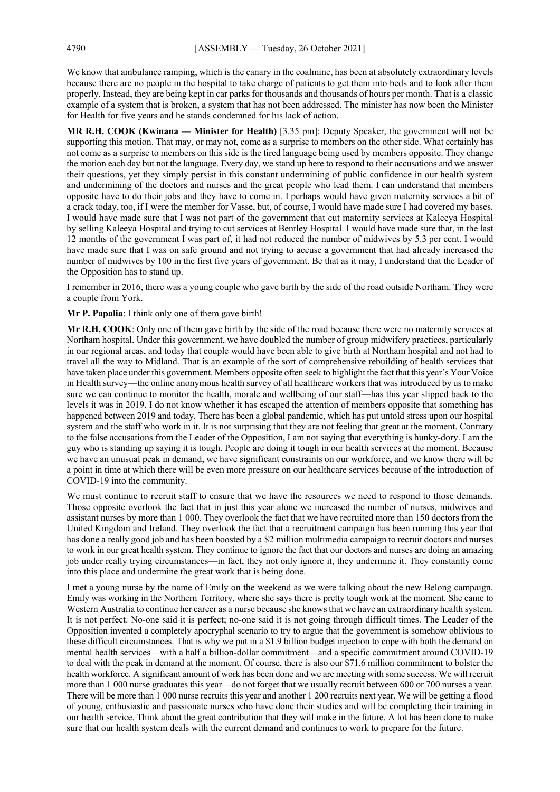We know that ambulance ramping, which is the canary in the coalmine, has been at absolutely extraordinary levels because there are no people in the hospital to take charge of patients to get them into beds and to look after them properly. Instead, they are being kept in car parks for thousands and thousands of hours per month. That is a classic example of a system that is broken, a system that has not been addressed. The minister has now been the Minister for Health for five years and he stands condemned for his lack of action.

**MR R.H. COOK (Kwinana — Minister for Health)** [3.35 pm]: Deputy Speaker, the government will not be supporting this motion. That may, or may not, come as a surprise to members on the other side. What certainly has not come as a surprise to members on this side is the tired language being used by members opposite. They change the motion each day but not the language. Every day, we stand up here to respond to their accusations and we answer their questions, yet they simply persist in this constant undermining of public confidence in our health system and undermining of the doctors and nurses and the great people who lead them. I can understand that members opposite have to do their jobs and they have to come in. I perhaps would have given maternity services a bit of a crack today, too, if I were the member for Vasse, but, of course, I would have made sure I had covered my bases. I would have made sure that I was not part of the government that cut maternity services at Kaleeya Hospital by selling Kaleeya Hospital and trying to cut services at Bentley Hospital. I would have made sure that, in the last 12 months of the government I was part of, it had not reduced the number of midwives by 5.3 per cent. I would have made sure that I was on safe ground and not trying to accuse a government that had already increased the number of midwives by 100 in the first five years of government. Be that as it may, I understand that the Leader of the Opposition has to stand up.

I remember in 2016, there was a young couple who gave birth by the side of the road outside Northam. They were a couple from York.

**Mr P. Papalia**: I think only one of them gave birth!

**Mr R.H. COOK**: Only one of them gave birth by the side of the road because there were no maternity services at Northam hospital. Under this government, we have doubled the number of group midwifery practices, particularly in our regional areas, and today that couple would have been able to give birth at Northam hospital and not had to travel all the way to Midland. That is an example of the sort of comprehensive rebuilding of health services that have taken place under this government. Members opposite often seek to highlight the fact that this year's Your Voice in Health survey—the online anonymous health survey of all healthcare workers that was introduced by us to make sure we can continue to monitor the health, morale and wellbeing of our staff—has this year slipped back to the levels it was in 2019. I do not know whether it has escaped the attention of members opposite that something has happened between 2019 and today. There has been a global pandemic, which has put untold stress upon our hospital system and the staff who work in it. It is not surprising that they are not feeling that great at the moment. Contrary to the false accusations from the Leader of the Opposition, I am not saying that everything is hunky-dory. I am the guy who is standing up saying it is tough. People are doing it tough in our health services at the moment. Because we have an unusual peak in demand, we have significant constraints on our workforce, and we know there will be a point in time at which there will be even more pressure on our healthcare services because of the introduction of COVID-19 into the community.

We must continue to recruit staff to ensure that we have the resources we need to respond to those demands. Those opposite overlook the fact that in just this year alone we increased the number of nurses, midwives and assistant nurses by more than 1 000. They overlook the fact that we have recruited more than 150 doctors from the United Kingdom and Ireland. They overlook the fact that a recruitment campaign has been running this year that has done a really good job and has been boosted by a \$2 million multimedia campaign to recruit doctors and nurses to work in our great health system. They continue to ignore the fact that our doctors and nurses are doing an amazing job under really trying circumstances—in fact, they not only ignore it, they undermine it. They constantly come into this place and undermine the great work that is being done.

I met a young nurse by the name of Emily on the weekend as we were talking about the new Belong campaign. Emily was working in the Northern Territory, where she says there is pretty tough work at the moment. She came to Western Australia to continue her career as a nurse because she knows that we have an extraordinary health system. It is not perfect. No-one said it is perfect; no-one said it is not going through difficult times. The Leader of the Opposition invented a completely apocryphal scenario to try to argue that the government is somehow oblivious to these difficult circumstances. That is why we put in a \$1.9 billion budget injection to cope with both the demand on mental health services—with a half a billion-dollar commitment—and a specific commitment around COVID-19 to deal with the peak in demand at the moment. Of course, there is also our \$71.6 million commitment to bolster the health workforce. A significant amount of work has been done and we are meeting with some success. We will recruit more than 1 000 nurse graduates this year—do not forget that we usually recruit between 600 or 700 nurses a year. There will be more than 1 000 nurse recruits this year and another 1 200 recruits next year. We will be getting a flood of young, enthusiastic and passionate nurses who have done their studies and will be completing their training in our health service. Think about the great contribution that they will make in the future. A lot has been done to make sure that our health system deals with the current demand and continues to work to prepare for the future.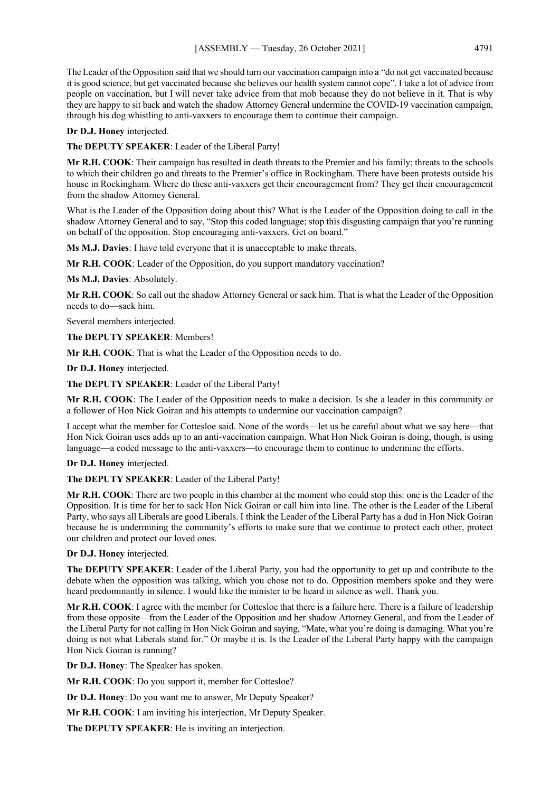The Leader of the Opposition said that we should turn our vaccination campaign into a "do not get vaccinated because it is good science, but get vaccinated because she believes our health system cannot cope". I take a lot of advice from people on vaccination, but I will never take advice from that mob because they do not believe in it. That is why they are happy to sit back and watch the shadow Attorney General undermine the COVID-19 vaccination campaign, through his dog whistling to anti-vaxxers to encourage them to continue their campaign.

**Dr D.J. Honey** interjected.

**The DEPUTY SPEAKER**: Leader of the Liberal Party!

**Mr R.H. COOK**: Their campaign has resulted in death threats to the Premier and his family; threats to the schools to which their children go and threats to the Premier's office in Rockingham. There have been protests outside his house in Rockingham. Where do these anti-vaxxers get their encouragement from? They get their encouragement from the shadow Attorney General.

What is the Leader of the Opposition doing about this? What is the Leader of the Opposition doing to call in the shadow Attorney General and to say, "Stop this coded language; stop this disgusting campaign that you're running on behalf of the opposition. Stop encouraging anti-vaxxers. Get on board."

**Ms M.J. Davies**: I have told everyone that it is unacceptable to make threats.

**Mr R.H. COOK**: Leader of the Opposition, do you support mandatory vaccination?

**Ms M.J. Davies**: Absolutely.

**Mr R.H. COOK**: So call out the shadow Attorney General or sack him. That is what the Leader of the Opposition needs to do—sack him.

Several members interjected.

**The DEPUTY SPEAKER**: Members!

**Mr R.H. COOK**: That is what the Leader of the Opposition needs to do.

**Dr D.J. Honey** interjected.

**The DEPUTY SPEAKER**: Leader of the Liberal Party!

**Mr R.H. COOK**: The Leader of the Opposition needs to make a decision. Is she a leader in this community or a follower of Hon Nick Goiran and his attempts to undermine our vaccination campaign?

I accept what the member for Cottesloe said. None of the words—let us be careful about what we say here—that Hon Nick Goiran uses adds up to an anti-vaccination campaign. What Hon Nick Goiran is doing, though, is using language—a coded message to the anti-vaxxers—to encourage them to continue to undermine the efforts.

**Dr D.J. Honey** interjected.

**The DEPUTY SPEAKER**: Leader of the Liberal Party!

**Mr R.H. COOK**: There are two people in this chamber at the moment who could stop this: one is the Leader of the Opposition. It is time for her to sack Hon Nick Goiran or call him into line. The other is the Leader of the Liberal Party, who says all Liberals are good Liberals. I think the Leader of the Liberal Party has a dud in Hon Nick Goiran because he is undermining the community's efforts to make sure that we continue to protect each other, protect our children and protect our loved ones.

**Dr D.J. Honey** interjected.

**The DEPUTY SPEAKER**: Leader of the Liberal Party, you had the opportunity to get up and contribute to the debate when the opposition was talking, which you chose not to do. Opposition members spoke and they were heard predominantly in silence. I would like the minister to be heard in silence as well. Thank you.

**Mr R.H. COOK**: I agree with the member for Cottesloe that there is a failure here. There is a failure of leadership from those opposite—from the Leader of the Opposition and her shadow Attorney General, and from the Leader of the Liberal Party for not calling in Hon Nick Goiran and saying, "Mate, what you're doing is damaging. What you're doing is not what Liberals stand for." Or maybe it is. Is the Leader of the Liberal Party happy with the campaign Hon Nick Goiran is running?

**Dr D.J. Honey**: The Speaker has spoken.

**Mr R.H. COOK**: Do you support it, member for Cottesloe?

**Dr D.J. Honey**: Do you want me to answer, Mr Deputy Speaker?

**Mr R.H. COOK**: I am inviting his interjection, Mr Deputy Speaker.

**The DEPUTY SPEAKER**: He is inviting an interjection.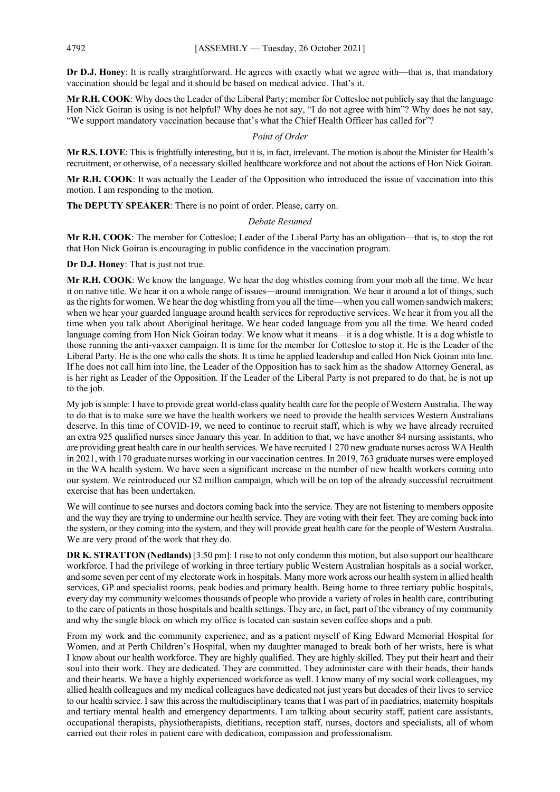**Dr D.J. Honey**: It is really straightforward. He agrees with exactly what we agree with—that is, that mandatory vaccination should be legal and it should be based on medical advice. That's it.

**Mr R.H. COOK**: Why does the Leader of the Liberal Party; member for Cottesloe not publicly say that the language Hon Nick Goiran is using is not helpful? Why does he not say, "I do not agree with him"? Why does he not say, "We support mandatory vaccination because that's what the Chief Health Officer has called for"?

#### *Point of Order*

**Mr R.S. LOVE**: This is frightfully interesting, but it is, in fact, irrelevant. The motion is about the Minister for Health's recruitment, or otherwise, of a necessary skilled healthcare workforce and not about the actions of Hon Nick Goiran.

**Mr R.H. COOK**: It was actually the Leader of the Opposition who introduced the issue of vaccination into this motion. I am responding to the motion.

**The DEPUTY SPEAKER**: There is no point of order. Please, carry on.

#### *Debate Resumed*

**Mr R.H. COOK**: The member for Cottesloe; Leader of the Liberal Party has an obligation—that is, to stop the rot that Hon Nick Goiran is encouraging in public confidence in the vaccination program.

**Dr D.J. Honey**: That is just not true.

**Mr R.H. COOK**: We know the language. We hear the dog whistles coming from your mob all the time. We hear it on native title. We hear it on a whole range of issues—around immigration. We hear it around a lot of things, such as the rights for women. We hear the dog whistling from you all the time—when you call women sandwich makers; when we hear your guarded language around health services for reproductive services. We hear it from you all the time when you talk about Aboriginal heritage. We hear coded language from you all the time. We heard coded language coming from Hon Nick Goiran today. We know what it means—it is a dog whistle. It is a dog whistle to those running the anti-vaxxer campaign. It is time for the member for Cottesloe to stop it. He is the Leader of the Liberal Party. He is the one who calls the shots. It is time he applied leadership and called Hon Nick Goiran into line. If he does not call him into line, the Leader of the Opposition has to sack him as the shadow Attorney General, as is her right as Leader of the Opposition. If the Leader of the Liberal Party is not prepared to do that, he is not up to the job.

My job is simple: I have to provide great world-class quality health care for the people of Western Australia. The way to do that is to make sure we have the health workers we need to provide the health services Western Australians deserve. In this time of COVID-19, we need to continue to recruit staff, which is why we have already recruited an extra 925 qualified nurses since January this year. In addition to that, we have another 84 nursing assistants, who are providing great health care in our health services. We have recruited 1 270 new graduate nurses across WA Health in 2021, with 170 graduate nurses working in our vaccination centres. In 2019, 763 graduate nurses were employed in the WA health system. We have seen a significant increase in the number of new health workers coming into our system. We reintroduced our \$2 million campaign, which will be on top of the already successful recruitment exercise that has been undertaken.

We will continue to see nurses and doctors coming back into the service. They are not listening to members opposite and the way they are trying to undermine our health service. They are voting with their feet. They are coming back into the system, or they coming into the system, and they will provide great health care for the people of Western Australia. We are very proud of the work that they do.

**DR K. STRATTON (Nedlands)** [3.50 pm]: I rise to not only condemn this motion, but also support our healthcare workforce. I had the privilege of working in three tertiary public Western Australian hospitals as a social worker, and some seven per cent of my electorate work in hospitals. Many more work across our health system in allied health services, GP and specialist rooms, peak bodies and primary health. Being home to three tertiary public hospitals, every day my community welcomes thousands of people who provide a variety of roles in health care, contributing to the care of patients in those hospitals and health settings. They are, in fact, part of the vibrancy of my community and why the single block on which my office is located can sustain seven coffee shops and a pub.

From my work and the community experience, and as a patient myself of King Edward Memorial Hospital for Women, and at Perth Children's Hospital, when my daughter managed to break both of her wrists, here is what I know about our health workforce. They are highly qualified. They are highly skilled. They put their heart and their soul into their work. They are dedicated. They are committed. They administer care with their heads, their hands and their hearts. We have a highly experienced workforce as well. I know many of my social work colleagues, my allied health colleagues and my medical colleagues have dedicated not just years but decades of their lives to service to our health service. I saw this across the multidisciplinary teams that I was part of in paediatrics, maternity hospitals and tertiary mental health and emergency departments. I am talking about security staff, patient care assistants, occupational therapists, physiotherapists, dietitians, reception staff, nurses, doctors and specialists, all of whom carried out their roles in patient care with dedication, compassion and professionalism.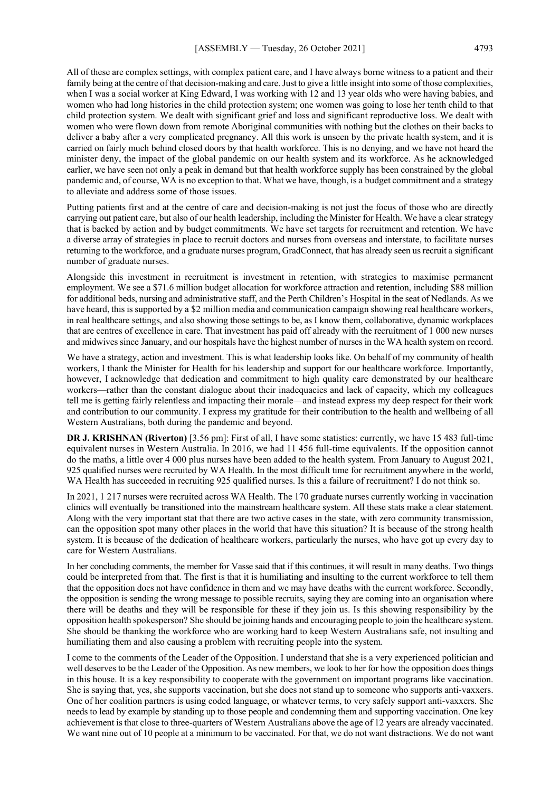All of these are complex settings, with complex patient care, and I have always borne witness to a patient and their family being at the centre of that decision-making and care. Just to give a little insight into some of those complexities, when I was a social worker at King Edward, I was working with 12 and 13 year olds who were having babies, and women who had long histories in the child protection system; one women was going to lose her tenth child to that child protection system. We dealt with significant grief and loss and significant reproductive loss. We dealt with women who were flown down from remote Aboriginal communities with nothing but the clothes on their backs to deliver a baby after a very complicated pregnancy. All this work is unseen by the private health system, and it is carried on fairly much behind closed doors by that health workforce. This is no denying, and we have not heard the minister deny, the impact of the global pandemic on our health system and its workforce. As he acknowledged earlier, we have seen not only a peak in demand but that health workforce supply has been constrained by the global pandemic and, of course, WA is no exception to that. What we have, though, is a budget commitment and a strategy to alleviate and address some of those issues.

Putting patients first and at the centre of care and decision-making is not just the focus of those who are directly carrying out patient care, but also of our health leadership, including the Minister for Health. We have a clear strategy that is backed by action and by budget commitments. We have set targets for recruitment and retention. We have a diverse array of strategies in place to recruit doctors and nurses from overseas and interstate, to facilitate nurses returning to the workforce, and a graduate nurses program, GradConnect, that has already seen us recruit a significant number of graduate nurses.

Alongside this investment in recruitment is investment in retention, with strategies to maximise permanent employment. We see a \$71.6 million budget allocation for workforce attraction and retention, including \$88 million for additional beds, nursing and administrative staff, and the Perth Children's Hospital in the seat of Nedlands. As we have heard, this is supported by a \$2 million media and communication campaign showing real healthcare workers, in real healthcare settings, and also showing those settings to be, as I know them, collaborative, dynamic workplaces that are centres of excellence in care. That investment has paid off already with the recruitment of 1 000 new nurses and midwives since January, and our hospitals have the highest number of nurses in the WA health system on record.

We have a strategy, action and investment. This is what leadership looks like. On behalf of my community of health workers, I thank the Minister for Health for his leadership and support for our healthcare workforce. Importantly, however, I acknowledge that dedication and commitment to high quality care demonstrated by our healthcare workers—rather than the constant dialogue about their inadequacies and lack of capacity, which my colleagues tell me is getting fairly relentless and impacting their morale—and instead express my deep respect for their work and contribution to our community. I express my gratitude for their contribution to the health and wellbeing of all Western Australians, both during the pandemic and beyond.

**DR J. KRISHNAN (Riverton)** [3.56 pm]: First of all, I have some statistics: currently, we have 15 483 full-time equivalent nurses in Western Australia. In 2016, we had 11 456 full-time equivalents. If the opposition cannot do the maths, a little over 4 000 plus nurses have been added to the health system. From January to August 2021, 925 qualified nurses were recruited by WA Health. In the most difficult time for recruitment anywhere in the world, WA Health has succeeded in recruiting 925 qualified nurses. Is this a failure of recruitment? I do not think so.

In 2021, 1 217 nurses were recruited across WA Health. The 170 graduate nurses currently working in vaccination clinics will eventually be transitioned into the mainstream healthcare system. All these stats make a clear statement. Along with the very important stat that there are two active cases in the state, with zero community transmission, can the opposition spot many other places in the world that have this situation? It is because of the strong health system. It is because of the dedication of healthcare workers, particularly the nurses, who have got up every day to care for Western Australians.

In her concluding comments, the member for Vasse said that if this continues, it will result in many deaths. Two things could be interpreted from that. The first is that it is humiliating and insulting to the current workforce to tell them that the opposition does not have confidence in them and we may have deaths with the current workforce. Secondly, the opposition is sending the wrong message to possible recruits, saying they are coming into an organisation where there will be deaths and they will be responsible for these if they join us. Is this showing responsibility by the opposition health spokesperson? She should be joining hands and encouraging people to join the healthcare system. She should be thanking the workforce who are working hard to keep Western Australians safe, not insulting and humiliating them and also causing a problem with recruiting people into the system.

I come to the comments of the Leader of the Opposition. I understand that she is a very experienced politician and well deserves to be the Leader of the Opposition. As new members, we look to her for how the opposition does things in this house. It is a key responsibility to cooperate with the government on important programs like vaccination. She is saying that, yes, she supports vaccination, but she does not stand up to someone who supports anti-vaxxers. One of her coalition partners is using coded language, or whatever terms, to very safely support anti-vaxxers. She needs to lead by example by standing up to those people and condemning them and supporting vaccination. One key achievement is that close to three-quarters of Western Australians above the age of 12 years are already vaccinated. We want nine out of 10 people at a minimum to be vaccinated. For that, we do not want distractions. We do not want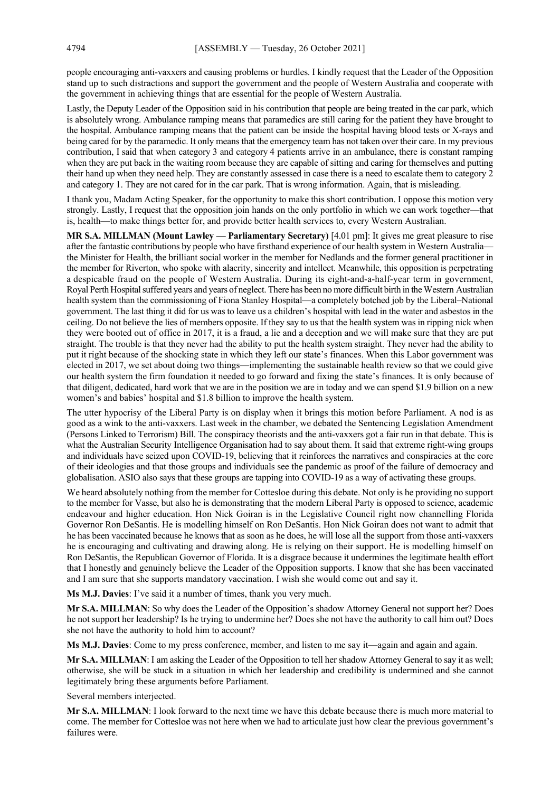people encouraging anti-vaxxers and causing problems or hurdles. I kindly request that the Leader of the Opposition stand up to such distractions and support the government and the people of Western Australia and cooperate with the government in achieving things that are essential for the people of Western Australia.

Lastly, the Deputy Leader of the Opposition said in his contribution that people are being treated in the car park, which is absolutely wrong. Ambulance ramping means that paramedics are still caring for the patient they have brought to the hospital. Ambulance ramping means that the patient can be inside the hospital having blood tests or X-rays and being cared for by the paramedic. It only means that the emergency team has not taken over their care. In my previous contribution, I said that when category 3 and category 4 patients arrive in an ambulance, there is constant ramping when they are put back in the waiting room because they are capable of sitting and caring for themselves and putting their hand up when they need help. They are constantly assessed in case there is a need to escalate them to category 2 and category 1. They are not cared for in the car park. That is wrong information. Again, that is misleading.

I thank you, Madam Acting Speaker, for the opportunity to make this short contribution. I oppose this motion very strongly. Lastly, I request that the opposition join hands on the only portfolio in which we can work together—that is, health—to make things better for, and provide better health services to, every Western Australian.

**MR S.A. MILLMAN (Mount Lawley — Parliamentary Secretary)** [4.01 pm]: It gives me great pleasure to rise after the fantastic contributions by people who have firsthand experience of our health system in Western Australia the Minister for Health, the brilliant social worker in the member for Nedlands and the former general practitioner in the member for Riverton, who spoke with alacrity, sincerity and intellect. Meanwhile, this opposition is perpetrating a despicable fraud on the people of Western Australia. During its eight-and-a-half-year term in government, Royal Perth Hospital suffered years and years of neglect. There has been no more difficult birth in the Western Australian health system than the commissioning of Fiona Stanley Hospital—a completely botched job by the Liberal–National government. The last thing it did for us was to leave us a children's hospital with lead in the water and asbestos in the ceiling. Do not believe the lies of members opposite. If they say to us that the health system was in ripping nick when they were booted out of office in 2017, it is a fraud, a lie and a deception and we will make sure that they are put straight. The trouble is that they never had the ability to put the health system straight. They never had the ability to put it right because of the shocking state in which they left our state's finances. When this Labor government was elected in 2017, we set about doing two things—implementing the sustainable health review so that we could give our health system the firm foundation it needed to go forward and fixing the state's finances. It is only because of that diligent, dedicated, hard work that we are in the position we are in today and we can spend \$1.9 billion on a new women's and babies' hospital and \$1.8 billion to improve the health system.

The utter hypocrisy of the Liberal Party is on display when it brings this motion before Parliament. A nod is as good as a wink to the anti-vaxxers. Last week in the chamber, we debated the Sentencing Legislation Amendment (Persons Linked to Terrorism) Bill. The conspiracy theorists and the anti-vaxxers got a fair run in that debate. This is what the Australian Security Intelligence Organisation had to say about them. It said that extreme right-wing groups and individuals have seized upon COVID-19, believing that it reinforces the narratives and conspiracies at the core of their ideologies and that those groups and individuals see the pandemic as proof of the failure of democracy and globalisation. ASIO also says that these groups are tapping into COVID-19 as a way of activating these groups.

We heard absolutely nothing from the member for Cottesloe during this debate. Not only is he providing no support to the member for Vasse, but also he is demonstrating that the modern Liberal Party is opposed to science, academic endeavour and higher education. Hon Nick Goiran is in the Legislative Council right now channelling Florida Governor Ron DeSantis. He is modelling himself on Ron DeSantis. Hon Nick Goiran does not want to admit that he has been vaccinated because he knows that as soon as he does, he will lose all the support from those anti-vaxxers he is encouraging and cultivating and drawing along. He is relying on their support. He is modelling himself on Ron DeSantis, the Republican Governor of Florida. It is a disgrace because it undermines the legitimate health effort that I honestly and genuinely believe the Leader of the Opposition supports. I know that she has been vaccinated and I am sure that she supports mandatory vaccination. I wish she would come out and say it.

**Ms M.J. Davies**: I've said it a number of times, thank you very much.

**Mr S.A. MILLMAN**: So why does the Leader of the Opposition's shadow Attorney General not support her? Does he not support her leadership? Is he trying to undermine her? Does she not have the authority to call him out? Does she not have the authority to hold him to account?

**Ms M.J. Davies**: Come to my press conference, member, and listen to me say it—again and again and again.

**Mr S.A. MILLMAN**: I am asking the Leader of the Opposition to tell her shadow Attorney General to say it as well; otherwise, she will be stuck in a situation in which her leadership and credibility is undermined and she cannot legitimately bring these arguments before Parliament.

Several members interjected.

**Mr S.A. MILLMAN**: I look forward to the next time we have this debate because there is much more material to come. The member for Cottesloe was not here when we had to articulate just how clear the previous government's failures were.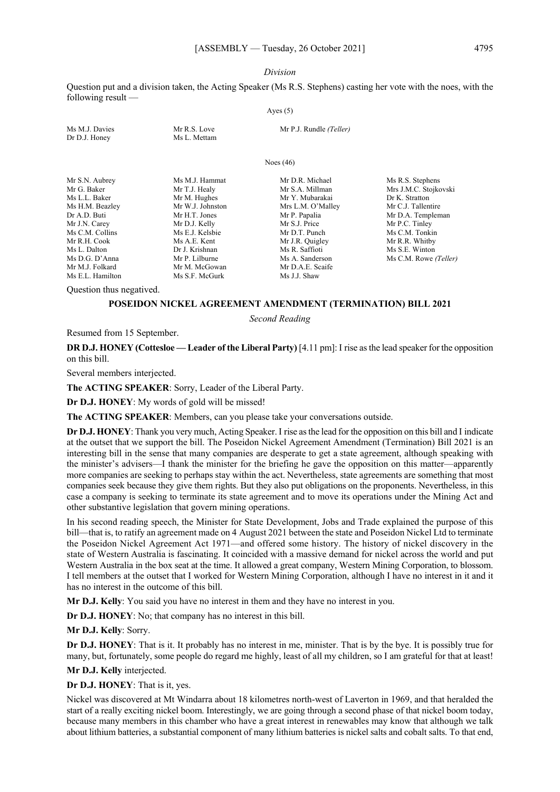#### *Division*

Question put and a division taken, the Acting Speaker (Ms R.S. Stephens) casting her vote with the noes, with the following result —

## Ayes (5) Ms M.J. Davies Mr R.S. Love Mr P.J. Rundle *(Teller)*<br>Dr D.J. Honey Ms L. Mettam Dr D.J. Honey Noes (46) Mr S.N. Aubrey Ms M.J. Hammat Mr D.R. Michael Ms R.S. Stephens

|                  |                   | Ms R.S. Stephens      |
|------------------|-------------------|-----------------------|
| Mr T.J. Healy    | Mr S.A. Millman   | Mrs J.M.C. Stojkovski |
| Mr M. Hughes     | Mr Y. Mubarakai   | Dr K. Stratton        |
| Mr W.J. Johnston | Mrs L.M. O'Malley | Mr C.J. Tallentire    |
| Mr H.T. Jones    | Mr P. Papalia     | Mr D.A. Templeman     |
| Mr D.J. Kelly    | Mr S.J. Price     | Mr P.C. Tinley        |
| Ms E.J. Kelsbie  | Mr D.T. Punch     | Ms C.M. Tonkin        |
| Ms A.E. Kent     | Mr J.R. Quigley   | Mr R.R. Whitby        |
| Dr J. Krishnan   | Ms R. Saffioti    | Ms S.E. Winton        |
| Mr P. Lilburne   | Ms A. Sanderson   | Ms C.M. Rowe (Teller) |
| Mr M. McGowan    | Mr D.A.E. Scaife  |                       |
| Ms S.F. McGurk   | Ms J.J. Shaw      |                       |
|                  | Ms M.J. Hammat    | Mr D.R. Michael       |

Question thus negatived.

## **POSEIDON NICKEL AGREEMENT AMENDMENT (TERMINATION) BILL 2021**

*Second Reading*

Resumed from 15 September.

**DR D.J. HONEY (Cottesloe — Leader of the Liberal Party)** [4.11 pm]: I rise as the lead speaker for the opposition on this bill.

Several members interjected.

**The ACTING SPEAKER**: Sorry, Leader of the Liberal Party.

**Dr D.J. HONEY**: My words of gold will be missed!

**The ACTING SPEAKER**: Members, can you please take your conversations outside.

**Dr D.J. HONEY**: Thank you very much, Acting Speaker. I rise as the lead for the opposition on this bill and I indicate at the outset that we support the bill. The Poseidon Nickel Agreement Amendment (Termination) Bill 2021 is an interesting bill in the sense that many companies are desperate to get a state agreement, although speaking with the minister's advisers—I thank the minister for the briefing he gave the opposition on this matter—apparently more companies are seeking to perhaps stay within the act. Nevertheless, state agreements are something that most companies seek because they give them rights. But they also put obligations on the proponents. Nevertheless, in this case a company is seeking to terminate its state agreement and to move its operations under the Mining Act and other substantive legislation that govern mining operations.

In his second reading speech, the Minister for State Development, Jobs and Trade explained the purpose of this bill—that is, to ratify an agreement made on 4 August 2021 between the state and Poseidon Nickel Ltd to terminate the Poseidon Nickel Agreement Act 1971—and offered some history. The history of nickel discovery in the state of Western Australia is fascinating. It coincided with a massive demand for nickel across the world and put Western Australia in the box seat at the time. It allowed a great company, Western Mining Corporation, to blossom. I tell members at the outset that I worked for Western Mining Corporation, although I have no interest in it and it has no interest in the outcome of this bill.

**Mr D.J. Kelly**: You said you have no interest in them and they have no interest in you.

**Dr D.J. HONEY**: No; that company has no interest in this bill.

**Mr D.J. Kelly**: Sorry.

**Dr D.J. HONEY**: That is it. It probably has no interest in me, minister. That is by the bye. It is possibly true for many, but, fortunately, some people do regard me highly, least of all my children, so I am grateful for that at least!

**Mr D.J. Kelly** interjected.

**Dr D.J. HONEY**: That is it, yes.

Nickel was discovered at Mt Windarra about 18 kilometres north-west of Laverton in 1969, and that heralded the start of a really exciting nickel boom. Interestingly, we are going through a second phase of that nickel boom today, because many members in this chamber who have a great interest in renewables may know that although we talk about lithium batteries, a substantial component of many lithium batteries is nickel salts and cobalt salts. To that end,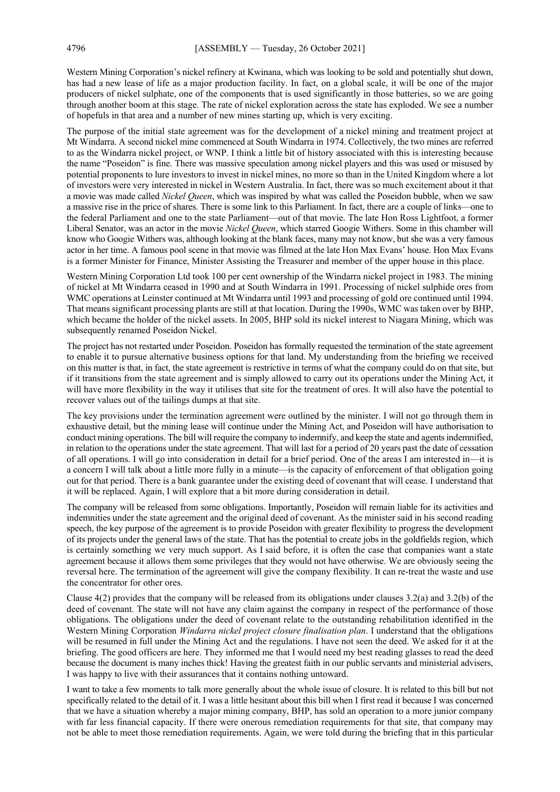Western Mining Corporation's nickel refinery at Kwinana, which was looking to be sold and potentially shut down, has had a new lease of life as a major production facility. In fact, on a global scale, it will be one of the major producers of nickel sulphate, one of the components that is used significantly in those batteries, so we are going through another boom at this stage. The rate of nickel exploration across the state has exploded. We see a number of hopefuls in that area and a number of new mines starting up, which is very exciting.

The purpose of the initial state agreement was for the development of a nickel mining and treatment project at Mt Windarra. A second nickel mine commenced at South Windarra in 1974. Collectively, the two mines are referred to as the Windarra nickel project, or WNP. I think a little bit of history associated with this is interesting because the name "Poseidon" is fine. There was massive speculation among nickel players and this was used or misused by potential proponents to lure investors to invest in nickel mines, no more so than in the United Kingdom where a lot of investors were very interested in nickel in Western Australia. In fact, there was so much excitement about it that a movie was made called *Nickel Queen*, which was inspired by what was called the Poseidon bubble, when we saw a massive rise in the price of shares. There is some link to this Parliament. In fact, there are a couple of links—one to the federal Parliament and one to the state Parliament—out of that movie. The late Hon Ross Lightfoot, a former Liberal Senator, was an actor in the movie *Nickel Queen*, which starred Googie Withers. Some in this chamber will know who Googie Withers was, although looking at the blank faces, many may not know, but she was a very famous actor in her time. A famous pool scene in that movie was filmed at the late Hon Max Evans' house. Hon Max Evans is a former Minister for Finance, Minister Assisting the Treasurer and member of the upper house in this place.

Western Mining Corporation Ltd took 100 per cent ownership of the Windarra nickel project in 1983. The mining of nickel at Mt Windarra ceased in 1990 and at South Windarra in 1991. Processing of nickel sulphide ores from WMC operations at Leinster continued at Mt Windarra until 1993 and processing of gold ore continued until 1994. That means significant processing plants are still at that location. During the 1990s, WMC was taken over by BHP, which became the holder of the nickel assets. In 2005, BHP sold its nickel interest to Niagara Mining, which was subsequently renamed Poseidon Nickel.

The project has not restarted under Poseidon. Poseidon has formally requested the termination of the state agreement to enable it to pursue alternative business options for that land. My understanding from the briefing we received on this matter is that, in fact, the state agreement is restrictive in terms of what the company could do on that site, but if it transitions from the state agreement and is simply allowed to carry out its operations under the Mining Act, it will have more flexibility in the way it utilises that site for the treatment of ores. It will also have the potential to recover values out of the tailings dumps at that site.

The key provisions under the termination agreement were outlined by the minister. I will not go through them in exhaustive detail, but the mining lease will continue under the Mining Act, and Poseidon will have authorisation to conduct mining operations. The bill will require the company to indemnify, and keep the state and agents indemnified, in relation to the operations under the state agreement. That will last for a period of 20 years past the date of cessation of all operations. I will go into consideration in detail for a brief period. One of the areas I am interested in—it is a concern I will talk about a little more fully in a minute—is the capacity of enforcement of that obligation going out for that period. There is a bank guarantee under the existing deed of covenant that will cease. I understand that it will be replaced. Again, I will explore that a bit more during consideration in detail.

The company will be released from some obligations. Importantly, Poseidon will remain liable for its activities and indemnities under the state agreement and the original deed of covenant. As the minister said in his second reading speech, the key purpose of the agreement is to provide Poseidon with greater flexibility to progress the development of its projects under the general laws of the state. That has the potential to create jobs in the goldfields region, which is certainly something we very much support. As I said before, it is often the case that companies want a state agreement because it allows them some privileges that they would not have otherwise. We are obviously seeing the reversal here. The termination of the agreement will give the company flexibility. It can re-treat the waste and use the concentrator for other ores.

Clause 4(2) provides that the company will be released from its obligations under clauses 3.2(a) and 3.2(b) of the deed of covenant. The state will not have any claim against the company in respect of the performance of those obligations. The obligations under the deed of covenant relate to the outstanding rehabilitation identified in the Western Mining Corporation *Windarra nickel project closure finalisation plan*. I understand that the obligations will be resumed in full under the Mining Act and the regulations. I have not seen the deed. We asked for it at the briefing. The good officers are here. They informed me that I would need my best reading glasses to read the deed because the document is many inches thick! Having the greatest faith in our public servants and ministerial advisers, I was happy to live with their assurances that it contains nothing untoward.

I want to take a few moments to talk more generally about the whole issue of closure. It is related to this bill but not specifically related to the detail of it. I was a little hesitant about this bill when I first read it because I was concerned that we have a situation whereby a major mining company, BHP, has sold an operation to a more junior company with far less financial capacity. If there were onerous remediation requirements for that site, that company may not be able to meet those remediation requirements. Again, we were told during the briefing that in this particular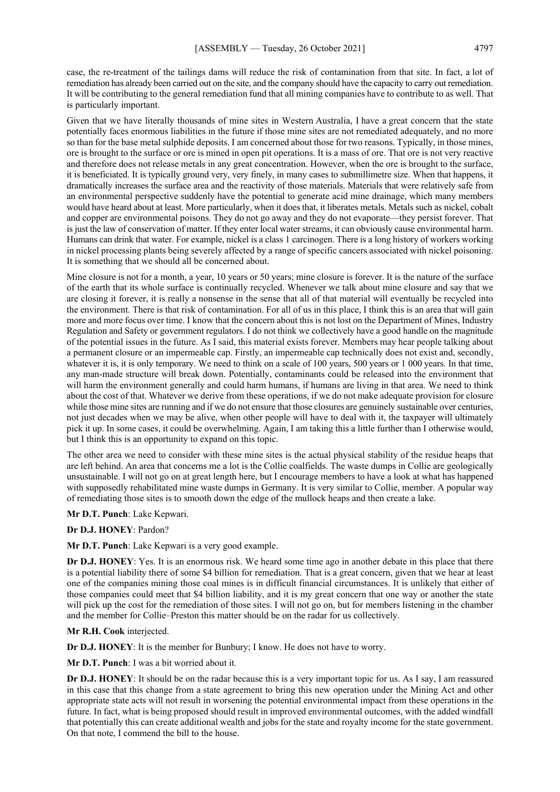case, the re-treatment of the tailings dams will reduce the risk of contamination from that site. In fact, a lot of remediation has already been carried out on the site, and the company should have the capacity to carry out remediation. It will be contributing to the general remediation fund that all mining companies have to contribute to as well. That is particularly important.

Given that we have literally thousands of mine sites in Western Australia, I have a great concern that the state potentially faces enormous liabilities in the future if those mine sites are not remediated adequately, and no more so than for the base metal sulphide deposits. I am concerned about those for two reasons. Typically, in those mines, ore is brought to the surface or ore is mined in open pit operations. It is a mass of ore. That ore is not very reactive and therefore does not release metals in any great concentration. However, when the ore is brought to the surface, it is beneficiated. It is typically ground very, very finely, in many cases to submillimetre size. When that happens, it dramatically increases the surface area and the reactivity of those materials. Materials that were relatively safe from an environmental perspective suddenly have the potential to generate acid mine drainage, which many members would have heard about at least. More particularly, when it does that, it liberates metals. Metals such as nickel, cobalt and copper are environmental poisons. They do not go away and they do not evaporate—they persist forever. That is just the law of conservation of matter. If they enter local water streams, it can obviously cause environmental harm. Humans can drink that water. For example, nickel is a class 1 carcinogen. There is a long history of workers working in nickel processing plants being severely affected by a range of specific cancers associated with nickel poisoning. It is something that we should all be concerned about.

Mine closure is not for a month, a year, 10 years or 50 years; mine closure is forever. It is the nature of the surface of the earth that its whole surface is continually recycled. Whenever we talk about mine closure and say that we are closing it forever, it is really a nonsense in the sense that all of that material will eventually be recycled into the environment. There is that risk of contamination. For all of us in this place, I think this is an area that will gain more and more focus over time. I know that the concern about this is not lost on the Department of Mines, Industry Regulation and Safety or government regulators. I do not think we collectively have a good handle on the magnitude of the potential issues in the future. As I said, this material exists forever. Members may hear people talking about a permanent closure or an impermeable cap. Firstly, an impermeable cap technically does not exist and, secondly, whatever it is, it is only temporary. We need to think on a scale of 100 years, 500 years or 1 000 years. In that time, any man-made structure will break down. Potentially, contaminants could be released into the environment that will harm the environment generally and could harm humans, if humans are living in that area. We need to think about the cost of that. Whatever we derive from these operations, if we do not make adequate provision for closure while those mine sites are running and if we do not ensure that those closures are genuinely sustainable over centuries, not just decades when we may be alive, when other people will have to deal with it, the taxpayer will ultimately pick it up. In some cases, it could be overwhelming. Again, I am taking this a little further than I otherwise would, but I think this is an opportunity to expand on this topic.

The other area we need to consider with these mine sites is the actual physical stability of the residue heaps that are left behind. An area that concerns me a lot is the Collie coalfields. The waste dumps in Collie are geologically unsustainable. I will not go on at great length here, but I encourage members to have a look at what has happened with supposedly rehabilitated mine waste dumps in Germany. It is very similar to Collie, member. A popular way of remediating those sites is to smooth down the edge of the mullock heaps and then create a lake.

**Mr D.T. Punch**: Lake Kepwari.

**Dr D.J. HONEY**: Pardon?

**Mr D.T. Punch**: Lake Kepwari is a very good example.

**Dr D.J. HONEY**: Yes. It is an enormous risk. We heard some time ago in another debate in this place that there is a potential liability there of some \$4 billion for remediation. That is a great concern, given that we hear at least one of the companies mining those coal mines is in difficult financial circumstances. It is unlikely that either of those companies could meet that \$4 billion liability, and it is my great concern that one way or another the state will pick up the cost for the remediation of those sites. I will not go on, but for members listening in the chamber and the member for Collie–Preston this matter should be on the radar for us collectively.

#### **Mr R.H. Cook** interjected.

**Dr D.J. HONEY**: It is the member for Bunbury; I know. He does not have to worry.

**Mr D.T. Punch**: I was a bit worried about it.

**Dr D.J. HONEY**: It should be on the radar because this is a very important topic for us. As I say, I am reassured in this case that this change from a state agreement to bring this new operation under the Mining Act and other appropriate state acts will not result in worsening the potential environmental impact from these operations in the future. In fact, what is being proposed should result in improved environmental outcomes, with the added windfall that potentially this can create additional wealth and jobs for the state and royalty income for the state government. On that note, I commend the bill to the house.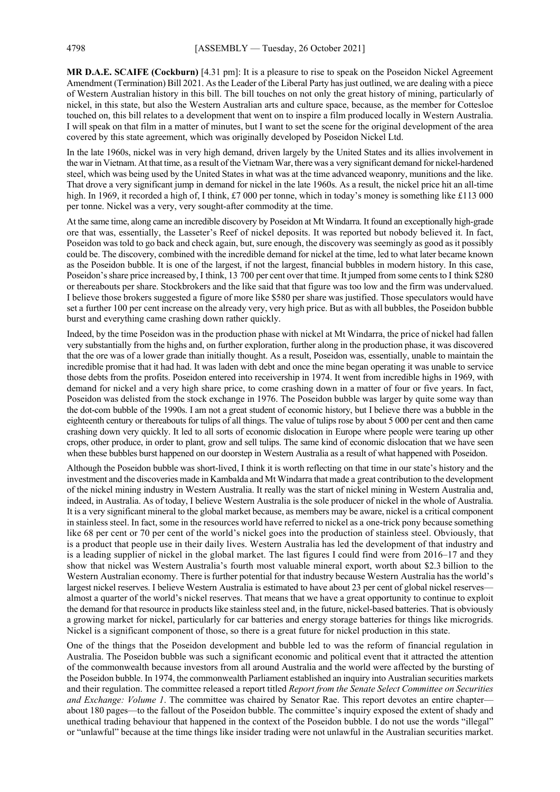**MR D.A.E. SCAIFE (Cockburn)** [4.31 pm]: It is a pleasure to rise to speak on the Poseidon Nickel Agreement Amendment (Termination) Bill 2021. As the Leader of the Liberal Party has just outlined, we are dealing with a piece of Western Australian history in this bill. The bill touches on not only the great history of mining, particularly of nickel, in this state, but also the Western Australian arts and culture space, because, as the member for Cottesloe touched on, this bill relates to a development that went on to inspire a film produced locally in Western Australia. I will speak on that film in a matter of minutes, but I want to set the scene for the original development of the area covered by this state agreement, which was originally developed by Poseidon Nickel Ltd.

In the late 1960s, nickel was in very high demand, driven largely by the United States and its allies involvement in the war in Vietnam. At that time, as a result of the Vietnam War, there was a very significant demand for nickel-hardened steel, which was being used by the United States in what was at the time advanced weaponry, munitions and the like. That drove a very significant jump in demand for nickel in the late 1960s. As a result, the nickel price hit an all-time high. In 1969, it recorded a high of, I think, £7 000 per tonne, which in today's money is something like £113 000 per tonne. Nickel was a very, very sought-after commodity at the time.

At the same time, along came an incredible discovery by Poseidon at Mt Windarra. It found an exceptionally high-grade ore that was, essentially, the Lasseter's Reef of nickel deposits. It was reported but nobody believed it. In fact, Poseidon was told to go back and check again, but, sure enough, the discovery was seemingly as good as it possibly could be. The discovery, combined with the incredible demand for nickel at the time, led to what later became known as the Poseidon bubble. It is one of the largest, if not the largest, financial bubbles in modern history. In this case, Poseidon's share price increased by, I think, 13 700 per cent over that time. It jumped from some cents to I think \$280 or thereabouts per share. Stockbrokers and the like said that that figure was too low and the firm was undervalued. I believe those brokers suggested a figure of more like \$580 per share was justified. Those speculators would have set a further 100 per cent increase on the already very, very high price. But as with all bubbles, the Poseidon bubble burst and everything came crashing down rather quickly.

Indeed, by the time Poseidon was in the production phase with nickel at Mt Windarra, the price of nickel had fallen very substantially from the highs and, on further exploration, further along in the production phase, it was discovered that the ore was of a lower grade than initially thought. As a result, Poseidon was, essentially, unable to maintain the incredible promise that it had had. It was laden with debt and once the mine began operating it was unable to service those debts from the profits. Poseidon entered into receivership in 1974. It went from incredible highs in 1969, with demand for nickel and a very high share price, to come crashing down in a matter of four or five years. In fact, Poseidon was delisted from the stock exchange in 1976. The Poseidon bubble was larger by quite some way than the dot-com bubble of the 1990s. I am not a great student of economic history, but I believe there was a bubble in the eighteenth century or thereabouts for tulips of all things. The value of tulips rose by about 5 000 per cent and then came crashing down very quickly. It led to all sorts of economic dislocation in Europe where people were tearing up other crops, other produce, in order to plant, grow and sell tulips. The same kind of economic dislocation that we have seen when these bubbles burst happened on our doorstep in Western Australia as a result of what happened with Poseidon.

Although the Poseidon bubble was short-lived, I think it is worth reflecting on that time in our state's history and the investment and the discoveries made in Kambalda and Mt Windarra that made a great contribution to the development of the nickel mining industry in Western Australia. It really was the start of nickel mining in Western Australia and, indeed, in Australia. As of today, I believe Western Australia is the sole producer of nickel in the whole of Australia. It is a very significant mineral to the global market because, as members may be aware, nickel is a critical component in stainless steel. In fact, some in the resources world have referred to nickel as a one-trick pony because something like 68 per cent or 70 per cent of the world's nickel goes into the production of stainless steel. Obviously, that is a product that people use in their daily lives. Western Australia has led the development of that industry and is a leading supplier of nickel in the global market. The last figures I could find were from 2016–17 and they show that nickel was Western Australia's fourth most valuable mineral export, worth about \$2.3 billion to the Western Australian economy. There is further potential for that industry because Western Australia has the world's largest nickel reserves. I believe Western Australia is estimated to have about 23 per cent of global nickel reserves almost a quarter of the world's nickel reserves. That means that we have a great opportunity to continue to exploit the demand for that resource in products like stainless steel and, in the future, nickel-based batteries. That is obviously a growing market for nickel, particularly for car batteries and energy storage batteries for things like microgrids. Nickel is a significant component of those, so there is a great future for nickel production in this state.

One of the things that the Poseidon development and bubble led to was the reform of financial regulation in Australia. The Poseidon bubble was such a significant economic and political event that it attracted the attention of the commonwealth because investors from all around Australia and the world were affected by the bursting of the Poseidon bubble. In 1974, the commonwealth Parliament established an inquiry into Australian securities markets and their regulation. The committee released a report titled *Report from the Senate Select Committee on Securities and Exchange: Volume 1*. The committee was chaired by Senator Rae. This report devotes an entire chapter about 180 pages—to the fallout of the Poseidon bubble. The committee's inquiry exposed the extent of shady and unethical trading behaviour that happened in the context of the Poseidon bubble. I do not use the words "illegal" or "unlawful" because at the time things like insider trading were not unlawful in the Australian securities market.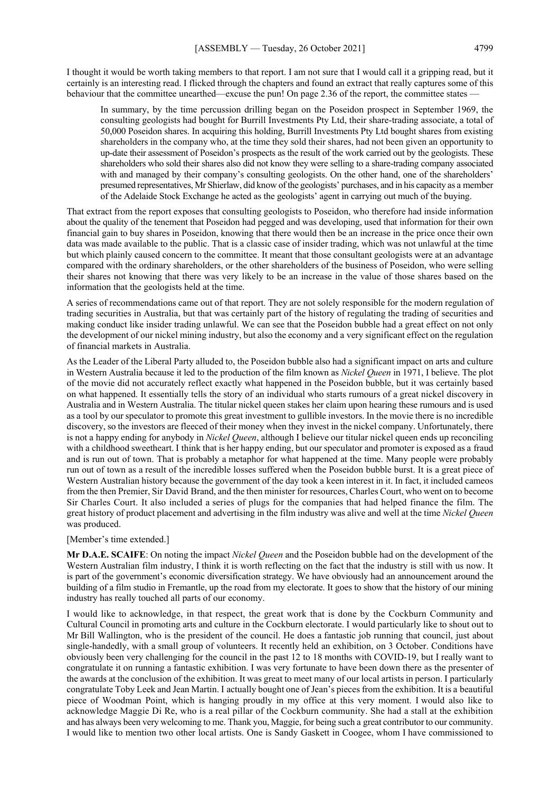I thought it would be worth taking members to that report. I am not sure that I would call it a gripping read, but it certainly is an interesting read. I flicked through the chapters and found an extract that really captures some of this behaviour that the committee unearthed—excuse the pun! On page 2.36 of the report, the committee states

In summary, by the time percussion drilling began on the Poseidon prospect in September 1969, the consulting geologists had bought for Burrill Investments Pty Ltd, their share-trading associate, a total of 50,000 Poseidon shares. In acquiring this holding, Burrill Investments Pty Ltd bought shares from existing shareholders in the company who, at the time they sold their shares, had not been given an opportunity to up-date their assessment of Poseidon's prospects as the result of the work carried out by the geologists. These shareholders who sold their shares also did not know they were selling to a share-trading company associated with and managed by their company's consulting geologists. On the other hand, one of the shareholders' presumed representatives, Mr Shierlaw, did know of the geologists' purchases, and in his capacity as a member of the Adelaide Stock Exchange he acted as the geologists' agent in carrying out much of the buying.

That extract from the report exposes that consulting geologists to Poseidon, who therefore had inside information about the quality of the tenement that Poseidon had pegged and was developing, used that information for their own financial gain to buy shares in Poseidon, knowing that there would then be an increase in the price once their own data was made available to the public. That is a classic case of insider trading, which was not unlawful at the time but which plainly caused concern to the committee. It meant that those consultant geologists were at an advantage compared with the ordinary shareholders, or the other shareholders of the business of Poseidon, who were selling their shares not knowing that there was very likely to be an increase in the value of those shares based on the information that the geologists held at the time.

A series of recommendations came out of that report. They are not solely responsible for the modern regulation of trading securities in Australia, but that was certainly part of the history of regulating the trading of securities and making conduct like insider trading unlawful. We can see that the Poseidon bubble had a great effect on not only the development of our nickel mining industry, but also the economy and a very significant effect on the regulation of financial markets in Australia.

As the Leader of the Liberal Party alluded to, the Poseidon bubble also had a significant impact on arts and culture in Western Australia because it led to the production of the film known as *Nickel Queen* in 1971, I believe. The plot of the movie did not accurately reflect exactly what happened in the Poseidon bubble, but it was certainly based on what happened. It essentially tells the story of an individual who starts rumours of a great nickel discovery in Australia and in Western Australia. The titular nickel queen stakes her claim upon hearing these rumours and is used as a tool by our speculator to promote this great investment to gullible investors. In the movie there is no incredible discovery, so the investors are fleeced of their money when they invest in the nickel company. Unfortunately, there is not a happy ending for anybody in *Nickel Queen*, although I believe our titular nickel queen ends up reconciling with a childhood sweetheart. I think that is her happy ending, but our speculator and promoter is exposed as a fraud and is run out of town. That is probably a metaphor for what happened at the time. Many people were probably run out of town as a result of the incredible losses suffered when the Poseidon bubble burst. It is a great piece of Western Australian history because the government of the day took a keen interest in it. In fact, it included cameos from the then Premier, Sir David Brand, and the then minister for resources, Charles Court, who went on to become Sir Charles Court. It also included a series of plugs for the companies that had helped finance the film. The great history of product placement and advertising in the film industry was alive and well at the time *Nickel Queen* was produced.

## [Member's time extended.]

**Mr D.A.E. SCAIFE**: On noting the impact *Nickel Queen* and the Poseidon bubble had on the development of the Western Australian film industry, I think it is worth reflecting on the fact that the industry is still with us now. It is part of the government's economic diversification strategy. We have obviously had an announcement around the building of a film studio in Fremantle, up the road from my electorate. It goes to show that the history of our mining industry has really touched all parts of our economy.

I would like to acknowledge, in that respect, the great work that is done by the Cockburn Community and Cultural Council in promoting arts and culture in the Cockburn electorate. I would particularly like to shout out to Mr Bill Wallington, who is the president of the council. He does a fantastic job running that council, just about single-handedly, with a small group of volunteers. It recently held an exhibition, on 3 October. Conditions have obviously been very challenging for the council in the past 12 to 18 months with COVID-19, but I really want to congratulate it on running a fantastic exhibition. I was very fortunate to have been down there as the presenter of the awards at the conclusion of the exhibition. It was great to meet many of our local artists in person. I particularly congratulate Toby Leek and Jean Martin. I actually bought one of Jean's pieces from the exhibition. It is a beautiful piece of Woodman Point, which is hanging proudly in my office at this very moment. I would also like to acknowledge Maggie Di Re, who is a real pillar of the Cockburn community. She had a stall at the exhibition and has always been very welcoming to me. Thank you, Maggie, for being such a great contributor to our community. I would like to mention two other local artists. One is Sandy Gaskett in Coogee, whom I have commissioned to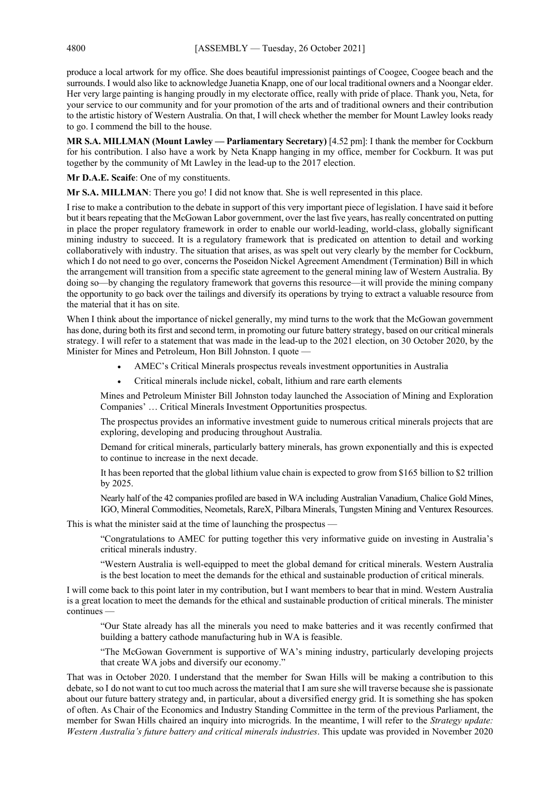produce a local artwork for my office. She does beautiful impressionist paintings of Coogee, Coogee beach and the surrounds. I would also like to acknowledge Juanetia Knapp, one of our local traditional owners and a Noongar elder. Her very large painting is hanging proudly in my electorate office, really with pride of place. Thank you, Neta, for your service to our community and for your promotion of the arts and of traditional owners and their contribution to the artistic history of Western Australia. On that, I will check whether the member for Mount Lawley looks ready to go. I commend the bill to the house.

**MR S.A. MILLMAN (Mount Lawley — Parliamentary Secretary)** [4.52 pm]: I thank the member for Cockburn for his contribution. I also have a work by Neta Knapp hanging in my office, member for Cockburn. It was put together by the community of Mt Lawley in the lead-up to the 2017 election.

**Mr D.A.E. Scaife**: One of my constituents.

**Mr S.A. MILLMAN**: There you go! I did not know that. She is well represented in this place.

I rise to make a contribution to the debate in support of this very important piece of legislation. I have said it before but it bears repeating that the McGowan Labor government, over the last five years, has really concentrated on putting in place the proper regulatory framework in order to enable our world-leading, world-class, globally significant mining industry to succeed. It is a regulatory framework that is predicated on attention to detail and working collaboratively with industry. The situation that arises, as was spelt out very clearly by the member for Cockburn, which I do not need to go over, concerns the Poseidon Nickel Agreement Amendment (Termination) Bill in which the arrangement will transition from a specific state agreement to the general mining law of Western Australia. By doing so—by changing the regulatory framework that governs this resource—it will provide the mining company the opportunity to go back over the tailings and diversify its operations by trying to extract a valuable resource from the material that it has on site.

When I think about the importance of nickel generally, my mind turns to the work that the McGowan government has done, during both its first and second term, in promoting our future battery strategy, based on our critical minerals strategy. I will refer to a statement that was made in the lead-up to the 2021 election, on 30 October 2020, by the Minister for Mines and Petroleum, Hon Bill Johnston. I quote —

- AMEC's Critical Minerals prospectus reveals investment opportunities in Australia
- Critical minerals include nickel, cobalt, lithium and rare earth elements

Mines and Petroleum Minister Bill Johnston today launched the Association of Mining and Exploration Companies' … Critical Minerals Investment Opportunities prospectus.

The prospectus provides an informative investment guide to numerous critical minerals projects that are exploring, developing and producing throughout Australia.

Demand for critical minerals, particularly battery minerals, has grown exponentially and this is expected to continue to increase in the next decade.

It has been reported that the global lithium value chain is expected to grow from \$165 billion to \$2 trillion by 2025.

Nearly half of the 42 companies profiled are based in WA including Australian Vanadium, Chalice Gold Mines, IGO, Mineral Commodities, Neometals, RareX, Pilbara Minerals, Tungsten Mining and Venturex Resources.

This is what the minister said at the time of launching the prospectus —

"Congratulations to AMEC for putting together this very informative guide on investing in Australia's critical minerals industry.

"Western Australia is well-equipped to meet the global demand for critical minerals. Western Australia is the best location to meet the demands for the ethical and sustainable production of critical minerals.

I will come back to this point later in my contribution, but I want members to bear that in mind. Western Australia is a great location to meet the demands for the ethical and sustainable production of critical minerals. The minister continues

"Our State already has all the minerals you need to make batteries and it was recently confirmed that building a battery cathode manufacturing hub in WA is feasible.

"The McGowan Government is supportive of WA's mining industry, particularly developing projects that create WA jobs and diversify our economy."

That was in October 2020. I understand that the member for Swan Hills will be making a contribution to this debate, so I do not want to cut too much across the material that I am sure she will traverse because she is passionate about our future battery strategy and, in particular, about a diversified energy grid. It is something she has spoken of often. As Chair of the Economics and Industry Standing Committee in the term of the previous Parliament, the member for Swan Hills chaired an inquiry into microgrids. In the meantime, I will refer to the *Strategy update: Western Australia's future battery and critical minerals industries*. This update was provided in November 2020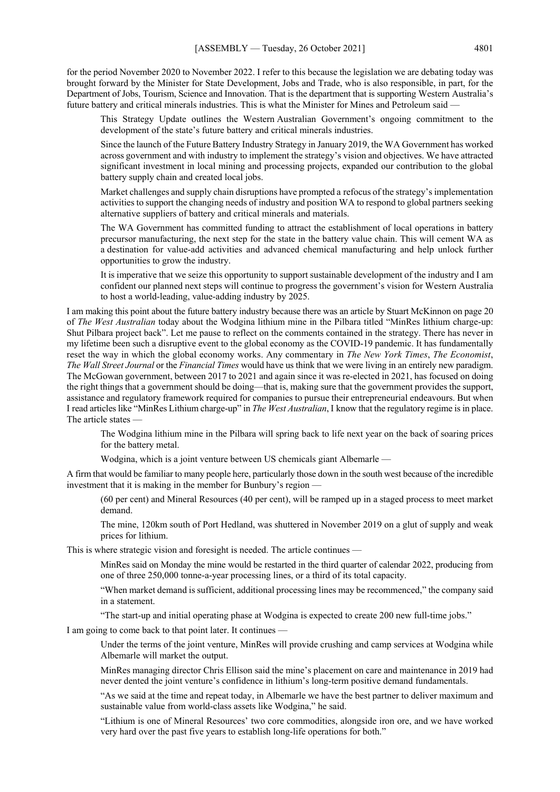for the period November 2020 to November 2022. I refer to this because the legislation we are debating today was brought forward by the Minister for State Development, Jobs and Trade, who is also responsible, in part, for the Department of Jobs, Tourism, Science and Innovation. That is the department that is supporting Western Australia's future battery and critical minerals industries. This is what the Minister for Mines and Petroleum said —

This Strategy Update outlines the Western Australian Government's ongoing commitment to the development of the state's future battery and critical minerals industries.

Since the launch of the Future Battery Industry Strategy in January 2019, the WA Government has worked across government and with industry to implement the strategy's vision and objectives. We have attracted significant investment in local mining and processing projects, expanded our contribution to the global battery supply chain and created local jobs.

Market challenges and supply chain disruptions have prompted a refocus of the strategy's implementation activities to support the changing needs of industry and position WA to respond to global partners seeking alternative suppliers of battery and critical minerals and materials.

The WA Government has committed funding to attract the establishment of local operations in battery precursor manufacturing, the next step for the state in the battery value chain. This will cement WA as a destination for value-add activities and advanced chemical manufacturing and help unlock further opportunities to grow the industry.

It is imperative that we seize this opportunity to support sustainable development of the industry and I am confident our planned next steps will continue to progress the government's vision for Western Australia to host a world-leading, value-adding industry by 2025.

I am making this point about the future battery industry because there was an article by Stuart McKinnon on page 20 of *The West Australian* today about the Wodgina lithium mine in the Pilbara titled "MinRes lithium charge-up: Shut Pilbara project back". Let me pause to reflect on the comments contained in the strategy. There has never in my lifetime been such a disruptive event to the global economy as the COVID-19 pandemic. It has fundamentally reset the way in which the global economy works. Any commentary in *The New York Times*, *The Economist*, *The Wall Street Journal* or the *Financial Times* would have us think that we were living in an entirely new paradigm. The McGowan government, between 2017 to 2021 and again since it was re-elected in 2021, has focused on doing the right things that a government should be doing—that is, making sure that the government provides the support, assistance and regulatory framework required for companies to pursue their entrepreneurial endeavours. But when I read articles like "MinRes Lithium charge-up" in *The West Australian*, I know that the regulatory regime is in place. The article states —

The Wodgina lithium mine in the Pilbara will spring back to life next year on the back of soaring prices for the battery metal.

Wodgina, which is a joint venture between US chemicals giant Albemarle —

A firm that would be familiar to many people here, particularly those down in the south west because of the incredible investment that it is making in the member for Bunbury's region -

(60 per cent) and Mineral Resources (40 per cent), will be ramped up in a staged process to meet market demand.

The mine, 120km south of Port Hedland, was shuttered in November 2019 on a glut of supply and weak prices for lithium.

This is where strategic vision and foresight is needed. The article continues —

MinRes said on Monday the mine would be restarted in the third quarter of calendar 2022, producing from one of three 250,000 tonne-a-year processing lines, or a third of its total capacity.

"When market demand is sufficient, additional processing lines may be recommenced," the company said in a statement.

"The start-up and initial operating phase at Wodgina is expected to create 200 new full-time jobs."

I am going to come back to that point later. It continues —

Under the terms of the joint venture, MinRes will provide crushing and camp services at Wodgina while Albemarle will market the output.

MinRes managing director Chris Ellison said the mine's placement on care and maintenance in 2019 had never dented the joint venture's confidence in lithium's long-term positive demand fundamentals.

"As we said at the time and repeat today, in Albemarle we have the best partner to deliver maximum and sustainable value from world-class assets like Wodgina," he said.

"Lithium is one of Mineral Resources' two core commodities, alongside iron ore, and we have worked very hard over the past five years to establish long-life operations for both."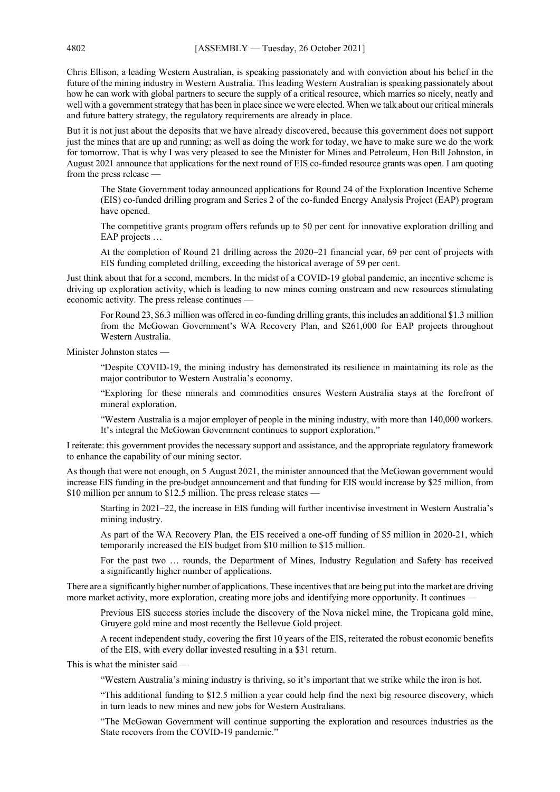Chris Ellison, a leading Western Australian, is speaking passionately and with conviction about his belief in the future of the mining industry in Western Australia. This leading Western Australian is speaking passionately about how he can work with global partners to secure the supply of a critical resource, which marries so nicely, neatly and well with a government strategy that has been in place since we were elected. When we talk about our critical minerals and future battery strategy, the regulatory requirements are already in place.

But it is not just about the deposits that we have already discovered, because this government does not support just the mines that are up and running; as well as doing the work for today, we have to make sure we do the work for tomorrow. That is why I was very pleased to see the Minister for Mines and Petroleum, Hon Bill Johnston, in August 2021 announce that applications for the next round of EIS co-funded resource grants was open. I am quoting from the press release —

The State Government today announced applications for Round 24 of the Exploration Incentive Scheme (EIS) co-funded drilling program and Series 2 of the co-funded Energy Analysis Project (EAP) program have opened.

The competitive grants program offers refunds up to 50 per cent for innovative exploration drilling and EAP projects …

At the completion of Round 21 drilling across the 2020–21 financial year, 69 per cent of projects with EIS funding completed drilling, exceeding the historical average of 59 per cent.

Just think about that for a second, members. In the midst of a COVID-19 global pandemic, an incentive scheme is driving up exploration activity, which is leading to new mines coming onstream and new resources stimulating economic activity. The press release continues —

For Round 23, \$6.3 million was offered in co-funding drilling grants, this includes an additional \$1.3 million from the McGowan Government's WA Recovery Plan, and \$261,000 for EAP projects throughout Western Australia.

Minister Johnston states —

"Despite COVID-19, the mining industry has demonstrated its resilience in maintaining its role as the major contributor to Western Australia's economy.

"Exploring for these minerals and commodities ensures Western Australia stays at the forefront of mineral exploration.

"Western Australia is a major employer of people in the mining industry, with more than 140,000 workers. It's integral the McGowan Government continues to support exploration."

I reiterate: this government provides the necessary support and assistance, and the appropriate regulatory framework to enhance the capability of our mining sector.

As though that were not enough, on 5 August 2021, the minister announced that the McGowan government would increase EIS funding in the pre-budget announcement and that funding for EIS would increase by \$25 million, from \$10 million per annum to \$12.5 million. The press release states —

Starting in 2021–22, the increase in EIS funding will further incentivise investment in Western Australia's mining industry.

As part of the WA Recovery Plan, the EIS received a one-off funding of \$5 million in 2020-21, which temporarily increased the EIS budget from \$10 million to \$15 million.

For the past two … rounds, the Department of Mines, Industry Regulation and Safety has received a significantly higher number of applications.

There are a significantly higher number of applications. These incentives that are being put into the market are driving more market activity, more exploration, creating more jobs and identifying more opportunity. It continues —

Previous EIS success stories include the discovery of the Nova nickel mine, the Tropicana gold mine, Gruyere gold mine and most recently the Bellevue Gold project.

A recent independent study, covering the first 10 years of the EIS, reiterated the robust economic benefits of the EIS, with every dollar invested resulting in a \$31 return.

This is what the minister said —

"Western Australia's mining industry is thriving, so it's important that we strike while the iron is hot.

"This additional funding to \$12.5 million a year could help find the next big resource discovery, which in turn leads to new mines and new jobs for Western Australians.

"The McGowan Government will continue supporting the exploration and resources industries as the State recovers from the COVID-19 pandemic."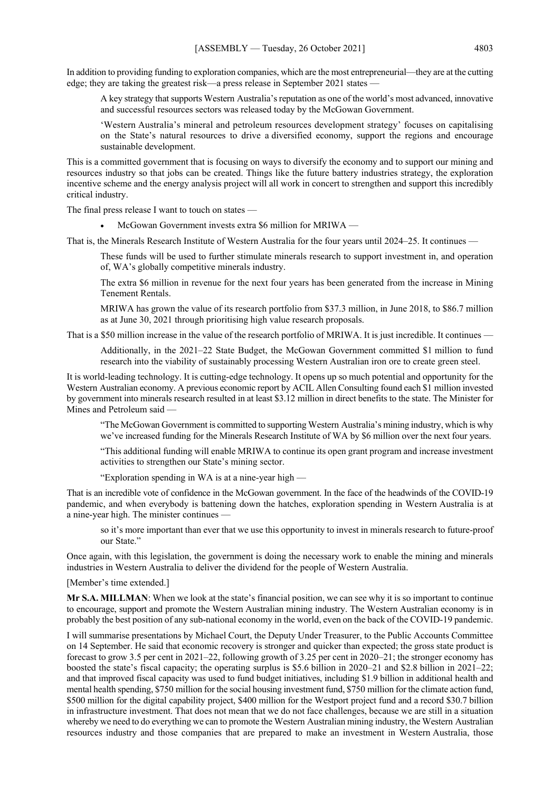In addition to providing funding to exploration companies, which are the most entrepreneurial—they are at the cutting edge; they are taking the greatest risk—a press release in September 2021 states

A key strategy that supports Western Australia's reputation as one of the world's most advanced, innovative and successful resources sectors was released today by the McGowan Government.

'Western Australia's mineral and petroleum resources development strategy' focuses on capitalising on the State's natural resources to drive a diversified economy, support the regions and encourage sustainable development.

This is a committed government that is focusing on ways to diversify the economy and to support our mining and resources industry so that jobs can be created. Things like the future battery industries strategy, the exploration incentive scheme and the energy analysis project will all work in concert to strengthen and support this incredibly critical industry.

The final press release I want to touch on states —

• McGowan Government invests extra \$6 million for MRIWA —

That is, the Minerals Research Institute of Western Australia for the four years until 2024–25. It continues —

These funds will be used to further stimulate minerals research to support investment in, and operation of, WA's globally competitive minerals industry.

The extra \$6 million in revenue for the next four years has been generated from the increase in Mining Tenement Rentals.

MRIWA has grown the value of its research portfolio from \$37.3 million, in June 2018, to \$86.7 million as at June 30, 2021 through prioritising high value research proposals.

That is a \$50 million increase in the value of the research portfolio of MRIWA. It is just incredible. It continues —

Additionally, in the 2021–22 State Budget, the McGowan Government committed \$1 million to fund research into the viability of sustainably processing Western Australian iron ore to create green steel.

It is world-leading technology. It is cutting-edge technology. It opens up so much potential and opportunity for the Western Australian economy. A previous economic report by ACIL Allen Consulting found each \$1 million invested by government into minerals research resulted in at least \$3.12 million in direct benefits to the state. The Minister for Mines and Petroleum said —

"The McGowan Government is committed to supporting Western Australia's mining industry, which is why we've increased funding for the Minerals Research Institute of WA by \$6 million over the next four years.

"This additional funding will enable MRIWA to continue its open grant program and increase investment activities to strengthen our State's mining sector.

"Exploration spending in WA is at a nine-year high —

That is an incredible vote of confidence in the McGowan government. In the face of the headwinds of the COVID-19 pandemic, and when everybody is battening down the hatches, exploration spending in Western Australia is at a nine-year high. The minister continues —

so it's more important than ever that we use this opportunity to invest in minerals research to future-proof our State."

Once again, with this legislation, the government is doing the necessary work to enable the mining and minerals industries in Western Australia to deliver the dividend for the people of Western Australia.

[Member's time extended.]

**Mr S.A. MILLMAN**: When we look at the state's financial position, we can see why it is so important to continue to encourage, support and promote the Western Australian mining industry. The Western Australian economy is in probably the best position of any sub-national economy in the world, even on the back of the COVID-19 pandemic.

I will summarise presentations by Michael Court, the Deputy Under Treasurer, to the Public Accounts Committee on 14 September. He said that economic recovery is stronger and quicker than expected; the gross state product is forecast to grow 3.5 per cent in 2021–22, following growth of 3.25 per cent in 2020–21; the stronger economy has boosted the state's fiscal capacity; the operating surplus is \$5.6 billion in 2020–21 and \$2.8 billion in 2021–22; and that improved fiscal capacity was used to fund budget initiatives, including \$1.9 billion in additional health and mental health spending, \$750 million for the social housing investment fund, \$750 million for the climate action fund, \$500 million for the digital capability project, \$400 million for the Westport project fund and a record \$30.7 billion in infrastructure investment. That does not mean that we do not face challenges, because we are still in a situation whereby we need to do everything we can to promote the Western Australian mining industry, the Western Australian resources industry and those companies that are prepared to make an investment in Western Australia, those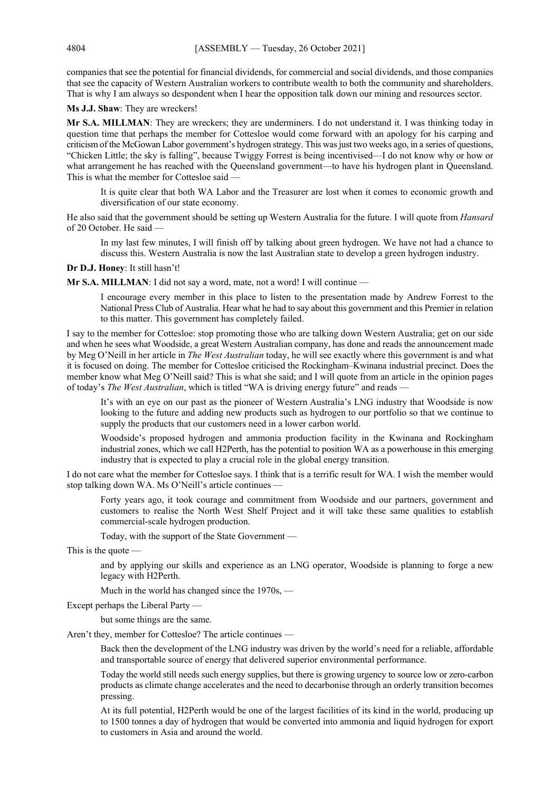companies that see the potential for financial dividends, for commercial and social dividends, and those companies that see the capacity of Western Australian workers to contribute wealth to both the community and shareholders. That is why I am always so despondent when I hear the opposition talk down our mining and resources sector.

**Ms J.J. Shaw**: They are wreckers!

**Mr S.A. MILLMAN**: They are wreckers; they are underminers. I do not understand it. I was thinking today in question time that perhaps the member for Cottesloe would come forward with an apology for his carping and criticism of the McGowan Labor government's hydrogen strategy. This was just two weeks ago, in a series of questions, "Chicken Little; the sky is falling", because Twiggy Forrest is being incentivised—I do not know why or how or what arrangement he has reached with the Queensland government—to have his hydrogen plant in Queensland. This is what the member for Cottesloe said —

It is quite clear that both WA Labor and the Treasurer are lost when it comes to economic growth and diversification of our state economy.

He also said that the government should be setting up Western Australia for the future. I will quote from *Hansard* of 20 October. He said —

In my last few minutes, I will finish off by talking about green hydrogen. We have not had a chance to discuss this. Western Australia is now the last Australian state to develop a green hydrogen industry.

**Dr D.J. Honey**: It still hasn't!

**Mr S.A. MILLMAN**: I did not say a word, mate, not a word! I will continue —

I encourage every member in this place to listen to the presentation made by Andrew Forrest to the National Press Club of Australia. Hear what he had to say about this government and this Premier in relation to this matter. This government has completely failed.

I say to the member for Cottesloe: stop promoting those who are talking down Western Australia; get on our side and when he sees what Woodside, a great Western Australian company, has done and reads the announcement made by Meg O'Neill in her article in *The West Australian* today, he will see exactly where this government is and what it is focused on doing. The member for Cottesloe criticised the Rockingham–Kwinana industrial precinct. Does the member know what Meg O'Neill said? This is what she said; and I will quote from an article in the opinion pages of today's *The West Australian*, which is titled "WA is driving energy future" and reads —

It's with an eye on our past as the pioneer of Western Australia's LNG industry that Woodside is now looking to the future and adding new products such as hydrogen to our portfolio so that we continue to supply the products that our customers need in a lower carbon world.

Woodside's proposed hydrogen and ammonia production facility in the Kwinana and Rockingham industrial zones, which we call H2Perth, has the potential to position WA as a powerhouse in this emerging industry that is expected to play a crucial role in the global energy transition.

I do not care what the member for Cottesloe says. I think that is a terrific result for WA. I wish the member would stop talking down WA. Ms O'Neill's article continues

Forty years ago, it took courage and commitment from Woodside and our partners, government and customers to realise the North West Shelf Project and it will take these same qualities to establish commercial-scale hydrogen production.

Today, with the support of the State Government —

This is the quote —

and by applying our skills and experience as an LNG operator, Woodside is planning to forge a new legacy with H2Perth.

Much in the world has changed since the 1970s, —

Except perhaps the Liberal Party —

but some things are the same.

Aren't they, member for Cottesloe? The article continues —

Back then the development of the LNG industry was driven by the world's need for a reliable, affordable and transportable source of energy that delivered superior environmental performance.

Today the world still needs such energy supplies, but there is growing urgency to source low or zero-carbon products as climate change accelerates and the need to decarbonise through an orderly transition becomes pressing.

At its full potential, H2Perth would be one of the largest facilities of its kind in the world, producing up to 1500 tonnes a day of hydrogen that would be converted into ammonia and liquid hydrogen for export to customers in Asia and around the world.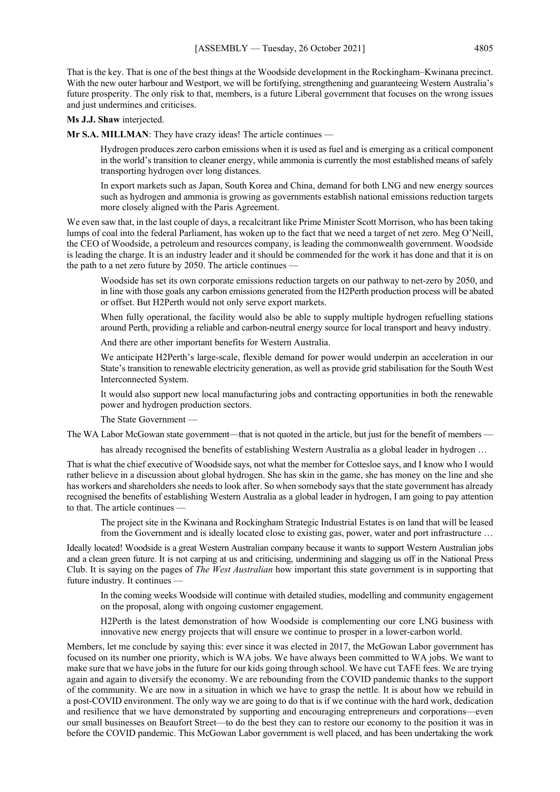That is the key. That is one of the best things at the Woodside development in the Rockingham–Kwinana precinct. With the new outer harbour and Westport, we will be fortifying, strengthening and guaranteeing Western Australia's future prosperity. The only risk to that, members, is a future Liberal government that focuses on the wrong issues and just undermines and criticises.

#### **Ms J.J. Shaw** interjected.

**Mr S.A. MILLMAN**: They have crazy ideas! The article continues —

Hydrogen produces zero carbon emissions when it is used as fuel and is emerging as a critical component in the world's transition to cleaner energy, while ammonia is currently the most established means of safely transporting hydrogen over long distances.

In export markets such as Japan, South Korea and China, demand for both LNG and new energy sources such as hydrogen and ammonia is growing as governments establish national emissions reduction targets more closely aligned with the Paris Agreement.

We even saw that, in the last couple of days, a recalcitrant like Prime Minister Scott Morrison, who has been taking lumps of coal into the federal Parliament, has woken up to the fact that we need a target of net zero. Meg O'Neill, the CEO of Woodside, a petroleum and resources company, is leading the commonwealth government. Woodside is leading the charge. It is an industry leader and it should be commended for the work it has done and that it is on the path to a net zero future by 2050. The article continues —

Woodside has set its own corporate emissions reduction targets on our pathway to net-zero by 2050, and in line with those goals any carbon emissions generated from the H2Perth production process will be abated or offset. But H2Perth would not only serve export markets.

When fully operational, the facility would also be able to supply multiple hydrogen refuelling stations around Perth, providing a reliable and carbon-neutral energy source for local transport and heavy industry.

And there are other important benefits for Western Australia.

We anticipate H2Perth's large-scale, flexible demand for power would underpin an acceleration in our State's transition to renewable electricity generation, as well as provide grid stabilisation for the South West Interconnected System.

It would also support new local manufacturing jobs and contracting opportunities in both the renewable power and hydrogen production sectors.

The State Government —

The WA Labor McGowan state government—that is not quoted in the article, but just for the benefit of members —

has already recognised the benefits of establishing Western Australia as a global leader in hydrogen ...

That is what the chief executive of Woodside says, not what the member for Cottesloe says, and I know who I would rather believe in a discussion about global hydrogen. She has skin in the game, she has money on the line and she has workers and shareholders she needs to look after. So when somebody says that the state government has already recognised the benefits of establishing Western Australia as a global leader in hydrogen, I am going to pay attention to that. The article continues

The project site in the Kwinana and Rockingham Strategic Industrial Estates is on land that will be leased from the Government and is ideally located close to existing gas, power, water and port infrastructure …

Ideally located! Woodside is a great Western Australian company because it wants to support Western Australian jobs and a clean green future. It is not carping at us and criticising, undermining and slagging us off in the National Press Club. It is saying on the pages of *The West Australian* how important this state government is in supporting that future industry. It continues —

In the coming weeks Woodside will continue with detailed studies, modelling and community engagement on the proposal, along with ongoing customer engagement.

H2Perth is the latest demonstration of how Woodside is complementing our core LNG business with innovative new energy projects that will ensure we continue to prosper in a lower-carbon world.

Members, let me conclude by saying this: ever since it was elected in 2017, the McGowan Labor government has focused on its number one priority, which is WA jobs. We have always been committed to WA jobs. We want to make sure that we have jobs in the future for our kids going through school. We have cut TAFE fees. We are trying again and again to diversify the economy. We are rebounding from the COVID pandemic thanks to the support of the community. We are now in a situation in which we have to grasp the nettle. It is about how we rebuild in a post-COVID environment. The only way we are going to do that is if we continue with the hard work, dedication and resilience that we have demonstrated by supporting and encouraging entrepreneurs and corporations—even our small businesses on Beaufort Street—to do the best they can to restore our economy to the position it was in before the COVID pandemic. This McGowan Labor government is well placed, and has been undertaking the work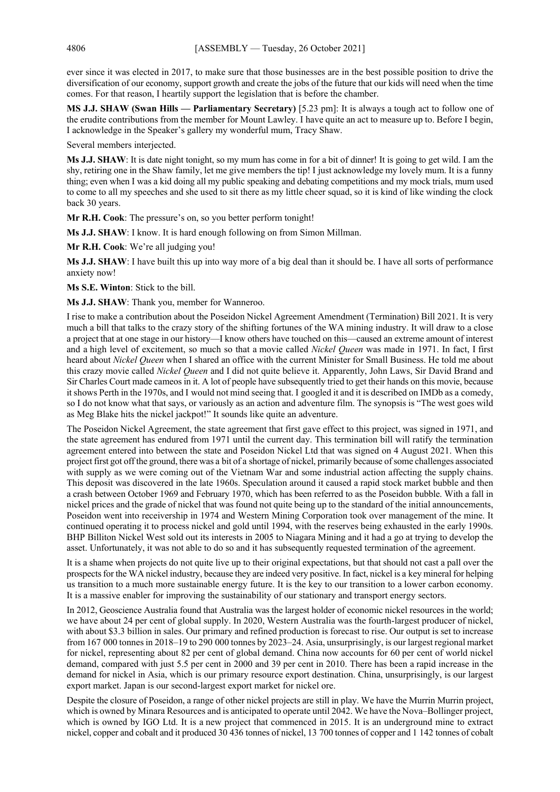ever since it was elected in 2017, to make sure that those businesses are in the best possible position to drive the diversification of our economy, support growth and create the jobs of the future that our kids will need when the time comes. For that reason, I heartily support the legislation that is before the chamber.

**MS J.J. SHAW (Swan Hills — Parliamentary Secretary)** [5.23 pm]: It is always a tough act to follow one of the erudite contributions from the member for Mount Lawley. I have quite an act to measure up to. Before I begin, I acknowledge in the Speaker's gallery my wonderful mum, Tracy Shaw.

Several members interjected.

**Ms J.J. SHAW**: It is date night tonight, so my mum has come in for a bit of dinner! It is going to get wild. I am the shy, retiring one in the Shaw family, let me give members the tip! I just acknowledge my lovely mum. It is a funny thing; even when I was a kid doing all my public speaking and debating competitions and my mock trials, mum used to come to all my speeches and she used to sit there as my little cheer squad, so it is kind of like winding the clock back 30 years.

**Mr R.H. Cook**: The pressure's on, so you better perform tonight!

**Ms J.J. SHAW**: I know. It is hard enough following on from Simon Millman.

**Mr R.H. Cook**: We're all judging you!

**Ms J.J. SHAW**: I have built this up into way more of a big deal than it should be. I have all sorts of performance anxiety now!

**Ms S.E. Winton**: Stick to the bill.

**Ms J.J. SHAW**: Thank you, member for Wanneroo.

I rise to make a contribution about the Poseidon Nickel Agreement Amendment (Termination) Bill 2021. It is very much a bill that talks to the crazy story of the shifting fortunes of the WA mining industry. It will draw to a close a project that at one stage in our history—I know others have touched on this—caused an extreme amount of interest and a high level of excitement, so much so that a movie called *Nickel Queen* was made in 1971. In fact, I first heard about *Nickel Queen* when I shared an office with the current Minister for Small Business. He told me about this crazy movie called *Nickel Queen* and I did not quite believe it. Apparently, John Laws, Sir David Brand and Sir Charles Court made cameos in it. A lot of people have subsequently tried to get their hands on this movie, because it shows Perth in the 1970s, and I would not mind seeing that. I googled it and it is described on IMDb as a comedy, so I do not know what that says, or variously as an action and adventure film. The synopsis is "The west goes wild as Meg Blake hits the nickel jackpot!" It sounds like quite an adventure.

The Poseidon Nickel Agreement, the state agreement that first gave effect to this project, was signed in 1971, and the state agreement has endured from 1971 until the current day. This termination bill will ratify the termination agreement entered into between the state and Poseidon Nickel Ltd that was signed on 4 August 2021. When this project first got off the ground, there was a bit of a shortage of nickel, primarily because of some challenges associated with supply as we were coming out of the Vietnam War and some industrial action affecting the supply chains. This deposit was discovered in the late 1960s. Speculation around it caused a rapid stock market bubble and then a crash between October 1969 and February 1970, which has been referred to as the Poseidon bubble. With a fall in nickel prices and the grade of nickel that was found not quite being up to the standard of the initial announcements, Poseidon went into receivership in 1974 and Western Mining Corporation took over management of the mine. It continued operating it to process nickel and gold until 1994, with the reserves being exhausted in the early 1990s. BHP Billiton Nickel West sold out its interests in 2005 to Niagara Mining and it had a go at trying to develop the asset. Unfortunately, it was not able to do so and it has subsequently requested termination of the agreement.

It is a shame when projects do not quite live up to their original expectations, but that should not cast a pall over the prospects for the WA nickel industry, because they are indeed very positive. In fact, nickel is a key mineral for helping us transition to a much more sustainable energy future. It is the key to our transition to a lower carbon economy. It is a massive enabler for improving the sustainability of our stationary and transport energy sectors.

In 2012, Geoscience Australia found that Australia was the largest holder of economic nickel resources in the world; we have about 24 per cent of global supply. In 2020, Western Australia was the fourth-largest producer of nickel, with about \$3.3 billion in sales. Our primary and refined production is forecast to rise. Our output is set to increase from 167 000 tonnes in 2018–19 to 290 000 tonnes by 2023–24. Asia, unsurprisingly, is our largest regional market for nickel, representing about 82 per cent of global demand. China now accounts for 60 per cent of world nickel demand, compared with just 5.5 per cent in 2000 and 39 per cent in 2010. There has been a rapid increase in the demand for nickel in Asia, which is our primary resource export destination. China, unsurprisingly, is our largest export market. Japan is our second-largest export market for nickel ore.

Despite the closure of Poseidon, a range of other nickel projects are still in play. We have the Murrin Murrin project, which is owned by Minara Resources and is anticipated to operate until 2042. We have the Nova–Bollinger project, which is owned by IGO Ltd. It is a new project that commenced in 2015. It is an underground mine to extract nickel, copper and cobalt and it produced 30 436 tonnes of nickel, 13 700 tonnes of copper and 1 142 tonnes of cobalt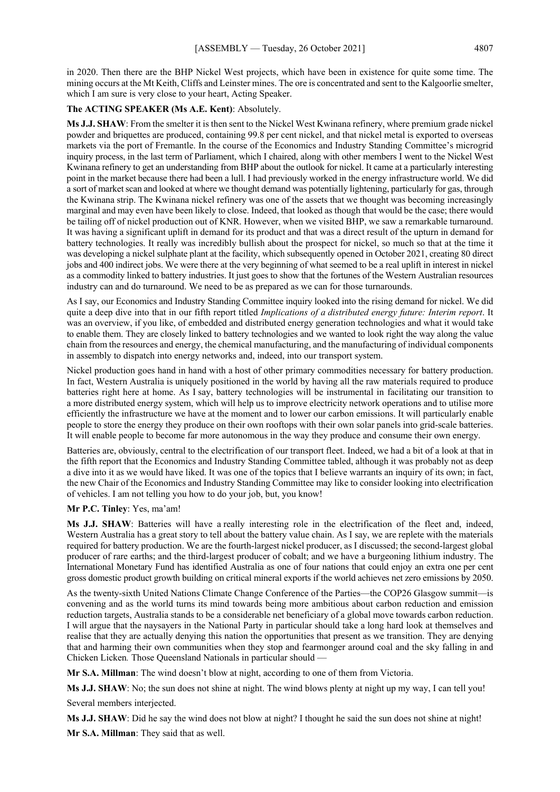in 2020. Then there are the BHP Nickel West projects, which have been in existence for quite some time. The mining occurs at the Mt Keith, Cliffs and Leinster mines. The ore is concentrated and sent to the Kalgoorlie smelter, which I am sure is very close to your heart, Acting Speaker.

## **The ACTING SPEAKER (Ms A.E. Kent)**: Absolutely.

**Ms J.J. SHAW**: From the smelter it is then sent to the Nickel West Kwinana refinery, where premium grade nickel powder and briquettes are produced, containing 99.8 per cent nickel, and that nickel metal is exported to overseas markets via the port of Fremantle. In the course of the Economics and Industry Standing Committee's microgrid inquiry process, in the last term of Parliament, which I chaired, along with other members I went to the Nickel West Kwinana refinery to get an understanding from BHP about the outlook for nickel. It came at a particularly interesting point in the market because there had been a lull. I had previously worked in the energy infrastructure world. We did a sort of market scan and looked at where we thought demand was potentially lightening, particularly for gas, through the Kwinana strip. The Kwinana nickel refinery was one of the assets that we thought was becoming increasingly marginal and may even have been likely to close. Indeed, that looked as though that would be the case; there would be tailing off of nickel production out of KNR. However, when we visited BHP, we saw a remarkable turnaround. It was having a significant uplift in demand for its product and that was a direct result of the upturn in demand for battery technologies. It really was incredibly bullish about the prospect for nickel, so much so that at the time it was developing a nickel sulphate plant at the facility, which subsequently opened in October 2021, creating 80 direct jobs and 400 indirect jobs. We were there at the very beginning of what seemed to be a real uplift in interest in nickel as a commodity linked to battery industries. It just goes to show that the fortunes of the Western Australian resources industry can and do turnaround. We need to be as prepared as we can for those turnarounds.

As I say, our Economics and Industry Standing Committee inquiry looked into the rising demand for nickel. We did quite a deep dive into that in our fifth report titled *Implications of a distributed energy future: Interim report*. It was an overview, if you like, of embedded and distributed energy generation technologies and what it would take to enable them. They are closely linked to battery technologies and we wanted to look right the way along the value chain from the resources and energy, the chemical manufacturing, and the manufacturing of individual components in assembly to dispatch into energy networks and, indeed, into our transport system.

Nickel production goes hand in hand with a host of other primary commodities necessary for battery production. In fact, Western Australia is uniquely positioned in the world by having all the raw materials required to produce batteries right here at home. As I say, battery technologies will be instrumental in facilitating our transition to a more distributed energy system, which will help us to improve electricity network operations and to utilise more efficiently the infrastructure we have at the moment and to lower our carbon emissions. It will particularly enable people to store the energy they produce on their own rooftops with their own solar panels into grid-scale batteries. It will enable people to become far more autonomous in the way they produce and consume their own energy.

Batteries are, obviously, central to the electrification of our transport fleet. Indeed, we had a bit of a look at that in the fifth report that the Economics and Industry Standing Committee tabled, although it was probably not as deep a dive into it as we would have liked. It was one of the topics that I believe warrants an inquiry of its own; in fact, the new Chair of the Economics and Industry Standing Committee may like to consider looking into electrification of vehicles. I am not telling you how to do your job, but, you know!

## **Mr P.C. Tinley**: Yes, ma'am!

**Ms J.J. SHAW**: Batteries will have a really interesting role in the electrification of the fleet and, indeed, Western Australia has a great story to tell about the battery value chain. As I say, we are replete with the materials required for battery production. We are the fourth-largest nickel producer, as I discussed; the second-largest global producer of rare earths; and the third-largest producer of cobalt; and we have a burgeoning lithium industry. The International Monetary Fund has identified Australia as one of four nations that could enjoy an extra one per cent gross domestic product growth building on critical mineral exports if the world achieves net zero emissions by 2050.

As the twenty-sixth United Nations Climate Change Conference of the Parties—the COP26 Glasgow summit—is convening and as the world turns its mind towards being more ambitious about carbon reduction and emission reduction targets, Australia stands to be a considerable net beneficiary of a global move towards carbon reduction. I will argue that the naysayers in the National Party in particular should take a long hard look at themselves and realise that they are actually denying this nation the opportunities that present as we transition. They are denying that and harming their own communities when they stop and fearmonger around coal and the sky falling in and Chicken Licken*.* Those Queensland Nationals in particular should —

**Mr S.A. Millman**: The wind doesn't blow at night, according to one of them from Victoria.

**Ms J.J. SHAW**: No; the sun does not shine at night. The wind blows plenty at night up my way, I can tell you! Several members interjected.

**Ms J.J. SHAW**: Did he say the wind does not blow at night? I thought he said the sun does not shine at night! **Mr S.A. Millman**: They said that as well.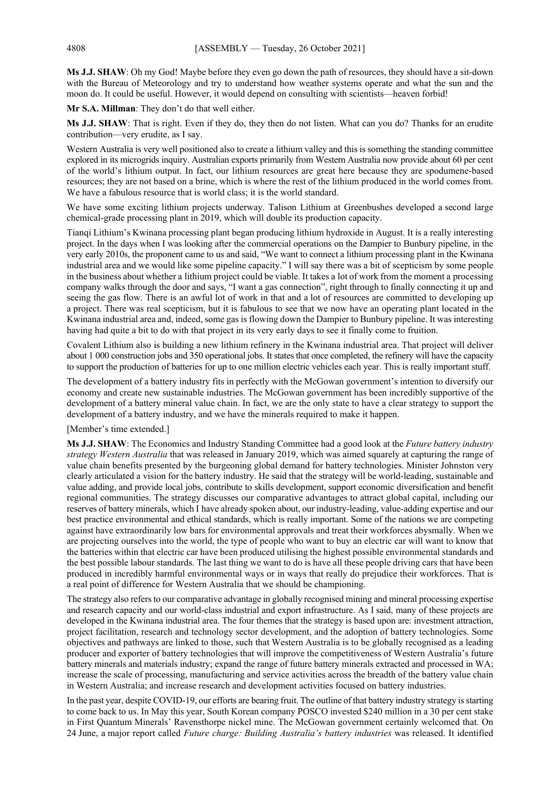**Ms J.J. SHAW**: Oh my God! Maybe before they even go down the path of resources, they should have a sit-down with the Bureau of Meteorology and try to understand how weather systems operate and what the sun and the moon do. It could be useful. However, it would depend on consulting with scientists—heaven forbid!

**Mr S.A. Millman**: They don't do that well either.

**Ms J.J. SHAW**: That is right. Even if they do, they then do not listen. What can you do? Thanks for an erudite contribution—very erudite, as I say.

Western Australia is very well positioned also to create a lithium valley and this is something the standing committee explored in its microgrids inquiry. Australian exports primarily from Western Australia now provide about 60 per cent of the world's lithium output. In fact, our lithium resources are great here because they are spodumene-based resources; they are not based on a brine, which is where the rest of the lithium produced in the world comes from. We have a fabulous resource that is world class; it is the world standard.

We have some exciting lithium projects underway. Talison Lithium at Greenbushes developed a second large chemical-grade processing plant in 2019, which will double its production capacity.

Tianqi Lithium's Kwinana processing plant began producing lithium hydroxide in August. It is a really interesting project. In the days when I was looking after the commercial operations on the Dampier to Bunbury pipeline, in the very early 2010s, the proponent came to us and said, "We want to connect a lithium processing plant in the Kwinana industrial area and we would like some pipeline capacity." I will say there was a bit of scepticism by some people in the business about whether a lithium project could be viable. It takes a lot of work from the moment a processing company walks through the door and says, "I want a gas connection", right through to finally connecting it up and seeing the gas flow. There is an awful lot of work in that and a lot of resources are committed to developing up a project. There was real scepticism, but it is fabulous to see that we now have an operating plant located in the Kwinana industrial area and, indeed, some gas is flowing down the Dampier to Bunbury pipeline. It was interesting having had quite a bit to do with that project in its very early days to see it finally come to fruition.

Covalent Lithium also is building a new lithium refinery in the Kwinana industrial area. That project will deliver about 1 000 construction jobs and 350 operational jobs. It states that once completed, the refinery will have the capacity to support the production of batteries for up to one million electric vehicles each year. This is really important stuff.

The development of a battery industry fits in perfectly with the McGowan government's intention to diversify our economy and create new sustainable industries. The McGowan government has been incredibly supportive of the development of a battery mineral value chain. In fact, we are the only state to have a clear strategy to support the development of a battery industry, and we have the minerals required to make it happen.

## [Member's time extended.]

**Ms J.J. SHAW**: The Economics and Industry Standing Committee had a good look at the *Future battery industry strategy Western Australia* that was released in January 2019, which was aimed squarely at capturing the range of value chain benefits presented by the burgeoning global demand for battery technologies. Minister Johnston very clearly articulated a vision for the battery industry. He said that the strategy will be world-leading, sustainable and value adding, and provide local jobs, contribute to skills development, support economic diversification and benefit regional communities. The strategy discusses our comparative advantages to attract global capital, including our reserves of battery minerals, which I have already spoken about, our industry-leading, value-adding expertise and our best practice environmental and ethical standards, which is really important. Some of the nations we are competing against have extraordinarily low bars for environmental approvals and treat their workforces abysmally. When we are projecting ourselves into the world, the type of people who want to buy an electric car will want to know that the batteries within that electric car have been produced utilising the highest possible environmental standards and the best possible labour standards. The last thing we want to do is have all these people driving cars that have been produced in incredibly harmful environmental ways or in ways that really do prejudice their workforces. That is a real point of difference for Western Australia that we should be championing.

The strategy also refers to our comparative advantage in globally recognised mining and mineral processing expertise and research capacity and our world-class industrial and export infrastructure. As I said, many of these projects are developed in the Kwinana industrial area. The four themes that the strategy is based upon are: investment attraction, project facilitation, research and technology sector development, and the adoption of battery technologies. Some objectives and pathways are linked to those, such that Western Australia is to be globally recognised as a leading producer and exporter of battery technologies that will improve the competitiveness of Western Australia's future battery minerals and materials industry; expand the range of future battery minerals extracted and processed in WA; increase the scale of processing, manufacturing and service activities across the breadth of the battery value chain in Western Australia; and increase research and development activities focused on battery industries.

In the past year, despite COVID-19, our efforts are bearing fruit. The outline of that battery industry strategy is starting to come back to us. In May this year, South Korean company POSCO invested \$240 million in a 30 per cent stake in First Quantum Minerals' Ravensthorpe nickel mine. The McGowan government certainly welcomed that. On 24 June, a major report called *Future charge: Building Australia's battery industries* was released. It identified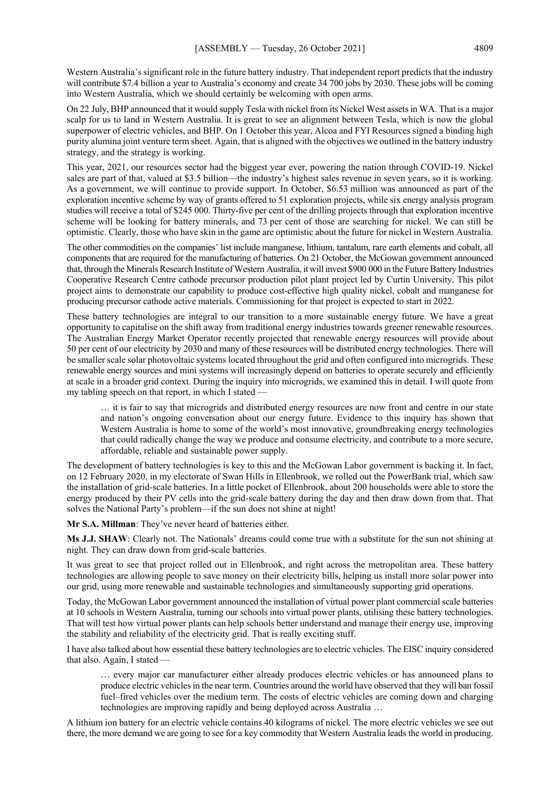Western Australia's significant role in the future battery industry. That independent report predicts that the industry will contribute \$7.4 billion a year to Australia's economy and create 34 700 jobs by 2030. These jobs will be coming into Western Australia, which we should certainly be welcoming with open arms.

On 22 July, BHP announced that it would supply Tesla with nickel from its Nickel West assets in WA. That is a major scalp for us to land in Western Australia. It is great to see an alignment between Tesla, which is now the global superpower of electric vehicles, and BHP. On 1 October this year, Alcoa and FYI Resources signed a binding high purity alumina joint venture term sheet. Again, that is aligned with the objectives we outlined in the battery industry strategy, and the strategy is working.

This year, 2021, our resources sector had the biggest year ever, powering the nation through COVID-19. Nickel sales are part of that, valued at \$3.5 billion—the industry's highest sales revenue in seven years, so it is working. As a government, we will continue to provide support. In October, \$6.53 million was announced as part of the exploration incentive scheme by way of grants offered to 51 exploration projects, while six energy analysis program studies will receive a total of \$245 000. Thirty-five per cent of the drilling projects through that exploration incentive scheme will be looking for battery minerals, and 73 per cent of those are searching for nickel. We can still be optimistic. Clearly, those who have skin in the game are optimistic about the future for nickel in Western Australia.

The other commodities on the companies' list include manganese, lithium, tantalum, rare earth elements and cobalt, all components that are required for the manufacturing of batteries. On 21 October, the McGowan government announced that, through the Minerals Research Institute of Western Australia, it will invest \$900 000 in the Future Battery Industries Cooperative Research Centre cathode precursor production pilot plant project led by Curtin University. This pilot project aims to demonstrate our capability to produce cost-effective high quality nickel, cobalt and manganese for producing precursor cathode active materials. Commissioning for that project is expected to start in 2022.

These battery technologies are integral to our transition to a more sustainable energy future. We have a great opportunity to capitalise on the shift away from traditional energy industries towards greener renewable resources. The Australian Energy Market Operator recently projected that renewable energy resources will provide about 50 per cent of our electricity by 2030 and many of these resources will be distributed energy technologies. There will be smaller scale solar photovoltaic systems located throughout the grid and often configured into microgrids. These renewable energy sources and mini systems will increasingly depend on batteries to operate securely and efficiently at scale in a broader grid context. During the inquiry into microgrids, we examined this in detail. I will quote from my tabling speech on that report, in which I stated —

… it is fair to say that microgrids and distributed energy resources are now front and centre in our state and nation's ongoing conversation about our energy future. Evidence to this inquiry has shown that Western Australia is home to some of the world's most innovative, groundbreaking energy technologies that could radically change the way we produce and consume electricity, and contribute to a more secure, affordable, reliable and sustainable power supply.

The development of battery technologies is key to this and the McGowan Labor government is backing it. In fact, on 12 February 2020, in my electorate of Swan Hills in Ellenbrook, we rolled out the PowerBank trial, which saw the installation of grid-scale batteries. In a little pocket of Ellenbrook, about 200 households were able to store the energy produced by their PV cells into the grid-scale battery during the day and then draw down from that. That solves the National Party's problem—if the sun does not shine at night!

**Mr S.A. Millman**: They've never heard of batteries either.

**Ms J.J. SHAW**: Clearly not. The Nationals' dreams could come true with a substitute for the sun not shining at night. They can draw down from grid-scale batteries.

It was great to see that project rolled out in Ellenbrook, and right across the metropolitan area. These battery technologies are allowing people to save money on their electricity bills, helping us install more solar power into our grid, using more renewable and sustainable technologies and simultaneously supporting grid operations.

Today, the McGowan Labor government announced the installation of virtual power plant commercial scale batteries at 10 schools in Western Australia, turning our schools into virtual power plants, utilising these battery technologies. That will test how virtual power plants can help schools better understand and manage their energy use, improving the stability and reliability of the electricity grid. That is really exciting stuff.

I have also talked about how essential these battery technologies are to electric vehicles. The EISC inquiry considered that also. Again, I stated —

… every major car manufacturer either already produces electric vehicles or has announced plans to produce electric vehicles in the near term. Countries around the world have observed that they will ban fossil fuel–fired vehicles over the medium term. The costs of electric vehicles are coming down and charging technologies are improving rapidly and being deployed across Australia …

A lithium ion battery for an electric vehicle contains 40 kilograms of nickel. The more electric vehicles we see out there, the more demand we are going to see for a key commodity that Western Australia leads the world in producing.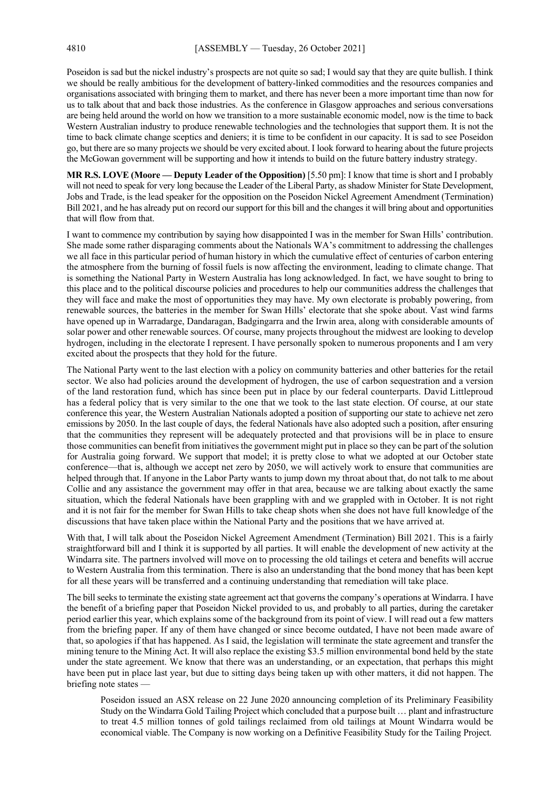Poseidon is sad but the nickel industry's prospects are not quite so sad; I would say that they are quite bullish. I think we should be really ambitious for the development of battery-linked commodities and the resources companies and organisations associated with bringing them to market, and there has never been a more important time than now for us to talk about that and back those industries. As the conference in Glasgow approaches and serious conversations are being held around the world on how we transition to a more sustainable economic model, now is the time to back Western Australian industry to produce renewable technologies and the technologies that support them. It is not the time to back climate change sceptics and deniers; it is time to be confident in our capacity. It is sad to see Poseidon go, but there are so many projects we should be very excited about. I look forward to hearing about the future projects the McGowan government will be supporting and how it intends to build on the future battery industry strategy.

**MR R.S. LOVE (Moore — Deputy Leader of the Opposition)** [5.50 pm]: I know that time is short and I probably will not need to speak for very long because the Leader of the Liberal Party, as shadow Minister for State Development, Jobs and Trade, is the lead speaker for the opposition on the Poseidon Nickel Agreement Amendment (Termination) Bill 2021, and he has already put on record our support for this bill and the changes it will bring about and opportunities that will flow from that.

I want to commence my contribution by saying how disappointed I was in the member for Swan Hills' contribution. She made some rather disparaging comments about the Nationals WA's commitment to addressing the challenges we all face in this particular period of human history in which the cumulative effect of centuries of carbon entering the atmosphere from the burning of fossil fuels is now affecting the environment, leading to climate change. That is something the National Party in Western Australia has long acknowledged. In fact, we have sought to bring to this place and to the political discourse policies and procedures to help our communities address the challenges that they will face and make the most of opportunities they may have. My own electorate is probably powering, from renewable sources, the batteries in the member for Swan Hills' electorate that she spoke about. Vast wind farms have opened up in Warradarge, Dandaragan, Badgingarra and the Irwin area, along with considerable amounts of solar power and other renewable sources. Of course, many projects throughout the midwest are looking to develop hydrogen, including in the electorate I represent. I have personally spoken to numerous proponents and I am very excited about the prospects that they hold for the future.

The National Party went to the last election with a policy on community batteries and other batteries for the retail sector. We also had policies around the development of hydrogen, the use of carbon sequestration and a version of the land restoration fund, which has since been put in place by our federal counterparts. David Littleproud has a federal policy that is very similar to the one that we took to the last state election. Of course, at our state conference this year, the Western Australian Nationals adopted a position of supporting our state to achieve net zero emissions by 2050. In the last couple of days, the federal Nationals have also adopted such a position, after ensuring that the communities they represent will be adequately protected and that provisions will be in place to ensure those communities can benefit from initiatives the government might put in place so they can be part of the solution for Australia going forward. We support that model; it is pretty close to what we adopted at our October state conference—that is, although we accept net zero by 2050, we will actively work to ensure that communities are helped through that. If anyone in the Labor Party wants to jump down my throat about that, do not talk to me about Collie and any assistance the government may offer in that area, because we are talking about exactly the same situation, which the federal Nationals have been grappling with and we grappled with in October. It is not right and it is not fair for the member for Swan Hills to take cheap shots when she does not have full knowledge of the discussions that have taken place within the National Party and the positions that we have arrived at.

With that, I will talk about the Poseidon Nickel Agreement Amendment (Termination) Bill 2021. This is a fairly straightforward bill and I think it is supported by all parties. It will enable the development of new activity at the Windarra site. The partners involved will move on to processing the old tailings et cetera and benefits will accrue to Western Australia from this termination. There is also an understanding that the bond money that has been kept for all these years will be transferred and a continuing understanding that remediation will take place.

The bill seeks to terminate the existing state agreement act that governs the company's operations at Windarra. I have the benefit of a briefing paper that Poseidon Nickel provided to us, and probably to all parties, during the caretaker period earlier this year, which explains some of the background from its point of view. I will read out a few matters from the briefing paper. If any of them have changed or since become outdated, I have not been made aware of that, so apologies if that has happened. As I said, the legislation will terminate the state agreement and transfer the mining tenure to the Mining Act. It will also replace the existing \$3.5 million environmental bond held by the state under the state agreement. We know that there was an understanding, or an expectation, that perhaps this might have been put in place last year, but due to sitting days being taken up with other matters, it did not happen. The briefing note states —

Poseidon issued an ASX release on 22 June 2020 announcing completion of its Preliminary Feasibility Study on the Windarra Gold Tailing Project which concluded that a purpose built … plant and infrastructure to treat 4.5 million tonnes of gold tailings reclaimed from old tailings at Mount Windarra would be economical viable. The Company is now working on a Definitive Feasibility Study for the Tailing Project.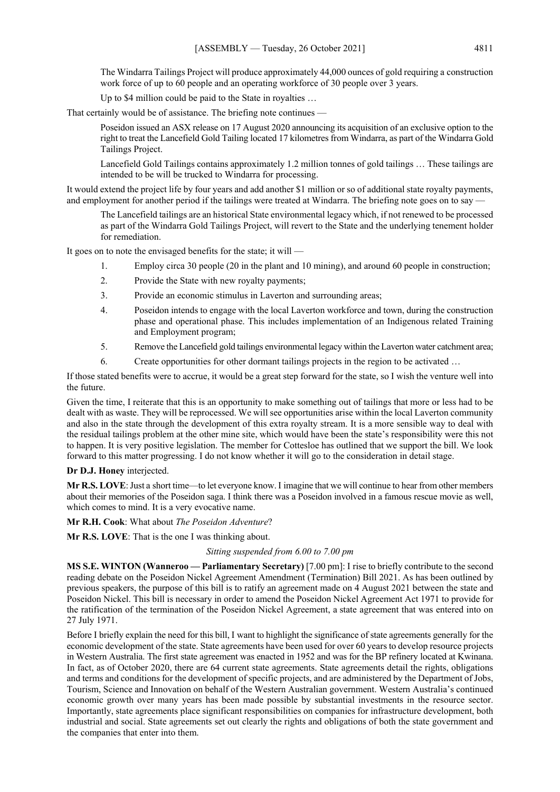The Windarra Tailings Project will produce approximately 44,000 ounces of gold requiring a construction work force of up to 60 people and an operating workforce of 30 people over 3 years.

Up to \$4 million could be paid to the State in royalties …

That certainly would be of assistance. The briefing note continues —

Poseidon issued an ASX release on 17 August 2020 announcing its acquisition of an exclusive option to the right to treat the Lancefield Gold Tailing located 17 kilometres from Windarra, as part of the Windarra Gold Tailings Project.

Lancefield Gold Tailings contains approximately 1.2 million tonnes of gold tailings … These tailings are intended to be will be trucked to Windarra for processing.

It would extend the project life by four years and add another \$1 million or so of additional state royalty payments, and employment for another period if the tailings were treated at Windarra. The briefing note goes on to say —

The Lancefield tailings are an historical State environmental legacy which, if not renewed to be processed as part of the Windarra Gold Tailings Project, will revert to the State and the underlying tenement holder for remediation.

It goes on to note the envisaged benefits for the state; it will —

- 1. Employ circa 30 people (20 in the plant and 10 mining), and around 60 people in construction;
- 2. Provide the State with new royalty payments;
- 3. Provide an economic stimulus in Laverton and surrounding areas;
- 4. Poseidon intends to engage with the local Laverton workforce and town, during the construction phase and operational phase. This includes implementation of an Indigenous related Training and Employment program;
- 5. Remove the Lancefield gold tailings environmental legacy within the Laverton water catchment area;
- 6. Create opportunities for other dormant tailings projects in the region to be activated …

If those stated benefits were to accrue, it would be a great step forward for the state, so I wish the venture well into the future.

Given the time, I reiterate that this is an opportunity to make something out of tailings that more or less had to be dealt with as waste. They will be reprocessed. We will see opportunities arise within the local Laverton community and also in the state through the development of this extra royalty stream. It is a more sensible way to deal with the residual tailings problem at the other mine site, which would have been the state's responsibility were this not to happen. It is very positive legislation. The member for Cottesloe has outlined that we support the bill. We look forward to this matter progressing. I do not know whether it will go to the consideration in detail stage.

#### **Dr D.J. Honey** interjected.

**Mr R.S. LOVE**: Just a short time—to let everyone know. I imagine that we will continue to hear from other members about their memories of the Poseidon saga. I think there was a Poseidon involved in a famous rescue movie as well, which comes to mind. It is a very evocative name.

#### **Mr R.H. Cook**: What about *The Poseidon Adventure*?

**Mr R.S. LOVE**: That is the one I was thinking about.

## *Sitting suspended from 6.00 to 7.00 pm*

**MS S.E. WINTON (Wanneroo — Parliamentary Secretary)** [7.00 pm]: I rise to briefly contribute to the second reading debate on the Poseidon Nickel Agreement Amendment (Termination) Bill 2021. As has been outlined by previous speakers, the purpose of this bill is to ratify an agreement made on 4 August 2021 between the state and Poseidon Nickel. This bill is necessary in order to amend the Poseidon Nickel Agreement Act 1971 to provide for the ratification of the termination of the Poseidon Nickel Agreement, a state agreement that was entered into on 27 July 1971.

Before I briefly explain the need for this bill, I want to highlight the significance of state agreements generally for the economic development of the state. State agreements have been used for over 60 years to develop resource projects in Western Australia. The first state agreement was enacted in 1952 and was for the BP refinery located at Kwinana. In fact, as of October 2020, there are 64 current state agreements. State agreements detail the rights, obligations and terms and conditions for the development of specific projects, and are administered by the Department of Jobs, Tourism, Science and Innovation on behalf of the Western Australian government. Western Australia's continued economic growth over many years has been made possible by substantial investments in the resource sector. Importantly, state agreements place significant responsibilities on companies for infrastructure development, both industrial and social. State agreements set out clearly the rights and obligations of both the state government and the companies that enter into them.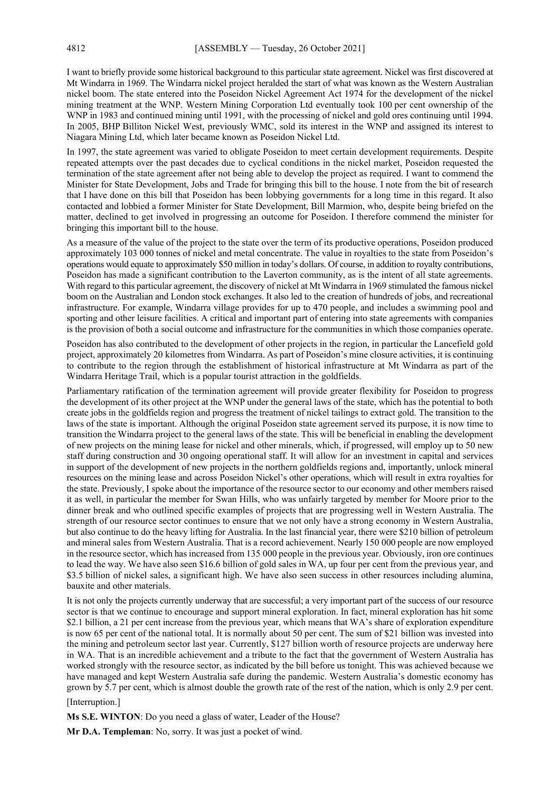I want to briefly provide some historical background to this particular state agreement. Nickel was first discovered at Mt Windarra in 1969. The Windarra nickel project heralded the start of what was known as the Western Australian nickel boom. The state entered into the Poseidon Nickel Agreement Act 1974 for the development of the nickel mining treatment at the WNP. Western Mining Corporation Ltd eventually took 100 per cent ownership of the WNP in 1983 and continued mining until 1991, with the processing of nickel and gold ores continuing until 1994. In 2005, BHP Billiton Nickel West, previously WMC, sold its interest in the WNP and assigned its interest to Niagara Mining Ltd, which later became known as Poseidon Nickel Ltd.

In 1997, the state agreement was varied to obligate Poseidon to meet certain development requirements. Despite repeated attempts over the past decades due to cyclical conditions in the nickel market, Poseidon requested the termination of the state agreement after not being able to develop the project as required. I want to commend the Minister for State Development, Jobs and Trade for bringing this bill to the house. I note from the bit of research that I have done on this bill that Poseidon has been lobbying governments for a long time in this regard. It also contacted and lobbied a former Minister for State Development, Bill Marmion, who, despite being briefed on the matter, declined to get involved in progressing an outcome for Poseidon. I therefore commend the minister for bringing this important bill to the house.

As a measure of the value of the project to the state over the term of its productive operations, Poseidon produced approximately 103 000 tonnes of nickel and metal concentrate. The value in royalties to the state from Poseidon's operations would equate to approximately \$50 million in today's dollars. Of course, in addition to royalty contributions, Poseidon has made a significant contribution to the Laverton community, as is the intent of all state agreements. With regard to this particular agreement, the discovery of nickel at Mt Windarra in 1969 stimulated the famous nickel boom on the Australian and London stock exchanges. It also led to the creation of hundreds of jobs, and recreational infrastructure. For example, Windarra village provides for up to 470 people, and includes a swimming pool and sporting and other leisure facilities. A critical and important part of entering into state agreements with companies is the provision of both a social outcome and infrastructure for the communities in which those companies operate.

Poseidon has also contributed to the development of other projects in the region, in particular the Lancefield gold project, approximately 20 kilometres from Windarra. As part of Poseidon's mine closure activities, it is continuing to contribute to the region through the establishment of historical infrastructure at Mt Windarra as part of the Windarra Heritage Trail, which is a popular tourist attraction in the goldfields.

Parliamentary ratification of the termination agreement will provide greater flexibility for Poseidon to progress the development of its other project at the WNP under the general laws of the state, which has the potential to both create jobs in the goldfields region and progress the treatment of nickel tailings to extract gold. The transition to the laws of the state is important. Although the original Poseidon state agreement served its purpose, it is now time to transition the Windarra project to the general laws of the state. This will be beneficial in enabling the development of new projects on the mining lease for nickel and other minerals, which, if progressed, will employ up to 50 new staff during construction and 30 ongoing operational staff. It will allow for an investment in capital and services in support of the development of new projects in the northern goldfields regions and, importantly, unlock mineral resources on the mining lease and across Poseidon Nickel's other operations, which will result in extra royalties for the state. Previously, I spoke about the importance of the resource sector to our economy and other members raised it as well, in particular the member for Swan Hills, who was unfairly targeted by member for Moore prior to the dinner break and who outlined specific examples of projects that are progressing well in Western Australia. The strength of our resource sector continues to ensure that we not only have a strong economy in Western Australia, but also continue to do the heavy lifting for Australia. In the last financial year, there were \$210 billion of petroleum and mineral sales from Western Australia. That is a record achievement. Nearly 150 000 people are now employed in the resource sector, which has increased from 135 000 people in the previous year. Obviously, iron ore continues to lead the way. We have also seen \$16.6 billion of gold sales in WA, up four per cent from the previous year, and \$3.5 billion of nickel sales, a significant high. We have also seen success in other resources including alumina, bauxite and other materials.

It is not only the projects currently underway that are successful; a very important part of the success of our resource sector is that we continue to encourage and support mineral exploration. In fact, mineral exploration has hit some \$2.1 billion, a 21 per cent increase from the previous year, which means that WA's share of exploration expenditure is now 65 per cent of the national total. It is normally about 50 per cent. The sum of \$21 billion was invested into the mining and petroleum sector last year. Currently, \$127 billion worth of resource projects are underway here in WA. That is an incredible achievement and a tribute to the fact that the government of Western Australia has worked strongly with the resource sector, as indicated by the bill before us tonight. This was achieved because we have managed and kept Western Australia safe during the pandemic. Western Australia's domestic economy has grown by 5.7 per cent, which is almost double the growth rate of the rest of the nation, which is only 2.9 per cent.

[Interruption.]

**Ms S.E. WINTON**: Do you need a glass of water, Leader of the House?

**Mr D.A. Templeman**: No, sorry. It was just a pocket of wind.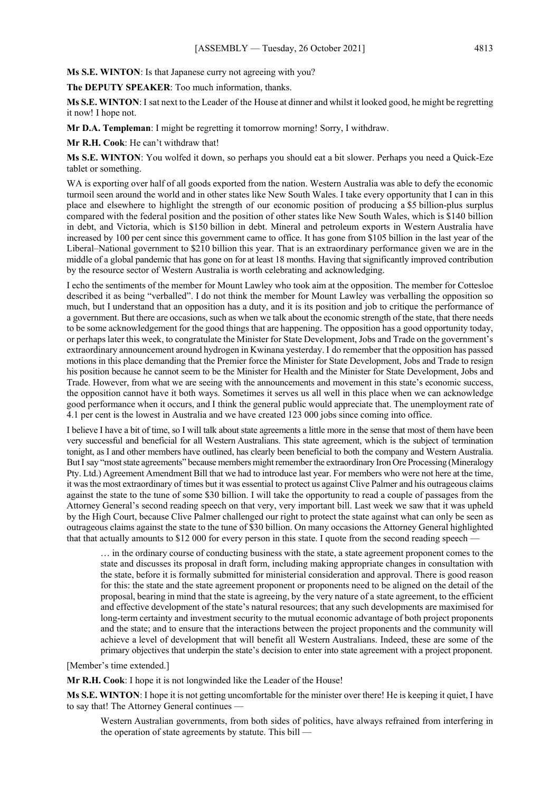**Ms S.E. WINTON**: Is that Japanese curry not agreeing with you?

**The DEPUTY SPEAKER**: Too much information, thanks.

**Ms S.E. WINTON**: I sat next to the Leader of the House at dinner and whilst it looked good, he might be regretting it now! I hope not.

**Mr D.A. Templeman**: I might be regretting it tomorrow morning! Sorry, I withdraw.

**Mr R.H. Cook**: He can't withdraw that!

**Ms S.E. WINTON**: You wolfed it down, so perhaps you should eat a bit slower. Perhaps you need a Quick-Eze tablet or something.

WA is exporting over half of all goods exported from the nation. Western Australia was able to defy the economic turmoil seen around the world and in other states like New South Wales. I take every opportunity that I can in this place and elsewhere to highlight the strength of our economic position of producing a \$5 billion-plus surplus compared with the federal position and the position of other states like New South Wales, which is \$140 billion in debt, and Victoria, which is \$150 billion in debt. Mineral and petroleum exports in Western Australia have increased by 100 per cent since this government came to office. It has gone from \$105 billion in the last year of the Liberal–National government to \$210 billion this year. That is an extraordinary performance given we are in the middle of a global pandemic that has gone on for at least 18 months. Having that significantly improved contribution by the resource sector of Western Australia is worth celebrating and acknowledging.

I echo the sentiments of the member for Mount Lawley who took aim at the opposition. The member for Cottesloe described it as being "verballed". I do not think the member for Mount Lawley was verballing the opposition so much, but I understand that an opposition has a duty, and it is its position and job to critique the performance of a government. But there are occasions, such as when we talk about the economic strength of the state, that there needs to be some acknowledgement for the good things that are happening. The opposition has a good opportunity today, or perhaps later this week, to congratulate the Minister for State Development, Jobs and Trade on the government's extraordinary announcement around hydrogen in Kwinana yesterday. I do remember that the opposition has passed motions in this place demanding that the Premier force the Minister for State Development, Jobs and Trade to resign his position because he cannot seem to be the Minister for Health and the Minister for State Development, Jobs and Trade. However, from what we are seeing with the announcements and movement in this state's economic success, the opposition cannot have it both ways. Sometimes it serves us all well in this place when we can acknowledge good performance when it occurs, and I think the general public would appreciate that. The unemployment rate of 4.1 per cent is the lowest in Australia and we have created 123 000 jobs since coming into office.

I believe I have a bit of time, so I will talk about state agreements a little more in the sense that most of them have been very successful and beneficial for all Western Australians. This state agreement, which is the subject of termination tonight, as I and other members have outlined, has clearly been beneficial to both the company and Western Australia. But I say "most state agreements" because members might remember the extraordinary Iron Ore Processing (Mineralogy Pty. Ltd.) Agreement Amendment Bill that we had to introduce last year. For members who were not here at the time, it was the most extraordinary of times but it was essential to protect us against Clive Palmer and his outrageous claims against the state to the tune of some \$30 billion. I will take the opportunity to read a couple of passages from the Attorney General's second reading speech on that very, very important bill. Last week we saw that it was upheld by the High Court, because Clive Palmer challenged our right to protect the state against what can only be seen as outrageous claims against the state to the tune of \$30 billion. On many occasions the Attorney General highlighted that that actually amounts to  $$12,000$  for every person in this state. I quote from the second reading speech  $\overline{\phantom{a}}$ 

… in the ordinary course of conducting business with the state, a state agreement proponent comes to the state and discusses its proposal in draft form, including making appropriate changes in consultation with the state, before it is formally submitted for ministerial consideration and approval. There is good reason for this: the state and the state agreement proponent or proponents need to be aligned on the detail of the proposal, bearing in mind that the state is agreeing, by the very nature of a state agreement, to the efficient and effective development of the state's natural resources; that any such developments are maximised for long-term certainty and investment security to the mutual economic advantage of both project proponents and the state; and to ensure that the interactions between the project proponents and the community will achieve a level of development that will benefit all Western Australians. Indeed, these are some of the primary objectives that underpin the state's decision to enter into state agreement with a project proponent.

[Member's time extended.]

**Mr R.H. Cook**: I hope it is not longwinded like the Leader of the House!

**Ms S.E. WINTON**: I hope it is not getting uncomfortable for the minister over there! He is keeping it quiet, I have to say that! The Attorney General continues -

Western Australian governments, from both sides of politics, have always refrained from interfering in the operation of state agreements by statute. This bill —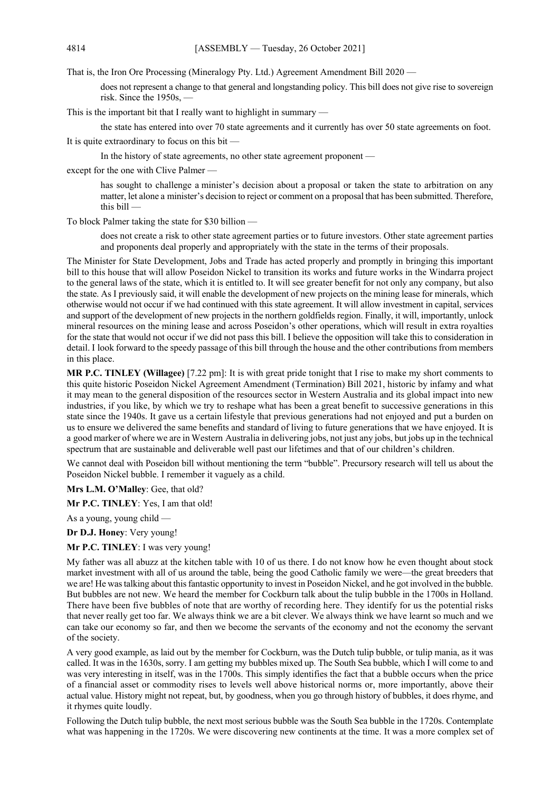That is, the Iron Ore Processing (Mineralogy Pty. Ltd.) Agreement Amendment Bill 2020 —

does not represent a change to that general and longstanding policy. This bill does not give rise to sovereign risk. Since the 1950s, —

This is the important bit that I really want to highlight in summary —

the state has entered into over 70 state agreements and it currently has over 50 state agreements on foot.

It is quite extraordinary to focus on this bit —

In the history of state agreements, no other state agreement proponent —

except for the one with Clive Palmer —

has sought to challenge a minister's decision about a proposal or taken the state to arbitration on any matter, let alone a minister's decision to reject or comment on a proposal that has been submitted. Therefore, this bill —

To block Palmer taking the state for \$30 billion —

does not create a risk to other state agreement parties or to future investors. Other state agreement parties and proponents deal properly and appropriately with the state in the terms of their proposals.

The Minister for State Development, Jobs and Trade has acted properly and promptly in bringing this important bill to this house that will allow Poseidon Nickel to transition its works and future works in the Windarra project to the general laws of the state, which it is entitled to. It will see greater benefit for not only any company, but also the state. As I previously said, it will enable the development of new projects on the mining lease for minerals, which otherwise would not occur if we had continued with this state agreement. It will allow investment in capital, services and support of the development of new projects in the northern goldfields region. Finally, it will, importantly, unlock mineral resources on the mining lease and across Poseidon's other operations, which will result in extra royalties for the state that would not occur if we did not pass this bill. I believe the opposition will take this to consideration in detail. I look forward to the speedy passage of this bill through the house and the other contributions from members in this place.

**MR P.C. TINLEY (Willagee)** [7.22 pm]: It is with great pride tonight that I rise to make my short comments to this quite historic Poseidon Nickel Agreement Amendment (Termination) Bill 2021, historic by infamy and what it may mean to the general disposition of the resources sector in Western Australia and its global impact into new industries, if you like, by which we try to reshape what has been a great benefit to successive generations in this state since the 1940s. It gave us a certain lifestyle that previous generations had not enjoyed and put a burden on us to ensure we delivered the same benefits and standard of living to future generations that we have enjoyed. It is a good marker of where we are in Western Australia in delivering jobs, not just any jobs, but jobs up in the technical spectrum that are sustainable and deliverable well past our lifetimes and that of our children's children.

We cannot deal with Poseidon bill without mentioning the term "bubble". Precursory research will tell us about the Poseidon Nickel bubble. I remember it vaguely as a child.

**Mrs L.M. O'Malley**: Gee, that old?

**Mr P.C. TINLEY**: Yes, I am that old!

As a young, young child —

**Dr D.J. Honey**: Very young!

**Mr P.C. TINLEY**: I was very young!

My father was all abuzz at the kitchen table with 10 of us there. I do not know how he even thought about stock market investment with all of us around the table, being the good Catholic family we were—the great breeders that we are! He was talking about this fantastic opportunity to invest in Poseidon Nickel, and he got involved in the bubble. But bubbles are not new. We heard the member for Cockburn talk about the tulip bubble in the 1700s in Holland. There have been five bubbles of note that are worthy of recording here. They identify for us the potential risks that never really get too far. We always think we are a bit clever. We always think we have learnt so much and we can take our economy so far, and then we become the servants of the economy and not the economy the servant of the society.

A very good example, as laid out by the member for Cockburn, was the Dutch tulip bubble, or tulip mania, as it was called. It was in the 1630s, sorry. I am getting my bubbles mixed up. The South Sea bubble, which I will come to and was very interesting in itself, was in the 1700s. This simply identifies the fact that a bubble occurs when the price of a financial asset or commodity rises to levels well above historical norms or, more importantly, above their actual value. History might not repeat, but, by goodness, when you go through history of bubbles, it does rhyme, and it rhymes quite loudly.

Following the Dutch tulip bubble, the next most serious bubble was the South Sea bubble in the 1720s. Contemplate what was happening in the 1720s. We were discovering new continents at the time. It was a more complex set of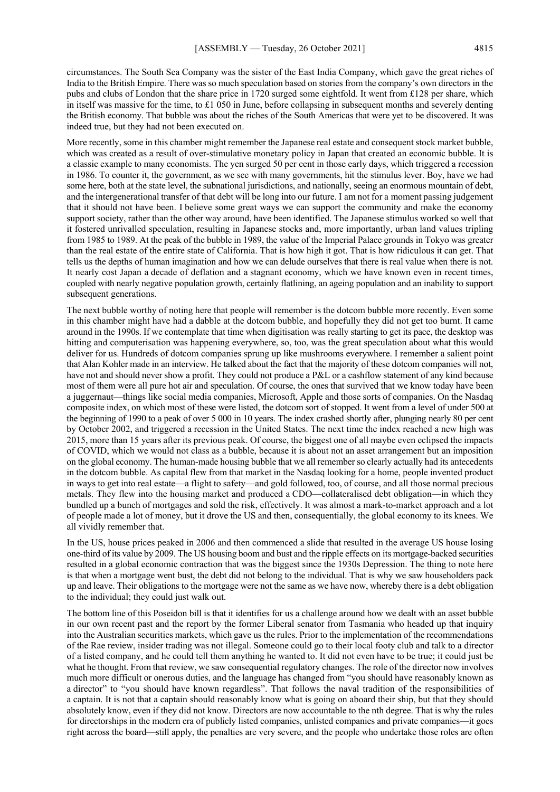circumstances. The South Sea Company was the sister of the East India Company, which gave the great riches of India to the British Empire. There was so much speculation based on stories from the company's own directors in the pubs and clubs of London that the share price in 1720 surged some eightfold. It went from £128 per share, which in itself was massive for the time, to £1 050 in June, before collapsing in subsequent months and severely denting the British economy. That bubble was about the riches of the South Americas that were yet to be discovered. It was indeed true, but they had not been executed on.

More recently, some in this chamber might remember the Japanese real estate and consequent stock market bubble, which was created as a result of over-stimulative monetary policy in Japan that created an economic bubble. It is a classic example to many economists. The yen surged 50 per cent in those early days, which triggered a recession in 1986. To counter it, the government, as we see with many governments, hit the stimulus lever. Boy, have we had some here, both at the state level, the subnational jurisdictions, and nationally, seeing an enormous mountain of debt, and the intergenerational transfer of that debt will be long into our future. I am not for a moment passing judgement that it should not have been. I believe some great ways we can support the community and make the economy support society, rather than the other way around, have been identified. The Japanese stimulus worked so well that it fostered unrivalled speculation, resulting in Japanese stocks and, more importantly, urban land values tripling from 1985 to 1989. At the peak of the bubble in 1989, the value of the Imperial Palace grounds in Tokyo was greater than the real estate of the entire state of California. That is how high it got. That is how ridiculous it can get. That tells us the depths of human imagination and how we can delude ourselves that there is real value when there is not. It nearly cost Japan a decade of deflation and a stagnant economy, which we have known even in recent times, coupled with nearly negative population growth, certainly flatlining, an ageing population and an inability to support subsequent generations.

The next bubble worthy of noting here that people will remember is the dotcom bubble more recently. Even some in this chamber might have had a dabble at the dotcom bubble, and hopefully they did not get too burnt. It came around in the 1990s. If we contemplate that time when digitisation was really starting to get its pace, the desktop was hitting and computerisation was happening everywhere, so, too, was the great speculation about what this would deliver for us. Hundreds of dotcom companies sprung up like mushrooms everywhere. I remember a salient point that Alan Kohler made in an interview. He talked about the fact that the majority of these dotcom companies will not, have not and should never show a profit. They could not produce a P&L or a cashflow statement of any kind because most of them were all pure hot air and speculation. Of course, the ones that survived that we know today have been a juggernaut—things like social media companies, Microsoft, Apple and those sorts of companies. On the Nasdaq composite index, on which most of these were listed, the dotcom sort of stopped. It went from a level of under 500 at the beginning of 1990 to a peak of over 5 000 in 10 years. The index crashed shortly after, plunging nearly 80 per cent by October 2002, and triggered a recession in the United States. The next time the index reached a new high was 2015, more than 15 years after its previous peak. Of course, the biggest one of all maybe even eclipsed the impacts of COVID, which we would not class as a bubble, because it is about not an asset arrangement but an imposition on the global economy. The human-made housing bubble that we all remember so clearly actually had its antecedents in the dotcom bubble. As capital flew from that market in the Nasdaq looking for a home, people invented product in ways to get into real estate—a flight to safety—and gold followed, too, of course, and all those normal precious metals. They flew into the housing market and produced a CDO—collateralised debt obligation—in which they bundled up a bunch of mortgages and sold the risk, effectively. It was almost a mark-to-market approach and a lot of people made a lot of money, but it drove the US and then, consequentially, the global economy to its knees. We all vividly remember that.

In the US, house prices peaked in 2006 and then commenced a slide that resulted in the average US house losing one-third of its value by 2009. The US housing boom and bust and the ripple effects on its mortgage-backed securities resulted in a global economic contraction that was the biggest since the 1930s Depression. The thing to note here is that when a mortgage went bust, the debt did not belong to the individual. That is why we saw householders pack up and leave. Their obligations to the mortgage were not the same as we have now, whereby there is a debt obligation to the individual; they could just walk out.

The bottom line of this Poseidon bill is that it identifies for us a challenge around how we dealt with an asset bubble in our own recent past and the report by the former Liberal senator from Tasmania who headed up that inquiry into the Australian securities markets, which gave us the rules. Prior to the implementation of the recommendations of the Rae review, insider trading was not illegal. Someone could go to their local footy club and talk to a director of a listed company, and he could tell them anything he wanted to. It did not even have to be true; it could just be what he thought. From that review, we saw consequential regulatory changes. The role of the director now involves much more difficult or onerous duties, and the language has changed from "you should have reasonably known as a director" to "you should have known regardless". That follows the naval tradition of the responsibilities of a captain. It is not that a captain should reasonably know what is going on aboard their ship, but that they should absolutely know, even if they did not know. Directors are now accountable to the nth degree. That is why the rules for directorships in the modern era of publicly listed companies, unlisted companies and private companies—it goes right across the board—still apply, the penalties are very severe, and the people who undertake those roles are often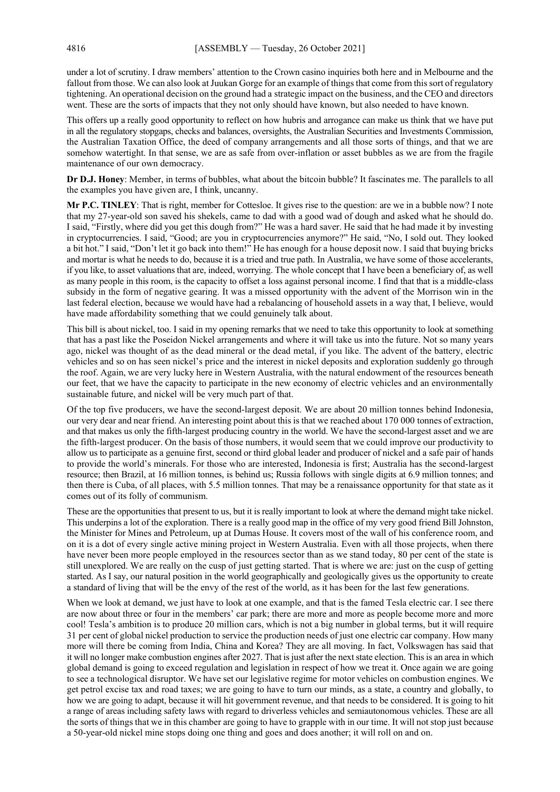under a lot of scrutiny. I draw members' attention to the Crown casino inquiries both here and in Melbourne and the fallout from those. We can also look at Juukan Gorge for an example of things that come from this sort of regulatory tightening. An operational decision on the ground had a strategic impact on the business, and the CEO and directors went. These are the sorts of impacts that they not only should have known, but also needed to have known.

This offers up a really good opportunity to reflect on how hubris and arrogance can make us think that we have put in all the regulatory stopgaps, checks and balances, oversights, the Australian Securities and Investments Commission, the Australian Taxation Office, the deed of company arrangements and all those sorts of things, and that we are somehow watertight. In that sense, we are as safe from over-inflation or asset bubbles as we are from the fragile maintenance of our own democracy.

**Dr D.J. Honey**: Member, in terms of bubbles, what about the bitcoin bubble? It fascinates me. The parallels to all the examples you have given are, I think, uncanny.

**Mr P.C. TINLEY**: That is right, member for Cottesloe. It gives rise to the question: are we in a bubble now? I note that my 27-year-old son saved his shekels, came to dad with a good wad of dough and asked what he should do. I said, "Firstly, where did you get this dough from?" He was a hard saver. He said that he had made it by investing in cryptocurrencies. I said, "Good; are you in cryptocurrencies anymore?" He said, "No, I sold out. They looked a bit hot." I said, "Don't let it go back into them!" He has enough for a house deposit now. I said that buying bricks and mortar is what he needs to do, because it is a tried and true path. In Australia, we have some of those accelerants, if you like, to asset valuations that are, indeed, worrying. The whole concept that I have been a beneficiary of, as well as many people in this room, is the capacity to offset a loss against personal income. I find that that is a middle-class subsidy in the form of negative gearing. It was a missed opportunity with the advent of the Morrison win in the last federal election, because we would have had a rebalancing of household assets in a way that, I believe, would have made affordability something that we could genuinely talk about.

This bill is about nickel, too. I said in my opening remarks that we need to take this opportunity to look at something that has a past like the Poseidon Nickel arrangements and where it will take us into the future. Not so many years ago, nickel was thought of as the dead mineral or the dead metal, if you like. The advent of the battery, electric vehicles and so on has seen nickel's price and the interest in nickel deposits and exploration suddenly go through the roof. Again, we are very lucky here in Western Australia, with the natural endowment of the resources beneath our feet, that we have the capacity to participate in the new economy of electric vehicles and an environmentally sustainable future, and nickel will be very much part of that.

Of the top five producers, we have the second-largest deposit. We are about 20 million tonnes behind Indonesia, our very dear and near friend. An interesting point about this is that we reached about 170 000 tonnes of extraction, and that makes us only the fifth-largest producing country in the world. We have the second-largest asset and we are the fifth-largest producer. On the basis of those numbers, it would seem that we could improve our productivity to allow us to participate as a genuine first, second or third global leader and producer of nickel and a safe pair of hands to provide the world's minerals. For those who are interested, Indonesia is first; Australia has the second-largest resource; then Brazil, at 16 million tonnes, is behind us; Russia follows with single digits at 6.9 million tonnes; and then there is Cuba, of all places, with 5.5 million tonnes. That may be a renaissance opportunity for that state as it comes out of its folly of communism.

These are the opportunities that present to us, but it is really important to look at where the demand might take nickel. This underpins a lot of the exploration. There is a really good map in the office of my very good friend Bill Johnston, the Minister for Mines and Petroleum, up at Dumas House. It covers most of the wall of his conference room, and on it is a dot of every single active mining project in Western Australia. Even with all those projects, when there have never been more people employed in the resources sector than as we stand today, 80 per cent of the state is still unexplored. We are really on the cusp of just getting started. That is where we are: just on the cusp of getting started. As I say, our natural position in the world geographically and geologically gives us the opportunity to create a standard of living that will be the envy of the rest of the world, as it has been for the last few generations.

When we look at demand, we just have to look at one example, and that is the famed Tesla electric car. I see there are now about three or four in the members' car park; there are more and more as people become more and more cool! Tesla's ambition is to produce 20 million cars, which is not a big number in global terms, but it will require 31 per cent of global nickel production to service the production needs of just one electric car company. How many more will there be coming from India, China and Korea? They are all moving. In fact, Volkswagen has said that it will no longer make combustion engines after 2027. That is just after the next state election. This is an area in which global demand is going to exceed regulation and legislation in respect of how we treat it. Once again we are going to see a technological disruptor. We have set our legislative regime for motor vehicles on combustion engines. We get petrol excise tax and road taxes; we are going to have to turn our minds, as a state, a country and globally, to how we are going to adapt, because it will hit government revenue, and that needs to be considered. It is going to hit a range of areas including safety laws with regard to driverless vehicles and semiautonomous vehicles. These are all the sorts of things that we in this chamber are going to have to grapple with in our time. It will not stop just because a 50-year-old nickel mine stops doing one thing and goes and does another; it will roll on and on.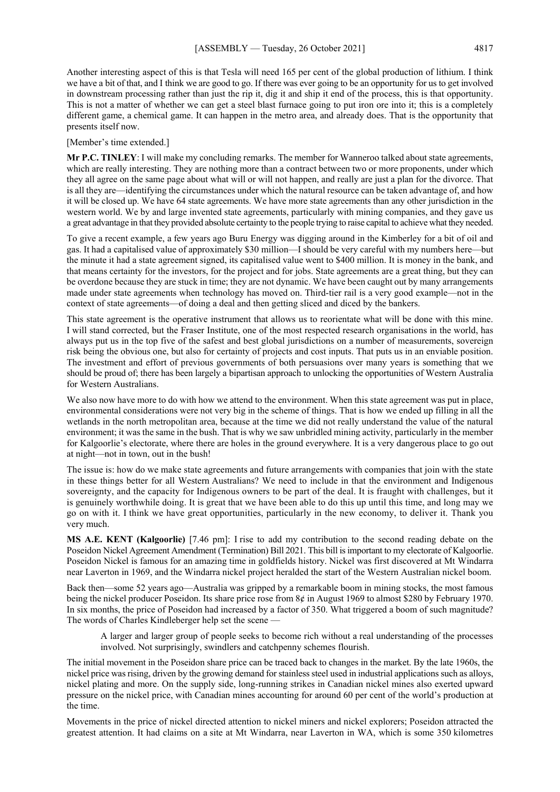Another interesting aspect of this is that Tesla will need 165 per cent of the global production of lithium. I think we have a bit of that, and I think we are good to go. If there was ever going to be an opportunity for us to get involved in downstream processing rather than just the rip it, dig it and ship it end of the process, this is that opportunity. This is not a matter of whether we can get a steel blast furnace going to put iron ore into it; this is a completely different game, a chemical game. It can happen in the metro area, and already does. That is the opportunity that presents itself now.

[Member's time extended.]

**Mr P.C. TINLEY**: I will make my concluding remarks. The member for Wanneroo talked about state agreements, which are really interesting. They are nothing more than a contract between two or more proponents, under which they all agree on the same page about what will or will not happen, and really are just a plan for the divorce. That is all they are—identifying the circumstances under which the natural resource can be taken advantage of, and how it will be closed up. We have 64 state agreements. We have more state agreements than any other jurisdiction in the western world. We by and large invented state agreements, particularly with mining companies, and they gave us a great advantage in that they provided absolute certainty to the people trying to raise capital to achieve what they needed.

To give a recent example, a few years ago Buru Energy was digging around in the Kimberley for a bit of oil and gas. It had a capitalised value of approximately \$30 million—I should be very careful with my numbers here—but the minute it had a state agreement signed, its capitalised value went to \$400 million. It is money in the bank, and that means certainty for the investors, for the project and for jobs. State agreements are a great thing, but they can be overdone because they are stuck in time; they are not dynamic. We have been caught out by many arrangements made under state agreements when technology has moved on. Third-tier rail is a very good example—not in the context of state agreements—of doing a deal and then getting sliced and diced by the bankers.

This state agreement is the operative instrument that allows us to reorientate what will be done with this mine. I will stand corrected, but the Fraser Institute, one of the most respected research organisations in the world, has always put us in the top five of the safest and best global jurisdictions on a number of measurements, sovereign risk being the obvious one, but also for certainty of projects and cost inputs. That puts us in an enviable position. The investment and effort of previous governments of both persuasions over many years is something that we should be proud of; there has been largely a bipartisan approach to unlocking the opportunities of Western Australia for Western Australians.

We also now have more to do with how we attend to the environment. When this state agreement was put in place, environmental considerations were not very big in the scheme of things. That is how we ended up filling in all the wetlands in the north metropolitan area, because at the time we did not really understand the value of the natural environment; it was the same in the bush. That is why we saw unbridled mining activity, particularly in the member for Kalgoorlie's electorate, where there are holes in the ground everywhere. It is a very dangerous place to go out at night—not in town, out in the bush!

The issue is: how do we make state agreements and future arrangements with companies that join with the state in these things better for all Western Australians? We need to include in that the environment and Indigenous sovereignty, and the capacity for Indigenous owners to be part of the deal. It is fraught with challenges, but it is genuinely worthwhile doing. It is great that we have been able to do this up until this time, and long may we go on with it. I think we have great opportunities, particularly in the new economy, to deliver it. Thank you very much.

**MS A.E. KENT (Kalgoorlie)** [7.46 pm]: I rise to add my contribution to the second reading debate on the Poseidon Nickel Agreement Amendment (Termination) Bill 2021. This bill is important to my electorate of Kalgoorlie. Poseidon Nickel is famous for an amazing time in goldfields history. Nickel was first discovered at Mt Windarra near Laverton in 1969, and the Windarra nickel project heralded the start of the Western Australian nickel boom.

Back then—some 52 years ago—Australia was gripped by a remarkable boom in mining stocks, the most famous being the nickel producer Poseidon. Its share price rose from 8¢ in August 1969 to almost \$280 by February 1970. In six months, the price of Poseidon had increased by a factor of 350. What triggered a boom of such magnitude? The words of Charles Kindleberger help set the scene -

A larger and larger group of people seeks to become rich without a real understanding of the processes involved. Not surprisingly, swindlers and catchpenny schemes flourish.

The initial movement in the Poseidon share price can be traced back to changes in the market. By the late 1960s, the nickel price was rising, driven by the growing demand for stainless steel used in industrial applications such as alloys, nickel plating and more. On the supply side, long-running strikes in Canadian nickel mines also exerted upward pressure on the nickel price, with Canadian mines accounting for around 60 per cent of the world's production at the time.

Movements in the price of nickel directed attention to nickel miners and nickel explorers; Poseidon attracted the greatest attention. It had claims on a site at Mt Windarra, near Laverton in WA, which is some 350 kilometres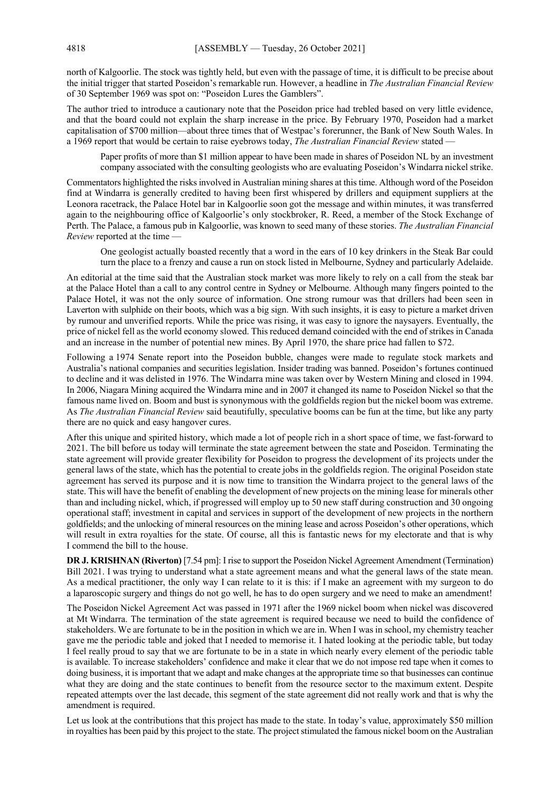north of Kalgoorlie. The stock was tightly held, but even with the passage of time, it is difficult to be precise about the initial trigger that started Poseidon's remarkable run. However, a headline in *The Australian Financial Review* of 30 September 1969 was spot on: "Poseidon Lures the Gamblers".

The author tried to introduce a cautionary note that the Poseidon price had trebled based on very little evidence, and that the board could not explain the sharp increase in the price. By February 1970, Poseidon had a market capitalisation of \$700 million—about three times that of Westpac's forerunner, the Bank of New South Wales. In a 1969 report that would be certain to raise eyebrows today, *The Australian Financial Review* stated —

Paper profits of more than \$1 million appear to have been made in shares of Poseidon NL by an investment company associated with the consulting geologists who are evaluating Poseidon's Windarra nickel strike.

Commentators highlighted the risks involved in Australian mining shares at this time. Although word of the Poseidon find at Windarra is generally credited to having been first whispered by drillers and equipment suppliers at the Leonora racetrack, the Palace Hotel bar in Kalgoorlie soon got the message and within minutes, it was transferred again to the neighbouring office of Kalgoorlie's only stockbroker, R. Reed, a member of the Stock Exchange of Perth. The Palace, a famous pub in Kalgoorlie, was known to seed many of these stories. *The Australian Financial Review* reported at the time —

One geologist actually boasted recently that a word in the ears of 10 key drinkers in the Steak Bar could turn the place to a frenzy and cause a run on stock listed in Melbourne, Sydney and particularly Adelaide.

An editorial at the time said that the Australian stock market was more likely to rely on a call from the steak bar at the Palace Hotel than a call to any control centre in Sydney or Melbourne. Although many fingers pointed to the Palace Hotel, it was not the only source of information. One strong rumour was that drillers had been seen in Laverton with sulphide on their boots, which was a big sign. With such insights, it is easy to picture a market driven by rumour and unverified reports. While the price was rising, it was easy to ignore the naysayers. Eventually, the price of nickel fell as the world economy slowed. This reduced demand coincided with the end of strikes in Canada and an increase in the number of potential new mines. By April 1970, the share price had fallen to \$72.

Following a 1974 Senate report into the Poseidon bubble, changes were made to regulate stock markets and Australia's national companies and securities legislation. Insider trading was banned. Poseidon's fortunes continued to decline and it was delisted in 1976. The Windarra mine was taken over by Western Mining and closed in 1994. In 2006, Niagara Mining acquired the Windarra mine and in 2007 it changed its name to Poseidon Nickel so that the famous name lived on. Boom and bust is synonymous with the goldfields region but the nickel boom was extreme. As *The Australian Financial Review* said beautifully, speculative booms can be fun at the time, but like any party there are no quick and easy hangover cures.

After this unique and spirited history, which made a lot of people rich in a short space of time, we fast-forward to 2021. The bill before us today will terminate the state agreement between the state and Poseidon. Terminating the state agreement will provide greater flexibility for Poseidon to progress the development of its projects under the general laws of the state, which has the potential to create jobs in the goldfields region. The original Poseidon state agreement has served its purpose and it is now time to transition the Windarra project to the general laws of the state. This will have the benefit of enabling the development of new projects on the mining lease for minerals other than and including nickel, which, if progressed will employ up to 50 new staff during construction and 30 ongoing operational staff; investment in capital and services in support of the development of new projects in the northern goldfields; and the unlocking of mineral resources on the mining lease and across Poseidon's other operations, which will result in extra royalties for the state. Of course, all this is fantastic news for my electorate and that is why I commend the bill to the house.

**DR J. KRISHNAN (Riverton)** [7.54 pm]: I rise to support the Poseidon Nickel Agreement Amendment (Termination) Bill 2021. I was trying to understand what a state agreement means and what the general laws of the state mean. As a medical practitioner, the only way I can relate to it is this: if I make an agreement with my surgeon to do a laparoscopic surgery and things do not go well, he has to do open surgery and we need to make an amendment!

The Poseidon Nickel Agreement Act was passed in 1971 after the 1969 nickel boom when nickel was discovered at Mt Windarra. The termination of the state agreement is required because we need to build the confidence of stakeholders. We are fortunate to be in the position in which we are in. When I was in school, my chemistry teacher gave me the periodic table and joked that I needed to memorise it. I hated looking at the periodic table, but today I feel really proud to say that we are fortunate to be in a state in which nearly every element of the periodic table is available. To increase stakeholders' confidence and make it clear that we do not impose red tape when it comes to doing business, it is important that we adapt and make changes at the appropriate time so that businesses can continue what they are doing and the state continues to benefit from the resource sector to the maximum extent. Despite repeated attempts over the last decade, this segment of the state agreement did not really work and that is why the amendment is required.

Let us look at the contributions that this project has made to the state. In today's value, approximately \$50 million in royalties has been paid by this project to the state. The project stimulated the famous nickel boom on the Australian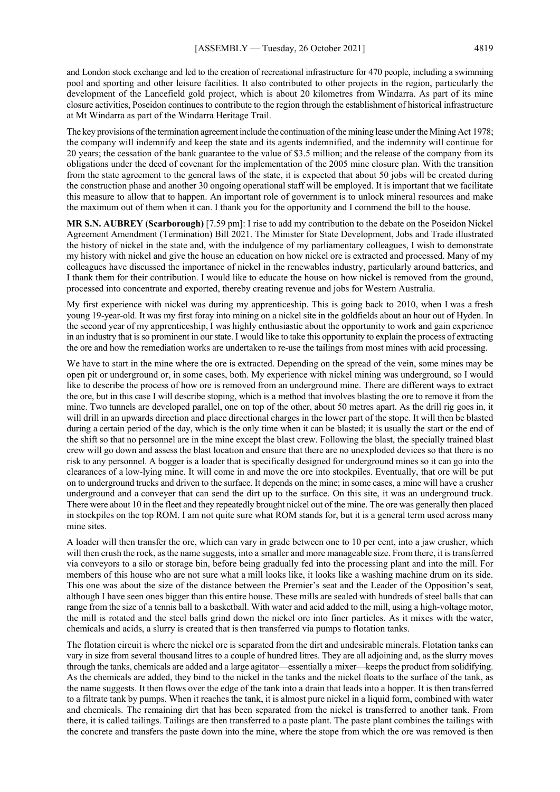and London stock exchange and led to the creation of recreational infrastructure for 470 people, including a swimming pool and sporting and other leisure facilities. It also contributed to other projects in the region, particularly the development of the Lancefield gold project, which is about 20 kilometres from Windarra. As part of its mine closure activities, Poseidon continues to contribute to the region through the establishment of historical infrastructure at Mt Windarra as part of the Windarra Heritage Trail.

The key provisions of the termination agreement include the continuation of the mining lease under the Mining Act 1978; the company will indemnify and keep the state and its agents indemnified, and the indemnity will continue for 20 years; the cessation of the bank guarantee to the value of \$3.5 million; and the release of the company from its obligations under the deed of covenant for the implementation of the 2005 mine closure plan. With the transition from the state agreement to the general laws of the state, it is expected that about 50 jobs will be created during the construction phase and another 30 ongoing operational staff will be employed. It is important that we facilitate this measure to allow that to happen. An important role of government is to unlock mineral resources and make the maximum out of them when it can. I thank you for the opportunity and I commend the bill to the house.

**MR S.N. AUBREY (Scarborough)** [7.59 pm]: I rise to add my contribution to the debate on the Poseidon Nickel Agreement Amendment (Termination) Bill 2021. The Minister for State Development, Jobs and Trade illustrated the history of nickel in the state and, with the indulgence of my parliamentary colleagues, I wish to demonstrate my history with nickel and give the house an education on how nickel ore is extracted and processed. Many of my colleagues have discussed the importance of nickel in the renewables industry, particularly around batteries, and I thank them for their contribution. I would like to educate the house on how nickel is removed from the ground, processed into concentrate and exported, thereby creating revenue and jobs for Western Australia.

My first experience with nickel was during my apprenticeship. This is going back to 2010, when I was a fresh young 19-year-old. It was my first foray into mining on a nickel site in the goldfields about an hour out of Hyden. In the second year of my apprenticeship, I was highly enthusiastic about the opportunity to work and gain experience in an industry that is so prominent in our state. I would like to take this opportunity to explain the process of extracting the ore and how the remediation works are undertaken to re-use the tailings from most mines with acid processing.

We have to start in the mine where the ore is extracted. Depending on the spread of the vein, some mines may be open pit or underground or, in some cases, both. My experience with nickel mining was underground, so I would like to describe the process of how ore is removed from an underground mine. There are different ways to extract the ore, but in this case I will describe stoping, which is a method that involves blasting the ore to remove it from the mine. Two tunnels are developed parallel, one on top of the other, about 50 metres apart. As the drill rig goes in, it will drill in an upwards direction and place directional charges in the lower part of the stope. It will then be blasted during a certain period of the day, which is the only time when it can be blasted; it is usually the start or the end of the shift so that no personnel are in the mine except the blast crew. Following the blast, the specially trained blast crew will go down and assess the blast location and ensure that there are no unexploded devices so that there is no risk to any personnel. A bogger is a loader that is specifically designed for underground mines so it can go into the clearances of a low-lying mine. It will come in and move the ore into stockpiles. Eventually, that ore will be put on to underground trucks and driven to the surface. It depends on the mine; in some cases, a mine will have a crusher underground and a conveyer that can send the dirt up to the surface. On this site, it was an underground truck. There were about 10 in the fleet and they repeatedly brought nickel out of the mine. The ore was generally then placed in stockpiles on the top ROM. I am not quite sure what ROM stands for, but it is a general term used across many mine sites.

A loader will then transfer the ore, which can vary in grade between one to 10 per cent, into a jaw crusher, which will then crush the rock, as the name suggests, into a smaller and more manageable size. From there, it is transferred via conveyors to a silo or storage bin, before being gradually fed into the processing plant and into the mill. For members of this house who are not sure what a mill looks like, it looks like a washing machine drum on its side. This one was about the size of the distance between the Premier's seat and the Leader of the Opposition's seat, although I have seen ones bigger than this entire house. These mills are sealed with hundreds of steel balls that can range from the size of a tennis ball to a basketball. With water and acid added to the mill, using a high-voltage motor, the mill is rotated and the steel balls grind down the nickel ore into finer particles. As it mixes with the water, chemicals and acids, a slurry is created that is then transferred via pumps to flotation tanks.

The flotation circuit is where the nickel ore is separated from the dirt and undesirable minerals. Flotation tanks can vary in size from several thousand litres to a couple of hundred litres. They are all adjoining and, as the slurry moves through the tanks, chemicals are added and a large agitator—essentially a mixer—keeps the product from solidifying. As the chemicals are added, they bind to the nickel in the tanks and the nickel floats to the surface of the tank, as the name suggests. It then flows over the edge of the tank into a drain that leads into a hopper. It is then transferred to a filtrate tank by pumps. When it reaches the tank, it is almost pure nickel in a liquid form, combined with water and chemicals. The remaining dirt that has been separated from the nickel is transferred to another tank. From there, it is called tailings. Tailings are then transferred to a paste plant. The paste plant combines the tailings with the concrete and transfers the paste down into the mine, where the stope from which the ore was removed is then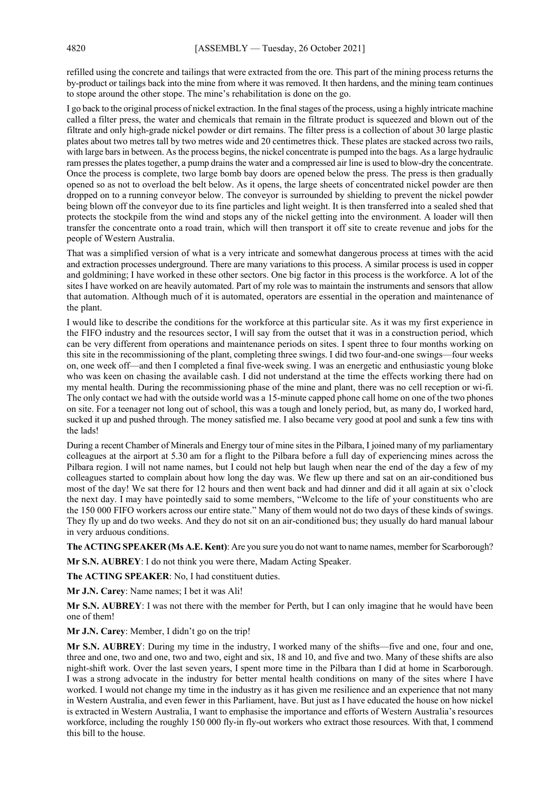refilled using the concrete and tailings that were extracted from the ore. This part of the mining process returns the by-product or tailings back into the mine from where it was removed. It then hardens, and the mining team continues to stope around the other stope. The mine's rehabilitation is done on the go.

I go back to the original process of nickel extraction. In the final stages of the process, using a highly intricate machine called a filter press, the water and chemicals that remain in the filtrate product is squeezed and blown out of the filtrate and only high-grade nickel powder or dirt remains. The filter press is a collection of about 30 large plastic plates about two metres tall by two metres wide and 20 centimetres thick. These plates are stacked across two rails, with large bars in between. As the process begins, the nickel concentrate is pumped into the bags. As a large hydraulic ram presses the plates together, a pump drains the water and a compressed air line is used to blow-dry the concentrate. Once the process is complete, two large bomb bay doors are opened below the press. The press is then gradually opened so as not to overload the belt below. As it opens, the large sheets of concentrated nickel powder are then dropped on to a running conveyor below. The conveyor is surrounded by shielding to prevent the nickel powder being blown off the conveyor due to its fine particles and light weight. It is then transferred into a sealed shed that protects the stockpile from the wind and stops any of the nickel getting into the environment. A loader will then transfer the concentrate onto a road train, which will then transport it off site to create revenue and jobs for the people of Western Australia.

That was a simplified version of what is a very intricate and somewhat dangerous process at times with the acid and extraction processes underground. There are many variations to this process. A similar process is used in copper and goldmining; I have worked in these other sectors. One big factor in this process is the workforce. A lot of the sites I have worked on are heavily automated. Part of my role was to maintain the instruments and sensors that allow that automation. Although much of it is automated, operators are essential in the operation and maintenance of the plant.

I would like to describe the conditions for the workforce at this particular site. As it was my first experience in the FIFO industry and the resources sector, I will say from the outset that it was in a construction period, which can be very different from operations and maintenance periods on sites. I spent three to four months working on this site in the recommissioning of the plant, completing three swings. I did two four-and-one swings—four weeks on, one week off—and then I completed a final five-week swing. I was an energetic and enthusiastic young bloke who was keen on chasing the available cash. I did not understand at the time the effects working there had on my mental health. During the recommissioning phase of the mine and plant, there was no cell reception or wi-fi. The only contact we had with the outside world was a 15-minute capped phone call home on one of the two phones on site. For a teenager not long out of school, this was a tough and lonely period, but, as many do, I worked hard, sucked it up and pushed through. The money satisfied me. I also became very good at pool and sunk a few tins with the lads!

During a recent Chamber of Minerals and Energy tour of mine sites in the Pilbara, I joined many of my parliamentary colleagues at the airport at 5.30 am for a flight to the Pilbara before a full day of experiencing mines across the Pilbara region. I will not name names, but I could not help but laugh when near the end of the day a few of my colleagues started to complain about how long the day was. We flew up there and sat on an air-conditioned bus most of the day! We sat there for 12 hours and then went back and had dinner and did it all again at six o'clock the next day. I may have pointedly said to some members, "Welcome to the life of your constituents who are the 150 000 FIFO workers across our entire state." Many of them would not do two days of these kinds of swings. They fly up and do two weeks. And they do not sit on an air-conditioned bus; they usually do hard manual labour in very arduous conditions.

**The ACTING SPEAKER (Ms A.E. Kent)**: Are you sure you do not want to name names, member for Scarborough?

**Mr S.N. AUBREY**: I do not think you were there, Madam Acting Speaker.

**The ACTING SPEAKER**: No, I had constituent duties.

**Mr J.N. Carey**: Name names; I bet it was Ali!

**Mr S.N. AUBREY**: I was not there with the member for Perth, but I can only imagine that he would have been one of them!

**Mr J.N. Carey**: Member, I didn't go on the trip!

**Mr S.N. AUBREY**: During my time in the industry, I worked many of the shifts—five and one, four and one, three and one, two and one, two and two, eight and six, 18 and 10, and five and two. Many of these shifts are also night-shift work. Over the last seven years, I spent more time in the Pilbara than I did at home in Scarborough. I was a strong advocate in the industry for better mental health conditions on many of the sites where I have worked. I would not change my time in the industry as it has given me resilience and an experience that not many in Western Australia, and even fewer in this Parliament, have. But just as I have educated the house on how nickel is extracted in Western Australia, I want to emphasise the importance and efforts of Western Australia's resources workforce, including the roughly 150 000 fly-in fly-out workers who extract those resources. With that, I commend this bill to the house.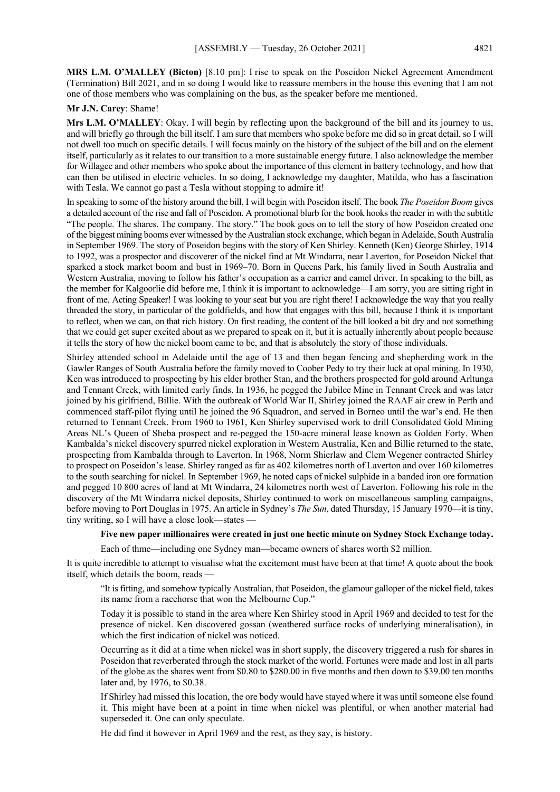**MRS L.M. O'MALLEY (Bicton)** [8.10 pm]: I rise to speak on the Poseidon Nickel Agreement Amendment (Termination) Bill 2021, and in so doing I would like to reassure members in the house this evening that I am not one of those members who was complaining on the bus, as the speaker before me mentioned.

#### **Mr J.N. Carey**: Shame!

**Mrs L.M. O'MALLEY**: Okay. I will begin by reflecting upon the background of the bill and its journey to us, and will briefly go through the bill itself. I am sure that members who spoke before me did so in great detail, so I will not dwell too much on specific details. I will focus mainly on the history of the subject of the bill and on the element itself, particularly as it relates to our transition to a more sustainable energy future. I also acknowledge the member for Willagee and other members who spoke about the importance of this element in battery technology, and how that can then be utilised in electric vehicles. In so doing, I acknowledge my daughter, Matilda, who has a fascination with Tesla. We cannot go past a Tesla without stopping to admire it!

In speaking to some of the history around the bill, I will begin with Poseidon itself. The book *The Poseidon Boom* gives a detailed account of the rise and fall of Poseidon. A promotional blurb for the book hooks the reader in with the subtitle "The people. The shares. The company. The story." The book goes on to tell the story of how Poseidon created one of the biggest mining booms ever witnessed by the Australian stock exchange, which began in Adelaide, South Australia in September 1969. The story of Poseidon begins with the story of Ken Shirley. Kenneth (Ken) George Shirley, 1914 to 1992, was a prospector and discoverer of the nickel find at Mt Windarra, near Laverton, for Poseidon Nickel that sparked a stock market boom and bust in 1969–70. Born in Queens Park, his family lived in South Australia and Western Australia, moving to follow his father's occupation as a carrier and camel driver. In speaking to the bill, as the member for Kalgoorlie did before me, I think it is important to acknowledge—I am sorry, you are sitting right in front of me, Acting Speaker! I was looking to your seat but you are right there! I acknowledge the way that you really threaded the story, in particular of the goldfields, and how that engages with this bill, because I think it is important to reflect, when we can, on that rich history. On first reading, the content of the bill looked a bit dry and not something that we could get super excited about as we prepared to speak on it, but it is actually inherently about people because it tells the story of how the nickel boom came to be, and that is absolutely the story of those individuals.

Shirley attended school in Adelaide until the age of 13 and then began fencing and shepherding work in the Gawler Ranges of South Australia before the family moved to Coober Pedy to try their luck at opal mining. In 1930, Ken was introduced to prospecting by his elder brother Stan, and the brothers prospected for gold around Arltunga and Tennant Creek, with limited early finds. In 1936, he pegged the Jubilee Mine in Tennant Creek and was later joined by his girlfriend, Billie. With the outbreak of World War II, Shirley joined the RAAF air crew in Perth and commenced staff-pilot flying until he joined the 96 Squadron, and served in Borneo until the war's end. He then returned to Tennant Creek. From 1960 to 1961, Ken Shirley supervised work to drill Consolidated Gold Mining Areas NL's Queen of Sheba prospect and re-pegged the 150-acre mineral lease known as Golden Forty. When Kambalda's nickel discovery spurred nickel exploration in Western Australia, Ken and Billie returned to the state, prospecting from Kambalda through to Laverton. In 1968, Norm Shierlaw and Clem Wegener contracted Shirley to prospect on Poseidon's lease. Shirley ranged as far as 402 kilometres north of Laverton and over 160 kilometres to the south searching for nickel. In September 1969, he noted caps of nickel sulphide in a banded iron ore formation and pegged 10 800 acres of land at Mt Windarra, 24 kilometres north west of Laverton. Following his role in the discovery of the Mt Windarra nickel deposits, Shirley continued to work on miscellaneous sampling campaigns, before moving to Port Douglas in 1975. An article in Sydney's *The Sun*, dated Thursday, 15 January 1970—it is tiny, tiny writing, so I will have a close look—states —

#### **Five new paper millionaires were created in just one hectic minute on Sydney Stock Exchange today.**

Each of thme—including one Sydney man—became owners of shares worth \$2 million.

It is quite incredible to attempt to visualise what the excitement must have been at that time! A quote about the book itself, which details the boom, reads —

"It is fitting, and somehow typically Australian, that Poseidon, the glamour galloper of the nickel field, takes its name from a racehorse that won the Melbourne Cup."

Today it is possible to stand in the area where Ken Shirley stood in April 1969 and decided to test for the presence of nickel. Ken discovered gossan (weathered surface rocks of underlying mineralisation), in which the first indication of nickel was noticed.

Occurring as it did at a time when nickel was in short supply, the discovery triggered a rush for shares in Poseidon that reverberated through the stock market of the world. Fortunes were made and lost in all parts of the globe as the shares went from \$0.80 to \$280.00 in five months and then down to \$39.00 ten months later and, by 1976, to \$0.38.

If Shirley had missed this location, the ore body would have stayed where it was until someone else found it. This might have been at a point in time when nickel was plentiful, or when another material had superseded it. One can only speculate.

He did find it however in April 1969 and the rest, as they say, is history.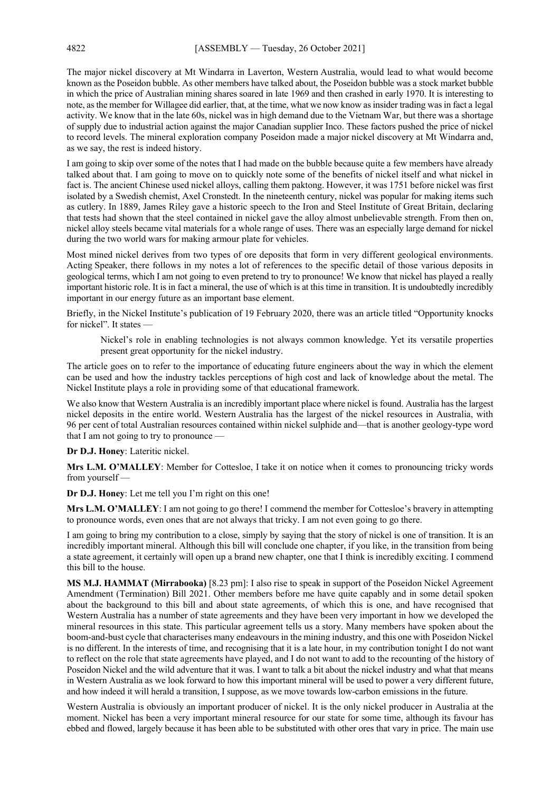The major nickel discovery at Mt Windarra in Laverton, Western Australia, would lead to what would become known as the Poseidon bubble. As other members have talked about, the Poseidon bubble was a stock market bubble in which the price of Australian mining shares soared in late 1969 and then crashed in early 1970. It is interesting to note, as the member for Willagee did earlier, that, at the time, what we now know as insider trading was in fact a legal activity. We know that in the late 60s, nickel was in high demand due to the Vietnam War, but there was a shortage of supply due to industrial action against the major Canadian supplier Inco. These factors pushed the price of nickel to record levels. The mineral exploration company Poseidon made a major nickel discovery at Mt Windarra and, as we say, the rest is indeed history.

I am going to skip over some of the notes that I had made on the bubble because quite a few members have already talked about that. I am going to move on to quickly note some of the benefits of nickel itself and what nickel in fact is. The ancient Chinese used nickel alloys, calling them paktong. However, it was 1751 before nickel was first isolated by a Swedish chemist, Axel Cronstedt. In the nineteenth century, nickel was popular for making items such as cutlery. In 1889, James Riley gave a historic speech to the Iron and Steel Institute of Great Britain, declaring that tests had shown that the steel contained in nickel gave the alloy almost unbelievable strength. From then on, nickel alloy steels became vital materials for a whole range of uses. There was an especially large demand for nickel during the two world wars for making armour plate for vehicles.

Most mined nickel derives from two types of ore deposits that form in very different geological environments. Acting Speaker, there follows in my notes a lot of references to the specific detail of those various deposits in geological terms, which I am not going to even pretend to try to pronounce! We know that nickel has played a really important historic role. It is in fact a mineral, the use of which is at this time in transition. It is undoubtedly incredibly important in our energy future as an important base element.

Briefly, in the Nickel Institute's publication of 19 February 2020, there was an article titled "Opportunity knocks for nickel". It states —

Nickel's role in enabling technologies is not always common knowledge. Yet its versatile properties present great opportunity for the nickel industry.

The article goes on to refer to the importance of educating future engineers about the way in which the element can be used and how the industry tackles perceptions of high cost and lack of knowledge about the metal. The Nickel Institute plays a role in providing some of that educational framework.

We also know that Western Australia is an incredibly important place where nickel is found. Australia has the largest nickel deposits in the entire world. Western Australia has the largest of the nickel resources in Australia, with 96 per cent of total Australian resources contained within nickel sulphide and—that is another geology-type word that I am not going to try to pronounce —

**Dr D.J. Honey**: Lateritic nickel.

**Mrs L.M. O'MALLEY**: Member for Cottesloe, I take it on notice when it comes to pronouncing tricky words from yourself —

**Dr D.J. Honey**: Let me tell you I'm right on this one!

**Mrs L.M. O'MALLEY**: I am not going to go there! I commend the member for Cottesloe's bravery in attempting to pronounce words, even ones that are not always that tricky. I am not even going to go there.

I am going to bring my contribution to a close, simply by saying that the story of nickel is one of transition. It is an incredibly important mineral. Although this bill will conclude one chapter, if you like, in the transition from being a state agreement, it certainly will open up a brand new chapter, one that I think is incredibly exciting. I commend this bill to the house.

**MS M.J. HAMMAT (Mirrabooka)** [8.23 pm]: I also rise to speak in support of the Poseidon Nickel Agreement Amendment (Termination) Bill 2021. Other members before me have quite capably and in some detail spoken about the background to this bill and about state agreements, of which this is one, and have recognised that Western Australia has a number of state agreements and they have been very important in how we developed the mineral resources in this state. This particular agreement tells us a story. Many members have spoken about the boom-and-bust cycle that characterises many endeavours in the mining industry, and this one with Poseidon Nickel is no different. In the interests of time, and recognising that it is a late hour, in my contribution tonight I do not want to reflect on the role that state agreements have played, and I do not want to add to the recounting of the history of Poseidon Nickel and the wild adventure that it was. I want to talk a bit about the nickel industry and what that means in Western Australia as we look forward to how this important mineral will be used to power a very different future, and how indeed it will herald a transition, I suppose, as we move towards low-carbon emissions in the future.

Western Australia is obviously an important producer of nickel. It is the only nickel producer in Australia at the moment. Nickel has been a very important mineral resource for our state for some time, although its favour has ebbed and flowed, largely because it has been able to be substituted with other ores that vary in price. The main use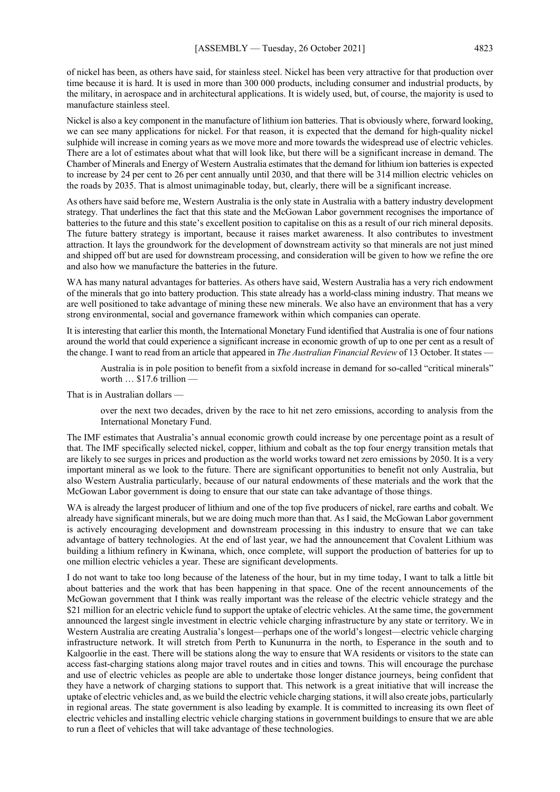of nickel has been, as others have said, for stainless steel. Nickel has been very attractive for that production over time because it is hard. It is used in more than 300 000 products, including consumer and industrial products, by the military, in aerospace and in architectural applications. It is widely used, but, of course, the majority is used to manufacture stainless steel.

Nickel is also a key component in the manufacture of lithium ion batteries. That is obviously where, forward looking, we can see many applications for nickel. For that reason, it is expected that the demand for high-quality nickel sulphide will increase in coming years as we move more and more towards the widespread use of electric vehicles. There are a lot of estimates about what that will look like, but there will be a significant increase in demand. The Chamber of Minerals and Energy of Western Australia estimates that the demand for lithium ion batteries is expected to increase by 24 per cent to 26 per cent annually until 2030, and that there will be 314 million electric vehicles on the roads by 2035. That is almost unimaginable today, but, clearly, there will be a significant increase.

As others have said before me, Western Australia is the only state in Australia with a battery industry development strategy. That underlines the fact that this state and the McGowan Labor government recognises the importance of batteries to the future and this state's excellent position to capitalise on this as a result of our rich mineral deposits. The future battery strategy is important, because it raises market awareness. It also contributes to investment attraction. It lays the groundwork for the development of downstream activity so that minerals are not just mined and shipped off but are used for downstream processing, and consideration will be given to how we refine the ore and also how we manufacture the batteries in the future.

WA has many natural advantages for batteries. As others have said, Western Australia has a very rich endowment of the minerals that go into battery production. This state already has a world-class mining industry. That means we are well positioned to take advantage of mining these new minerals. We also have an environment that has a very strong environmental, social and governance framework within which companies can operate.

It is interesting that earlier this month, the International Monetary Fund identified that Australia is one of four nations around the world that could experience a significant increase in economic growth of up to one per cent as a result of the change. I want to read from an article that appeared in *The Australian Financial Review* of 13 October. It states —

Australia is in pole position to benefit from a sixfold increase in demand for so-called "critical minerals" worth … \$17.6 trillion —

That is in Australian dollars —

over the next two decades, driven by the race to hit net zero emissions, according to analysis from the International Monetary Fund.

The IMF estimates that Australia's annual economic growth could increase by one percentage point as a result of that. The IMF specifically selected nickel, copper, lithium and cobalt as the top four energy transition metals that are likely to see surges in prices and production as the world works toward net zero emissions by 2050. It is a very important mineral as we look to the future. There are significant opportunities to benefit not only Australia, but also Western Australia particularly, because of our natural endowments of these materials and the work that the McGowan Labor government is doing to ensure that our state can take advantage of those things.

WA is already the largest producer of lithium and one of the top five producers of nickel, rare earths and cobalt. We already have significant minerals, but we are doing much more than that. As I said, the McGowan Labor government is actively encouraging development and downstream processing in this industry to ensure that we can take advantage of battery technologies. At the end of last year, we had the announcement that Covalent Lithium was building a lithium refinery in Kwinana, which, once complete, will support the production of batteries for up to one million electric vehicles a year. These are significant developments.

I do not want to take too long because of the lateness of the hour, but in my time today, I want to talk a little bit about batteries and the work that has been happening in that space. One of the recent announcements of the McGowan government that I think was really important was the release of the electric vehicle strategy and the \$21 million for an electric vehicle fund to support the uptake of electric vehicles. At the same time, the government announced the largest single investment in electric vehicle charging infrastructure by any state or territory. We in Western Australia are creating Australia's longest—perhaps one of the world's longest—electric vehicle charging infrastructure network. It will stretch from Perth to Kununurra in the north, to Esperance in the south and to Kalgoorlie in the east. There will be stations along the way to ensure that WA residents or visitors to the state can access fast-charging stations along major travel routes and in cities and towns. This will encourage the purchase and use of electric vehicles as people are able to undertake those longer distance journeys, being confident that they have a network of charging stations to support that. This network is a great initiative that will increase the uptake of electric vehicles and, as we build the electric vehicle charging stations, it will also create jobs, particularly in regional areas. The state government is also leading by example. It is committed to increasing its own fleet of electric vehicles and installing electric vehicle charging stations in government buildings to ensure that we are able to run a fleet of vehicles that will take advantage of these technologies.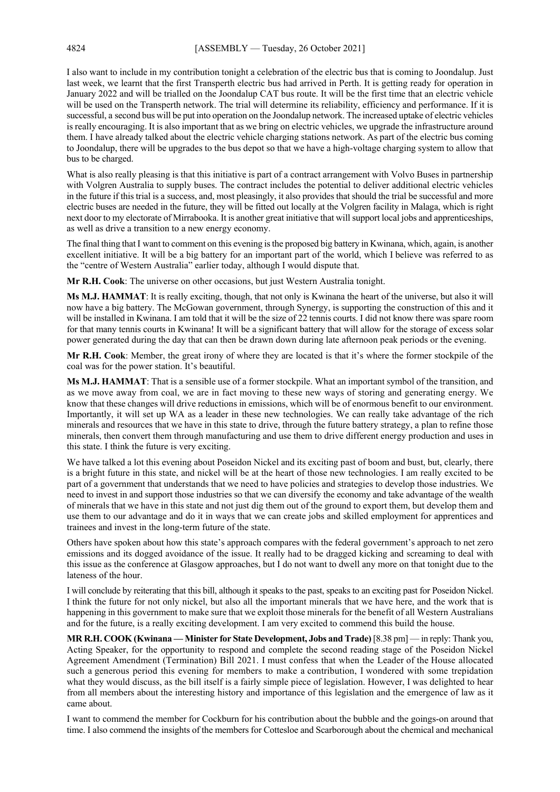I also want to include in my contribution tonight a celebration of the electric bus that is coming to Joondalup. Just last week, we learnt that the first Transperth electric bus had arrived in Perth. It is getting ready for operation in January 2022 and will be trialled on the Joondalup CAT bus route. It will be the first time that an electric vehicle will be used on the Transperth network. The trial will determine its reliability, efficiency and performance. If it is successful, a second bus will be put into operation on the Joondalup network. The increased uptake of electric vehicles is really encouraging. It is also important that as we bring on electric vehicles, we upgrade the infrastructure around them. I have already talked about the electric vehicle charging stations network. As part of the electric bus coming to Joondalup, there will be upgrades to the bus depot so that we have a high-voltage charging system to allow that bus to be charged.

What is also really pleasing is that this initiative is part of a contract arrangement with Volvo Buses in partnership with Volgren Australia to supply buses. The contract includes the potential to deliver additional electric vehicles in the future if this trial is a success, and, most pleasingly, it also provides that should the trial be successful and more electric buses are needed in the future, they will be fitted out locally at the Volgren facility in Malaga, which is right next door to my electorate of Mirrabooka. It is another great initiative that will support local jobs and apprenticeships, as well as drive a transition to a new energy economy.

The final thing that I want to comment on this evening is the proposed big battery in Kwinana, which, again, is another excellent initiative. It will be a big battery for an important part of the world, which I believe was referred to as the "centre of Western Australia" earlier today, although I would dispute that.

**Mr R.H. Cook**: The universe on other occasions, but just Western Australia tonight.

**Ms M.J. HAMMAT**: It is really exciting, though, that not only is Kwinana the heart of the universe, but also it will now have a big battery. The McGowan government, through Synergy, is supporting the construction of this and it will be installed in Kwinana. I am told that it will be the size of 22 tennis courts. I did not know there was spare room for that many tennis courts in Kwinana! It will be a significant battery that will allow for the storage of excess solar power generated during the day that can then be drawn down during late afternoon peak periods or the evening.

**Mr R.H. Cook**: Member, the great irony of where they are located is that it's where the former stockpile of the coal was for the power station. It's beautiful.

**Ms M.J. HAMMAT**: That is a sensible use of a former stockpile. What an important symbol of the transition, and as we move away from coal, we are in fact moving to these new ways of storing and generating energy. We know that these changes will drive reductions in emissions, which will be of enormous benefit to our environment. Importantly, it will set up WA as a leader in these new technologies. We can really take advantage of the rich minerals and resources that we have in this state to drive, through the future battery strategy, a plan to refine those minerals, then convert them through manufacturing and use them to drive different energy production and uses in this state. I think the future is very exciting.

We have talked a lot this evening about Poseidon Nickel and its exciting past of boom and bust, but, clearly, there is a bright future in this state, and nickel will be at the heart of those new technologies. I am really excited to be part of a government that understands that we need to have policies and strategies to develop those industries. We need to invest in and support those industries so that we can diversify the economy and take advantage of the wealth of minerals that we have in this state and not just dig them out of the ground to export them, but develop them and use them to our advantage and do it in ways that we can create jobs and skilled employment for apprentices and trainees and invest in the long-term future of the state.

Others have spoken about how this state's approach compares with the federal government's approach to net zero emissions and its dogged avoidance of the issue. It really had to be dragged kicking and screaming to deal with this issue as the conference at Glasgow approaches, but I do not want to dwell any more on that tonight due to the lateness of the hour.

I will conclude by reiterating that this bill, although it speaks to the past, speaks to an exciting past for Poseidon Nickel. I think the future for not only nickel, but also all the important minerals that we have here, and the work that is happening in this government to make sure that we exploit those minerals for the benefit of all Western Australians and for the future, is a really exciting development. I am very excited to commend this build the house.

**MR R.H. COOK (Kwinana — Minister for State Development, Jobs and Trade)** [8.38 pm] — in reply: Thank you, Acting Speaker, for the opportunity to respond and complete the second reading stage of the Poseidon Nickel Agreement Amendment (Termination) Bill 2021. I must confess that when the Leader of the House allocated such a generous period this evening for members to make a contribution, I wondered with some trepidation what they would discuss, as the bill itself is a fairly simple piece of legislation. However, I was delighted to hear from all members about the interesting history and importance of this legislation and the emergence of law as it came about.

I want to commend the member for Cockburn for his contribution about the bubble and the goings-on around that time. I also commend the insights of the members for Cottesloe and Scarborough about the chemical and mechanical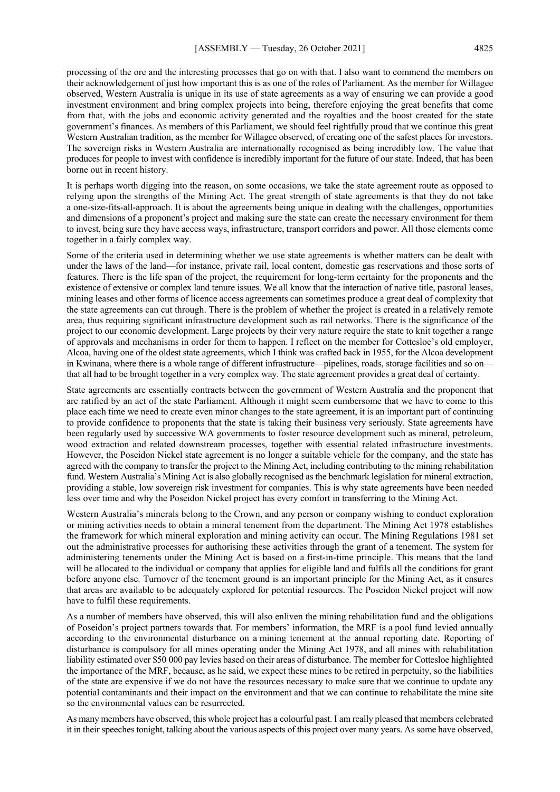processing of the ore and the interesting processes that go on with that. I also want to commend the members on their acknowledgement of just how important this is as one of the roles of Parliament. As the member for Willagee observed, Western Australia is unique in its use of state agreements as a way of ensuring we can provide a good investment environment and bring complex projects into being, therefore enjoying the great benefits that come from that, with the jobs and economic activity generated and the royalties and the boost created for the state government's finances. As members of this Parliament, we should feel rightfully proud that we continue this great Western Australian tradition, as the member for Willagee observed, of creating one of the safest places for investors. The sovereign risks in Western Australia are internationally recognised as being incredibly low. The value that produces for people to invest with confidence is incredibly important for the future of our state. Indeed, that has been borne out in recent history.

It is perhaps worth digging into the reason, on some occasions, we take the state agreement route as opposed to relying upon the strengths of the Mining Act. The great strength of state agreements is that they do not take a one-size-fits-all-approach. It is about the agreements being unique in dealing with the challenges, opportunities and dimensions of a proponent's project and making sure the state can create the necessary environment for them to invest, being sure they have access ways, infrastructure, transport corridors and power. All those elements come together in a fairly complex way.

Some of the criteria used in determining whether we use state agreements is whether matters can be dealt with under the laws of the land—for instance, private rail, local content, domestic gas reservations and those sorts of features. There is the life span of the project, the requirement for long-term certainty for the proponents and the existence of extensive or complex land tenure issues. We all know that the interaction of native title, pastoral leases, mining leases and other forms of licence access agreements can sometimes produce a great deal of complexity that the state agreements can cut through. There is the problem of whether the project is created in a relatively remote area, thus requiring significant infrastructure development such as rail networks. There is the significance of the project to our economic development. Large projects by their very nature require the state to knit together a range of approvals and mechanisms in order for them to happen. I reflect on the member for Cottesloe's old employer, Alcoa, having one of the oldest state agreements, which I think was crafted back in 1955, for the Alcoa development in Kwinana, where there is a whole range of different infrastructure—pipelines, roads, storage facilities and so on that all had to be brought together in a very complex way. The state agreement provides a great deal of certainty.

State agreements are essentially contracts between the government of Western Australia and the proponent that are ratified by an act of the state Parliament. Although it might seem cumbersome that we have to come to this place each time we need to create even minor changes to the state agreement, it is an important part of continuing to provide confidence to proponents that the state is taking their business very seriously. State agreements have been regularly used by successive WA governments to foster resource development such as mineral, petroleum, wood extraction and related downstream processes, together with essential related infrastructure investments. However, the Poseidon Nickel state agreement is no longer a suitable vehicle for the company, and the state has agreed with the company to transfer the project to the Mining Act, including contributing to the mining rehabilitation fund. Western Australia's Mining Act is also globally recognised as the benchmark legislation for mineral extraction, providing a stable, low sovereign risk investment for companies. This is why state agreements have been needed less over time and why the Poseidon Nickel project has every comfort in transferring to the Mining Act.

Western Australia's minerals belong to the Crown, and any person or company wishing to conduct exploration or mining activities needs to obtain a mineral tenement from the department. The Mining Act 1978 establishes the framework for which mineral exploration and mining activity can occur. The Mining Regulations 1981 set out the administrative processes for authorising these activities through the grant of a tenement. The system for administering tenements under the Mining Act is based on a first-in-time principle. This means that the land will be allocated to the individual or company that applies for eligible land and fulfils all the conditions for grant before anyone else. Turnover of the tenement ground is an important principle for the Mining Act, as it ensures that areas are available to be adequately explored for potential resources. The Poseidon Nickel project will now have to fulfil these requirements.

As a number of members have observed, this will also enliven the mining rehabilitation fund and the obligations of Poseidon's project partners towards that. For members' information, the MRF is a pool fund levied annually according to the environmental disturbance on a mining tenement at the annual reporting date. Reporting of disturbance is compulsory for all mines operating under the Mining Act 1978, and all mines with rehabilitation liability estimated over \$50 000 pay levies based on their areas of disturbance. The member for Cottesloe highlighted the importance of the MRF, because, as he said, we expect these mines to be retired in perpetuity, so the liabilities of the state are expensive if we do not have the resources necessary to make sure that we continue to update any potential contaminants and their impact on the environment and that we can continue to rehabilitate the mine site so the environmental values can be resurrected.

As many members have observed, this whole project has a colourful past. I am really pleased that members celebrated it in their speeches tonight, talking about the various aspects of this project over many years. As some have observed,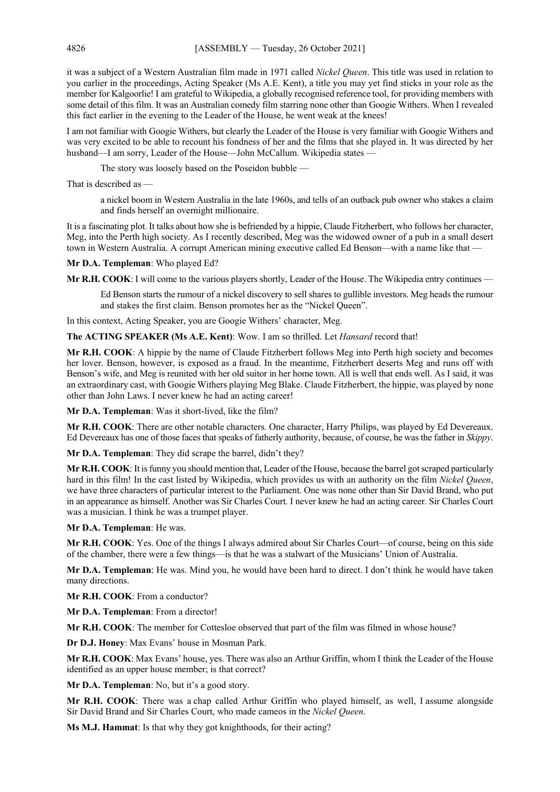it was a subject of a Western Australian film made in 1971 called *Nickel Queen*. This title was used in relation to you earlier in the proceedings, Acting Speaker (Ms A.E. Kent), a title you may yet find sticks in your role as the member for Kalgoorlie! I am grateful to Wikipedia, a globally recognised reference tool, for providing members with some detail of this film. It was an Australian comedy film starring none other than Googie Withers. When I revealed this fact earlier in the evening to the Leader of the House, he went weak at the knees!

I am not familiar with Googie Withers, but clearly the Leader of the House is very familiar with Googie Withers and was very excited to be able to recount his fondness of her and the films that she played in. It was directed by her husband—I am sorry, Leader of the House—John McCallum. Wikipedia states —

The story was loosely based on the Poseidon bubble —

That is described as —

a nickel boom in Western Australia in the late 1960s, and tells of an outback pub owner who stakes a claim and finds herself an overnight millionaire.

It is a fascinating plot. It talks about how she is befriended by a hippie, Claude Fitzherbert, who follows her character, Meg, into the Perth high society. As I recently described, Meg was the widowed owner of a pub in a small desert town in Western Australia. A corrupt American mining executive called Ed Benson—with a name like that —

**Mr D.A. Templeman**: Who played Ed?

**Mr R.H. COOK**: I will come to the various players shortly, Leader of the House. The Wikipedia entry continues —

Ed Benson starts the rumour of a nickel discovery to sell shares to gullible investors. Meg heads the rumour and stakes the first claim. Benson promotes her as the "Nickel Queen".

In this context, Acting Speaker, you are Googie Withers' character, Meg.

**The ACTING SPEAKER (Ms A.E. Kent)**: Wow. I am so thrilled. Let *Hansard* record that!

**Mr R.H. COOK**: A hippie by the name of Claude Fitzherbert follows Meg into Perth high society and becomes her lover. Benson, however, is exposed as a fraud. In the meantime, Fitzherbert deserts Meg and runs off with Benson's wife, and Meg is reunited with her old suitor in her home town. All is well that ends well. As I said, it was an extraordinary cast, with Googie Withers playing Meg Blake. Claude Fitzherbert, the hippie, was played by none other than John Laws. I never knew he had an acting career!

**Mr D.A. Templeman**: Was it short-lived, like the film?

**Mr R.H. COOK**: There are other notable characters. One character, Harry Philips, was played by Ed Devereaux. Ed Devereaux has one of those faces that speaks of fatherly authority, because, of course, he was the father in *Skippy*.

**Mr D.A. Templeman**: They did scrape the barrel, didn't they?

**Mr R.H. COOK**: It is funny you should mention that, Leader of the House, because the barrel got scraped particularly hard in this film! In the cast listed by Wikipedia, which provides us with an authority on the film *Nickel Queen*, we have three characters of particular interest to the Parliament. One was none other than Sir David Brand, who put in an appearance as himself. Another was Sir Charles Court. I never knew he had an acting career. Sir Charles Court was a musician. I think he was a trumpet player.

**Mr D.A. Templeman**: He was.

**Mr R.H. COOK**: Yes. One of the things I always admired about Sir Charles Court—of course, being on this side of the chamber, there were a few things—is that he was a stalwart of the Musicians' Union of Australia.

**Mr D.A. Templeman**: He was. Mind you, he would have been hard to direct. I don't think he would have taken many directions.

**Mr R.H. COOK**: From a conductor?

**Mr D.A. Templeman**: From a director!

**Mr R.H. COOK**: The member for Cottesloe observed that part of the film was filmed in whose house?

**Dr D.J. Honey**: Max Evans' house in Mosman Park.

**Mr R.H. COOK**: Max Evans' house, yes. There was also an Arthur Griffin, whom I think the Leader of the House identified as an upper house member; is that correct?

**Mr D.A. Templeman**: No, but it's a good story.

**Mr R.H. COOK**: There was a chap called Arthur Griffin who played himself, as well, I assume alongside Sir David Brand and Sir Charles Court, who made cameos in the *Nickel Queen*.

**Ms M.J. Hammat**: Is that why they got knighthoods, for their acting?